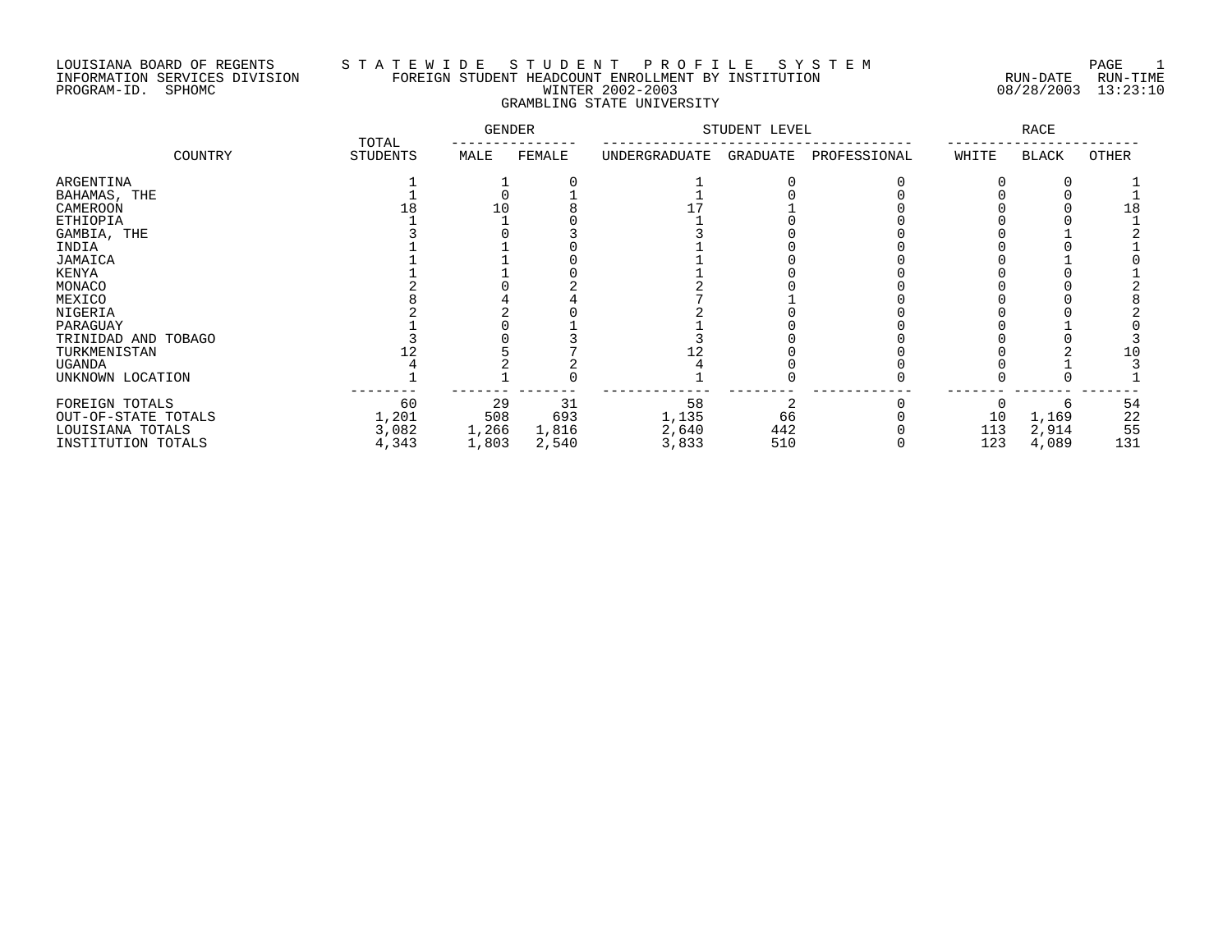# LOUISIANA BOARD OF REGENTS S T A T E W I D E S T U D E N T P R O F I L E S Y S T E M PAGE 1 INFORMATION SERVICES DIVISION FOREIGN STUDENT HEADCOUNT ENROLLMENT BY INSTITUTION RUN-DATE RUN-TIME PROGRAM-ID. SPHOMC WINTER 2002-2003 08/28/2003 13:23:10 GRAMBLING STATE UNIVERSITY

|                                        | TOTAL          | <b>GENDER</b>  |                | STUDENT LEVEL  |            | <b>RACE</b>  |            |                |           |
|----------------------------------------|----------------|----------------|----------------|----------------|------------|--------------|------------|----------------|-----------|
| COUNTRY                                | STUDENTS       | MALE           | FEMALE         | UNDERGRADUATE  | GRADUATE   | PROFESSIONAL | WHITE      | BLACK          | OTHER     |
| ARGENTINA                              |                |                |                |                |            |              |            |                |           |
| BAHAMAS, THE                           |                |                |                |                |            |              |            |                |           |
| CAMEROON                               |                | L O            |                |                |            |              |            |                | 18        |
| ETHIOPIA                               |                |                |                |                |            |              |            |                |           |
| GAMBIA, THE                            |                |                |                |                |            |              |            |                |           |
| INDIA                                  |                |                |                |                |            |              |            |                |           |
| JAMAICA                                |                |                |                |                |            |              |            |                |           |
| KENYA                                  |                |                |                |                |            |              |            |                |           |
| MONACO                                 |                |                |                |                |            |              |            |                |           |
| MEXICO                                 |                |                |                |                |            |              |            |                |           |
| NIGERIA                                |                |                |                |                |            |              |            |                |           |
| PARAGUAY                               |                |                |                |                |            |              |            |                |           |
| TRINIDAD AND TOBAGO                    |                |                |                |                |            |              |            |                |           |
| TURKMENISTAN                           |                |                |                |                |            |              |            |                | 10        |
| UGANDA                                 |                |                |                |                |            |              |            |                |           |
| UNKNOWN LOCATION                       |                |                |                |                |            |              |            |                |           |
| FOREIGN TOTALS<br>OUT-OF-STATE TOTALS  | 60<br>1,201    | 29<br>508      | 31<br>693      | 58<br>1,135    | 66         |              | 10         | 1,169          | 54<br>22  |
| LOUISIANA TOTALS<br>INSTITUTION TOTALS | 3,082<br>4,343 | 1,266<br>1,803 | 1,816<br>2,540 | 2,640<br>3,833 | 442<br>510 |              | 113<br>123 | 2,914<br>4,089 | 55<br>131 |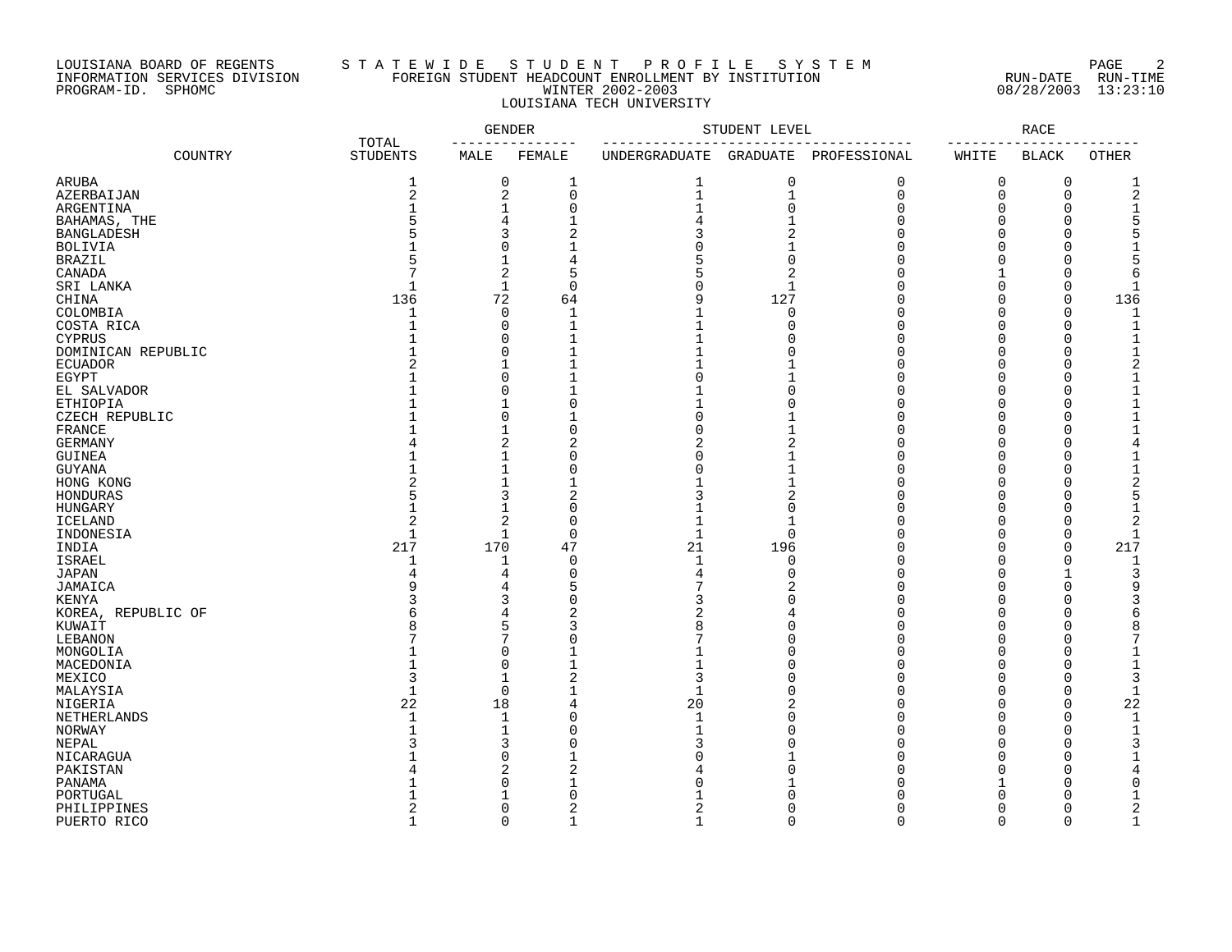# LOUISIANA BOARD OF REGENTS S T A T E W I D E S T U D E N T P R O F I L E S Y S T E M PAGE 2 INFORMATION SERVICES DIVISION FOREIGN STUDENT HEADCOUNT ENROLLMENT BY INSTITUTION RUN-DATE RUN-TIME PROGRAM-ID. SPHOMC WINTER 2002-2003 08/28/2003 13:23:10 LOUISIANA TECH UNIVERSITY

| TOTAL              | <b>GENDER</b>   |                               | STUDENT LEVEL           |               | <b>RACE</b>    |                       |             |              |               |
|--------------------|-----------------|-------------------------------|-------------------------|---------------|----------------|-----------------------|-------------|--------------|---------------|
| COUNTRY            | <b>STUDENTS</b> | MALE                          | FEMALE                  | UNDERGRADUATE |                | GRADUATE PROFESSIONAL | WHITE       | <b>BLACK</b> | <b>OTHER</b>  |
| ARUBA              | 1               | 0                             | 1                       | 1             | 0              | $\mathbf 0$           | 0           | 0            |               |
| AZERBAIJAN         | $\overline{2}$  | 2                             | $\mathbf 0$             | $\mathbf{1}$  | $\mathbf 1$    | $\mathbf 0$           | 0           | 0            | 2             |
| ARGENTINA          |                 | $\mathbf{1}$                  | $\mathbf 0$             |               | $\overline{0}$ | $\Omega$              | $\Omega$    | $\Omega$     |               |
| BAHAMAS, THE       |                 | 4                             |                         |               |                | $\Omega$              | $\Omega$    | $\cap$       |               |
| <b>BANGLADESH</b>  |                 | 3                             | 2                       |               | $\overline{2}$ | U                     | $\Omega$    | ∩            |               |
| <b>BOLIVIA</b>     |                 | 0                             |                         |               |                | U                     | $\Omega$    | ∩            |               |
| <b>BRAZIL</b>      | 5               | 1                             |                         |               | $\mathbf 0$    | U                     | $\Omega$    |              |               |
| CANADA             | 7               | 2                             | 5                       |               | $\overline{2}$ | U                     |             |              |               |
| SRI LANKA          | $\mathbf{1}$    | $\mathbf{1}$                  | $\Omega$                |               | $\mathbf{1}$   | U                     | $\Omega$    | $\cap$       |               |
| CHINA              | 136             | 72                            | 64                      |               | 127            | C                     | $\Omega$    | $\Omega$     | 136           |
| COLOMBIA           | -1              | 0                             | 1                       |               | $\Omega$       | U                     | $\Omega$    | $\Omega$     |               |
| COSTA RICA         |                 | $\Omega$                      | 1                       |               | $\Omega$       | $\cap$                | ∩           | $\cap$       |               |
| <b>CYPRUS</b>      |                 | $\Omega$                      | $\mathbf{1}$            |               |                | $\cap$                | $\cap$      | ∩            |               |
| DOMINICAN REPUBLIC |                 | $\Omega$                      |                         |               | U              | U                     | $\Omega$    | $\cap$       |               |
| ECUADOR            |                 | 1                             |                         |               |                |                       | $\Omega$    | $\Omega$     |               |
| EGYPT              |                 | 0                             | 1                       |               | 1              | U                     | $\Omega$    | $\Omega$     |               |
| EL SALVADOR        |                 | $\Omega$                      |                         |               | $\Omega$       | $\cap$                | $\cap$      | $\cap$       |               |
| <b>ETHIOPIA</b>    |                 | 1                             | $\Omega$                |               | $\Omega$       | $\cap$                | $\Omega$    | $\Omega$     |               |
| CZECH REPUBLIC     |                 | 0                             |                         | ∩             |                | $\Omega$              | $\Omega$    | $\Omega$     |               |
| FRANCE             |                 | 1                             | $\Omega$                | ∩             |                | U                     | $\Omega$    | $\Omega$     |               |
| <b>GERMANY</b>     |                 | 2                             | 2                       | 2             | $\overline{2}$ | $\cap$                | $\cap$      | $\Omega$     |               |
| <b>GUINEA</b>      |                 | 1                             | $\Omega$                | ∩             |                | U                     | $\Omega$    | $\cap$       |               |
| <b>GUYANA</b>      |                 | $\mathbf{1}$                  | $\Omega$                |               |                | $\cap$                | $\Omega$    | $\Omega$     |               |
|                    |                 | 1                             |                         |               | 1              | U                     | $\Omega$    | $\Omega$     |               |
| HONG KONG          |                 | 3                             |                         |               |                | U                     | $\Omega$    | ∩            |               |
| HONDURAS           |                 |                               | $\overline{a}$          |               | 2              | $\cap$                | $\Omega$    | $\cap$       |               |
| <b>HUNGARY</b>     | $\overline{2}$  | $\mathbf 1$<br>$\overline{2}$ | $\mathbf 0$<br>$\Omega$ |               | $\mathbf 0$    | $\cap$                | $\Omega$    | $\Omega$     |               |
| <b>ICELAND</b>     |                 |                               |                         |               | $\mathbf{1}$   |                       |             |              |               |
| INDONESIA          | $\mathbf{1}$    | $\mathbf 1$                   | $\mathbf 0$             | 1             | $\overline{0}$ | $\Omega$              | $\Omega$    | $\mathbf 0$  |               |
| INDIA              | 217             | 170                           | 47                      | 21            | 196            | O                     | $\Omega$    | $\mathbf 0$  | 217           |
| <b>ISRAEL</b>      | 1               | 1                             | $\mathbf 0$             | 1             | 0              | $\cap$                | $\cap$      | $\Omega$     |               |
| <b>JAPAN</b>       | 4               | 4                             | $\mathbf 0$             |               | $\Omega$       | $\cap$                | $\cap$      | $\mathbf{1}$ |               |
| JAMAICA            |                 | 4                             | 5                       |               |                | U                     | $\cap$      | $\Omega$     |               |
| KENYA              |                 | 3                             | $\Omega$                |               |                |                       | $\Omega$    |              |               |
| KOREA, REPUBLIC OF | 6               | 4                             | 2                       |               |                | U                     | ∩           |              |               |
| KUWAIT             |                 | 5                             |                         |               | ſ              |                       | $\cap$      |              |               |
| LEBANON            |                 | 7                             | C                       |               | ſ              | U                     | $\Omega$    | ∩            |               |
| MONGOLIA           |                 | 0                             |                         |               | ſ              | $\cap$                | $\Omega$    |              |               |
| MACEDONIA          |                 | 0                             |                         |               | ſ              | U                     | $\Omega$    | ∩            |               |
| MEXICO             | 3               | 1                             | $\overline{2}$          | 3             | ſ              | $\cap$                | $\cap$      | $\Omega$     |               |
| MALAYSIA           | $\mathbf{1}$    | $\Omega$                      |                         | $\mathbf{1}$  | $\cap$         | U                     | $\Omega$    | $\Omega$     |               |
| NIGERIA            | 22              | 18                            | 4                       | 20            |                | U                     | $\Omega$    | $\Omega$     | 22            |
| NETHERLANDS        | $\mathbf{1}$    | 1                             | $\Omega$                | $\mathbf{1}$  | $\Omega$       | O                     | $\Omega$    | 0            |               |
| NORWAY             |                 | $\mathbf{1}$                  | $\Omega$                |               | $\cap$         | $\cap$                | $\Omega$    | $\Omega$     |               |
| NEPAL              |                 | 3                             | $\Omega$                |               | ſ              | $\cap$                | $\Omega$    | $\cap$       |               |
| NICARAGUA          |                 | 0                             |                         |               |                | $\cap$                | $\Omega$    | $\Omega$     |               |
| PAKISTAN           |                 | 2                             | $\overline{2}$          |               | C              | U                     | $\Omega$    | $\Omega$     |               |
| PANAMA             |                 | 0                             |                         |               |                | U                     |             | $\Omega$     |               |
| PORTUGAL           |                 |                               | $\Omega$                |               |                |                       | $\cap$      | ∩            |               |
| PHILIPPINES        | 2               | 0                             | $\overline{c}$          | 2             | $\Omega$       | $\cap$                | $\mathbf 0$ | $\Omega$     | $\mathcal{D}$ |
| PUERTO RICO        | $\mathbf{1}$    | $\Omega$                      | $\mathbf{1}$            | $\mathbf{1}$  | $\Omega$       | $\Omega$              | $\Omega$    | $\Omega$     | $\mathbf{1}$  |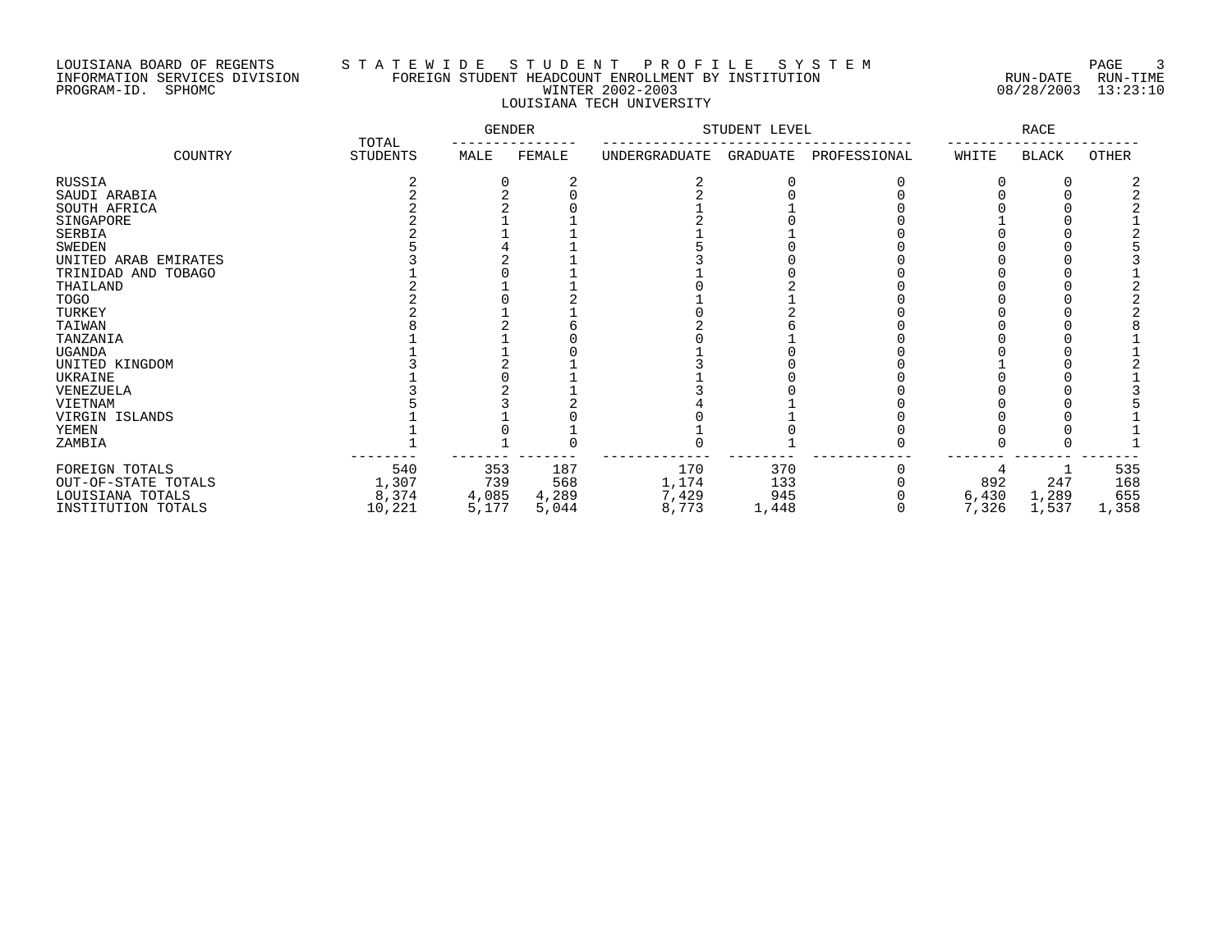# LOUISIANA BOARD OF REGENTS S T A T E W I D E S T U D E N T P R O F I L E S Y S T E M PAGE 3 INFORMATION SERVICES DIVISION FOREIGN STUDENT HEADCOUNT ENROLLMENT BY INSTITUTION RUN-DATE RUN-TIME PROGRAM-ID. SPHOMC WINTER 2002-2003 08/28/2003 13:23:10 LOUISIANA TECH UNIVERSITY

|                      |                          | <b>GENDER</b> |        | STUDENT LEVEL |          | RACE         |       |              |       |
|----------------------|--------------------------|---------------|--------|---------------|----------|--------------|-------|--------------|-------|
| COUNTRY              | TOTAL<br><b>STUDENTS</b> | MALE          | FEMALE | UNDERGRADUATE | GRADUATE | PROFESSIONAL | WHITE | <b>BLACK</b> | OTHER |
| RUSSIA               |                          |               |        |               |          |              |       |              |       |
| SAUDI ARABIA         |                          |               |        |               |          |              |       |              |       |
| SOUTH AFRICA         |                          |               |        |               |          |              |       |              |       |
| SINGAPORE            |                          |               |        |               |          |              |       |              |       |
| SERBIA               |                          |               |        |               |          |              |       |              |       |
| <b>SWEDEN</b>        |                          |               |        |               |          |              |       |              |       |
| UNITED ARAB EMIRATES |                          |               |        |               |          |              |       |              |       |
| TRINIDAD AND TOBAGO  |                          |               |        |               |          |              |       |              |       |
| THAILAND             |                          |               |        |               |          |              |       |              |       |
| <b>TOGO</b>          |                          |               |        |               |          |              |       |              |       |
| TURKEY               |                          |               |        |               |          |              |       |              |       |
| TAIWAN               |                          |               |        |               |          |              |       |              |       |
| TANZANIA             |                          |               |        |               |          |              |       |              |       |
| UGANDA               |                          |               |        |               |          |              |       |              |       |
| UNITED KINGDOM       |                          |               |        |               |          |              |       |              |       |
| UKRAINE              |                          |               |        |               |          |              |       |              |       |
| VENEZUELA            |                          |               |        |               |          |              |       |              |       |
| VIETNAM              |                          |               |        |               |          |              |       |              |       |
| VIRGIN ISLANDS       |                          |               |        |               |          |              |       |              |       |
| YEMEN                |                          |               |        |               |          |              |       |              |       |
| ZAMBIA               |                          |               |        |               |          |              |       |              |       |
| FOREIGN TOTALS       | 540                      | 353           | 187    | 170           | 370      |              |       |              | 535   |
| OUT-OF-STATE TOTALS  | 1,307                    | 739           | 568    | 1,174         | 133      |              | 892   | 247          | 168   |
| LOUISIANA TOTALS     | 8,374                    | 4,085         | 4,289  | 7,429         | 945      |              | 6,430 | 1,289        | 655   |
| INSTITUTION TOTALS   | 10,221                   | 5,177         | 5,044  | 8,773         | 1,448    |              | 7,326 | 1,537        | 1,358 |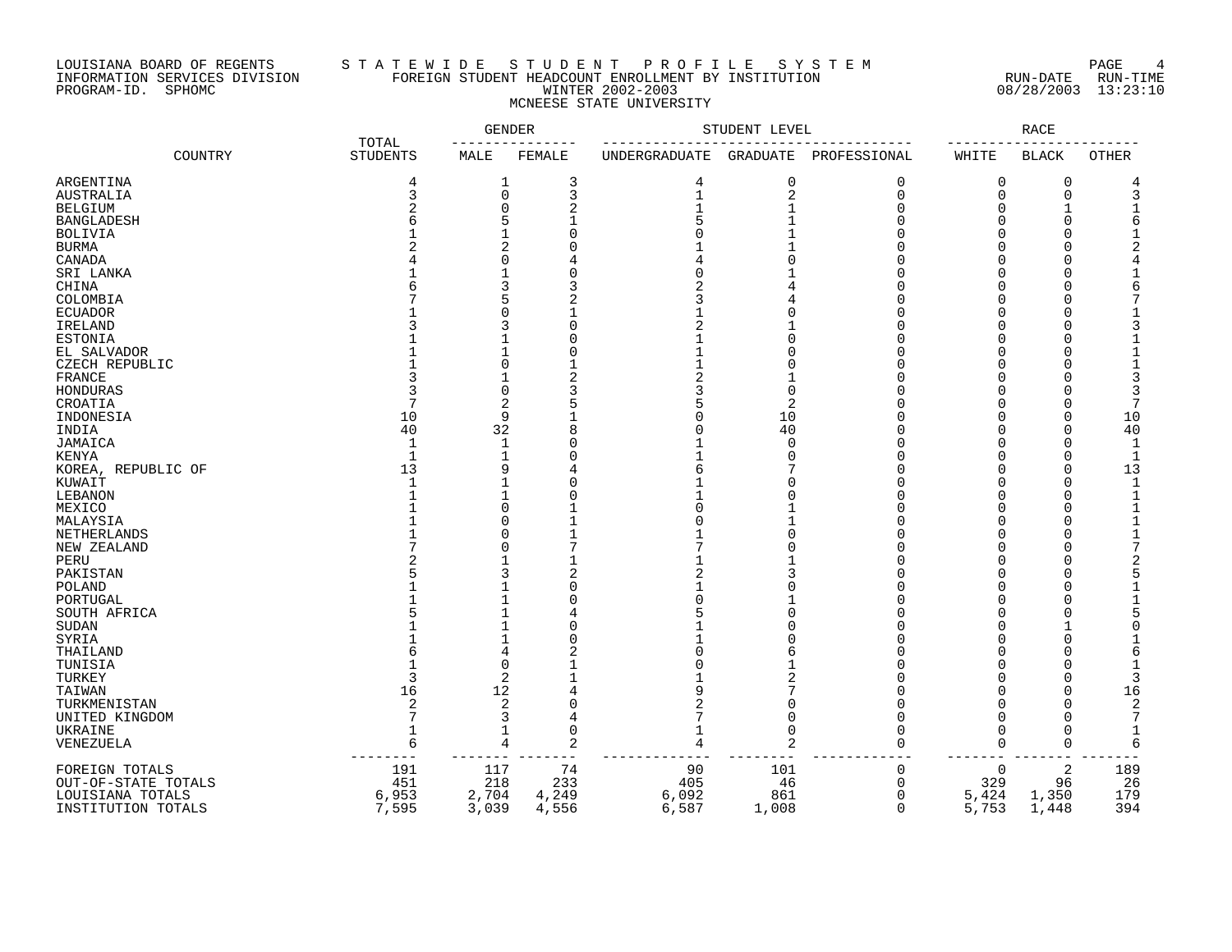## LOUISIANA BOARD OF REGENTS S T A T E W I D E S T U D E N T P R O F I L E S Y S T E M PAGE 4 INFORMATION SERVICES DIVISION FOREIGN STUDENT HEADCOUNT ENROLLMENT BY INSTITUTION RUN-DATE RUN-TIME PROGRAM-ID. SPHOMC WINTER 2002-2003 08/28/2003 13:23:10 MCNEESE STATE UNIVERSITY

|                     |         |                          | <b>GENDER</b>  |                | STUDENT LEVEL |                 | <b>RACE</b>    |              |                |              |
|---------------------|---------|--------------------------|----------------|----------------|---------------|-----------------|----------------|--------------|----------------|--------------|
|                     | COUNTRY | TOTAL<br><b>STUDENTS</b> | MALE           | FEMALE         | UNDERGRADUATE | <b>GRADUATE</b> | PROFESSIONAL   | WHITE        | <b>BLACK</b>   | <b>OTHER</b> |
| ARGENTINA           |         | 4                        | 1              | 3              | 4             | 0               | 0              | 0            | 0              |              |
| AUSTRALIA           |         | 3                        | 0              | 3              |               | $\overline{c}$  | $\overline{0}$ | $\mathbf 0$  | $\mathbf 0$    |              |
| <b>BELGIUM</b>      |         | 2                        | 0              | 2              |               |                 | $\Omega$       | $\Omega$     |                |              |
| <b>BANGLADESH</b>   |         |                          | 5              |                |               |                 | U              | O            | ∩              |              |
| <b>BOLIVIA</b>      |         |                          | 1              |                |               |                 |                |              | ∩              |              |
| <b>BURMA</b>        |         |                          | $\overline{a}$ |                |               |                 |                |              |                |              |
| CANADA              |         |                          | 0              |                |               |                 |                |              |                |              |
| SRI LANKA           |         |                          |                |                |               |                 |                |              |                |              |
| CHINA               |         |                          | 3              |                |               |                 |                |              | ∩              |              |
|                     |         |                          | 5              |                |               |                 |                | ∩            | ∩              |              |
| COLOMBIA            |         |                          | O              | 2              |               |                 |                |              |                |              |
| <b>ECUADOR</b>      |         |                          |                |                |               | ſ               |                | $\cap$       | ∩              |              |
| IRELAND             |         |                          | 3              | $\bigcap$      |               |                 |                | $\Omega$     | ∩              |              |
| <b>ESTONIA</b>      |         |                          |                | C              |               | O               | U              | $\Omega$     | $\cap$         |              |
| EL SALVADOR         |         |                          | 1              | $\cap$         |               | U               |                | $\cap$       | ∩              |              |
| CZECH REPUBLIC      |         |                          | 0              |                |               | $\sqrt{ }$      | $\cap$         | $\Omega$     | $\Omega$       |              |
| FRANCE              |         |                          | 1              | $\overline{2}$ |               |                 | U              |              | ∩              |              |
| HONDURAS            |         | 3                        | $\Omega$       | 3              |               | $\Omega$        | U              | $\cap$       | ∩              |              |
| CROATIA             |         | 7                        | 2              | 5              |               | 2               | C              | $\Omega$     | $\Omega$       |              |
| INDONESIA           |         | 10                       | 9              |                |               | 10              |                | $\Omega$     | $\Omega$       | 10           |
| INDIA               |         | 40                       | 32             | 8              |               | 40              | $\Omega$       | $\Omega$     | $\Omega$       | 40           |
| JAMAICA             |         | -1                       | $\mathbf 1$    | C              |               | $\mathbf 0$     | U              | $\Omega$     | ∩              |              |
| KENYA               |         | $\mathbf{1}$             | $\mathbf 1$    | C              |               | $\Omega$        | $\cap$         | $\cap$       | $\Omega$       | 1            |
| KOREA, REPUBLIC OF  |         | 13                       | 9              |                |               |                 | U              | $\cap$       | $\cap$         | 13           |
| KUWAIT              |         | $\mathbf{1}$             | 1              | C              |               |                 | U              | $\Omega$     | $\Omega$       | $\mathbf{1}$ |
| LEBANON             |         |                          | 1              |                |               |                 | U              | $\cap$       | $\Omega$       |              |
|                     |         |                          | 0              |                |               |                 |                | $\Omega$     | ∩              |              |
| MEXICO              |         |                          | 0              |                |               |                 | U              | <sup>0</sup> | $\Omega$       |              |
| MALAYSIA            |         |                          | O              |                |               | ſ               |                |              |                |              |
| NETHERLANDS         |         |                          |                |                |               |                 |                |              |                |              |
| NEW ZEALAND         |         |                          | U              |                |               |                 |                | $\cap$       | ∩              |              |
| PERU                |         |                          | 1              |                |               |                 |                | <sup>0</sup> | ∩              |              |
| PAKISTAN            |         |                          | 3              | 2              |               |                 |                |              |                |              |
| POLAND              |         |                          |                |                |               |                 |                |              |                |              |
| PORTUGAL            |         |                          |                |                |               |                 |                | U            |                |              |
| SOUTH AFRICA        |         |                          | 1              |                |               |                 |                |              | ∩              |              |
| SUDAN               |         |                          |                |                |               |                 |                |              |                |              |
| SYRIA               |         |                          | $\mathbf{1}$   |                |               |                 |                | <sup>0</sup> |                |              |
| THAILAND            |         |                          | 4              |                |               | Р               |                |              |                |              |
| TUNISIA             |         |                          | 0              |                |               |                 |                |              |                |              |
| TURKEY              |         | 3                        | 2              |                |               | 2               |                |              | ∩              |              |
| TAIWAN              |         | 16                       | 12             |                |               |                 |                |              | $\cap$         | 16           |
| TURKMENISTAN        |         | 2                        | 2              | $\cap$         |               | ſ               |                | $\cap$       | $\cap$         | 2            |
| UNITED KINGDOM      |         | 7                        | 3              | 4              |               | $\Omega$        | $\Omega$       | $\cap$       | ∩              |              |
| UKRAINE             |         | $\mathbf{1}$             | 1              | $\overline{0}$ |               | $\Omega$        | $\Omega$       | $\Omega$     | $\Omega$       |              |
|                     |         | 6                        | 4              | 2              |               | 2               | $\Omega$       | $\mathbf 0$  | $\Omega$       |              |
| VENEZUELA           |         |                          |                |                |               |                 |                |              |                |              |
| FOREIGN TOTALS      |         | 191                      | 117            | 74             | 90            | 101             | $\mathbf 0$    | $\mathbf 0$  | $\overline{2}$ | 189          |
| OUT-OF-STATE TOTALS |         | 451                      | 218            | 233            | 405           | 46              | $\mathbf 0$    | 329          | 96             | 26           |
| LOUISIANA TOTALS    |         | 6,953                    | 2,704          | 4,249          | 6,092         | 861             | $\mathbf 0$    | 5,424        | 1,350          | 179          |
| INSTITUTION TOTALS  |         | 7,595                    | 3,039          | 4,556          | 6,587         | 1,008           | $\Omega$       | 5,753        | 1,448          | 394          |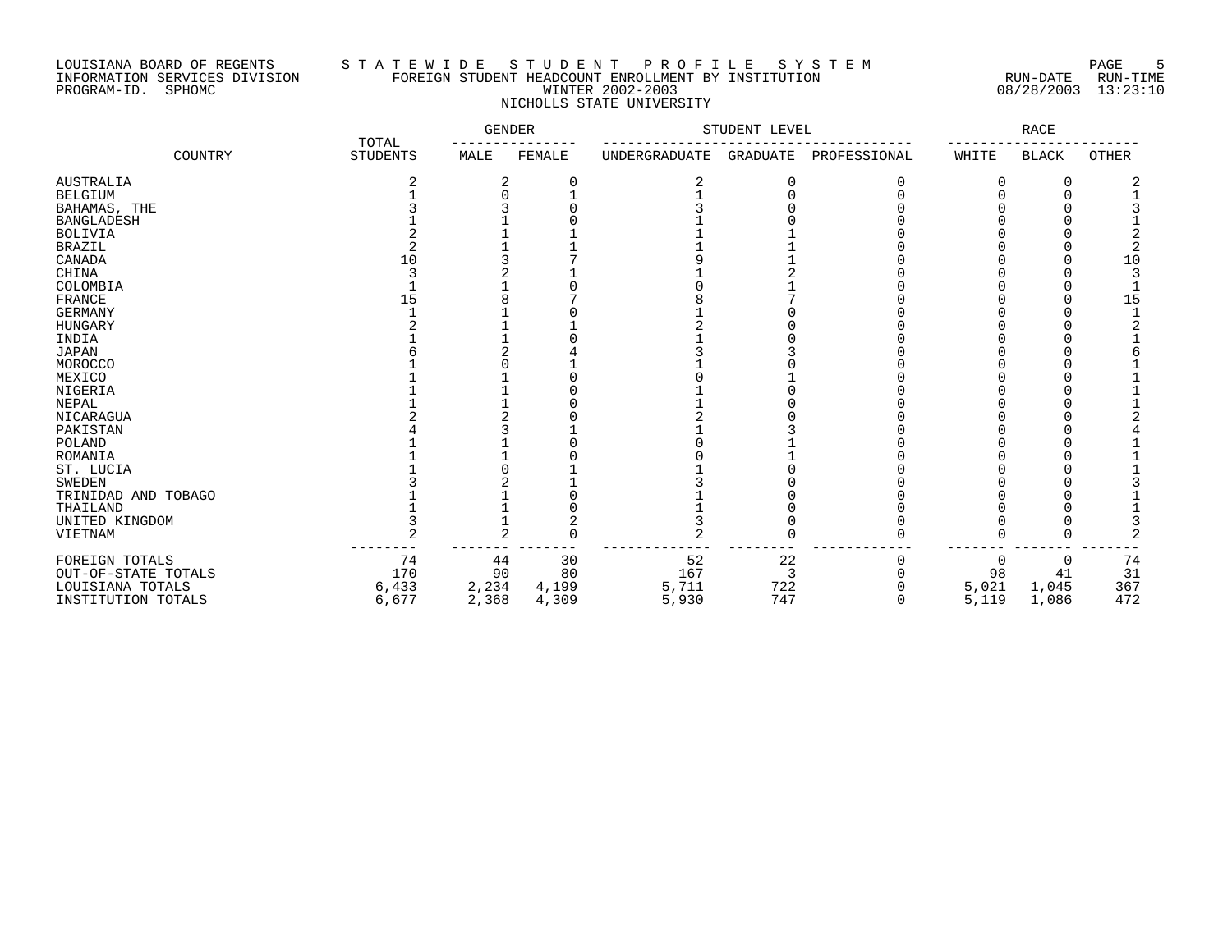## LOUISIANA BOARD OF REGENTS S T A T E W I D E S T U D E N T P R O F I L E S Y S T E M PAGE 5 INFORMATION SERVICES DIVISION FOREIGN STUDENT HEADCOUNT ENROLLMENT BY INSTITUTION RUN-DATE RUN-TIME PROGRAM-ID. SPHOMC WINTER 2002-2003 08/28/2003 13:23:10 NICHOLLS STATE UNIVERSITY

|                     | TOTAL | GENDER          |       | STUDENT LEVEL | RACE          |          |              |          |              |              |
|---------------------|-------|-----------------|-------|---------------|---------------|----------|--------------|----------|--------------|--------------|
| COUNTRY             |       | <b>STUDENTS</b> | MALE  | FEMALE        | UNDERGRADUATE | GRADUATE | PROFESSIONAL | WHITE    | <b>BLACK</b> | <b>OTHER</b> |
| <b>AUSTRALIA</b>    |       |                 | 2     | C             |               | C        | 0            |          | 0            |              |
| <b>BELGIUM</b>      |       |                 |       |               |               |          |              |          |              |              |
| BAHAMAS, THE        |       |                 |       |               |               |          |              |          |              |              |
| <b>BANGLADESH</b>   |       |                 |       |               |               |          |              |          |              |              |
| <b>BOLIVIA</b>      |       |                 |       |               |               |          |              |          |              |              |
| <b>BRAZIL</b>       |       |                 |       |               |               |          |              |          |              |              |
| CANADA              |       | 10              |       |               |               |          |              |          |              | 1 C          |
| CHINA               |       |                 |       |               |               |          |              |          |              |              |
| COLOMBIA            |       |                 |       |               |               |          |              |          |              |              |
| <b>FRANCE</b>       |       | 15              |       |               |               |          |              |          |              | 1 드          |
| <b>GERMANY</b>      |       |                 |       |               |               |          |              |          |              |              |
| <b>HUNGARY</b>      |       |                 |       |               |               |          |              |          |              |              |
| INDIA               |       |                 |       |               |               |          |              |          |              |              |
| <b>JAPAN</b>        |       |                 |       |               |               |          |              |          |              |              |
| MOROCCO             |       |                 |       |               |               |          |              |          |              |              |
| MEXICO              |       |                 |       |               |               |          |              |          |              |              |
| NIGERIA             |       |                 |       |               |               |          |              |          |              |              |
| NEPAL               |       |                 |       |               |               |          |              |          |              |              |
| NICARAGUA           |       |                 |       |               |               |          |              |          |              |              |
| PAKISTAN            |       |                 |       |               |               |          |              |          |              |              |
| <b>POLAND</b>       |       |                 |       |               |               |          |              |          |              |              |
| ROMANIA             |       |                 |       |               |               |          |              |          |              |              |
| ST. LUCIA           |       |                 |       |               |               |          |              |          |              |              |
| <b>SWEDEN</b>       |       |                 |       |               |               |          |              |          |              |              |
| TRINIDAD AND TOBAGO |       |                 |       |               |               |          |              |          |              |              |
| THAILAND            |       |                 |       |               |               |          |              |          |              |              |
| UNITED KINGDOM      |       |                 |       |               |               |          |              |          |              |              |
| VIETNAM             |       |                 |       |               |               |          |              |          |              |              |
| FOREIGN TOTALS      |       | 74              | 44    | 30            | 52            | 22       |              | $\Omega$ |              | 74           |
| OUT-OF-STATE TOTALS |       | 170             | 90    | 80            | 167           | З        |              | 98       | 41           | 31           |
| LOUISIANA TOTALS    |       | 6,433           | 2,234 | 4,199         | 5,711         | 722      |              | 5,021    | 1,045        | 367          |
| INSTITUTION TOTALS  |       | 6,677           | 2,368 | 4,309         | 5,930         | 747      |              | 5,119    | 1,086        | 472          |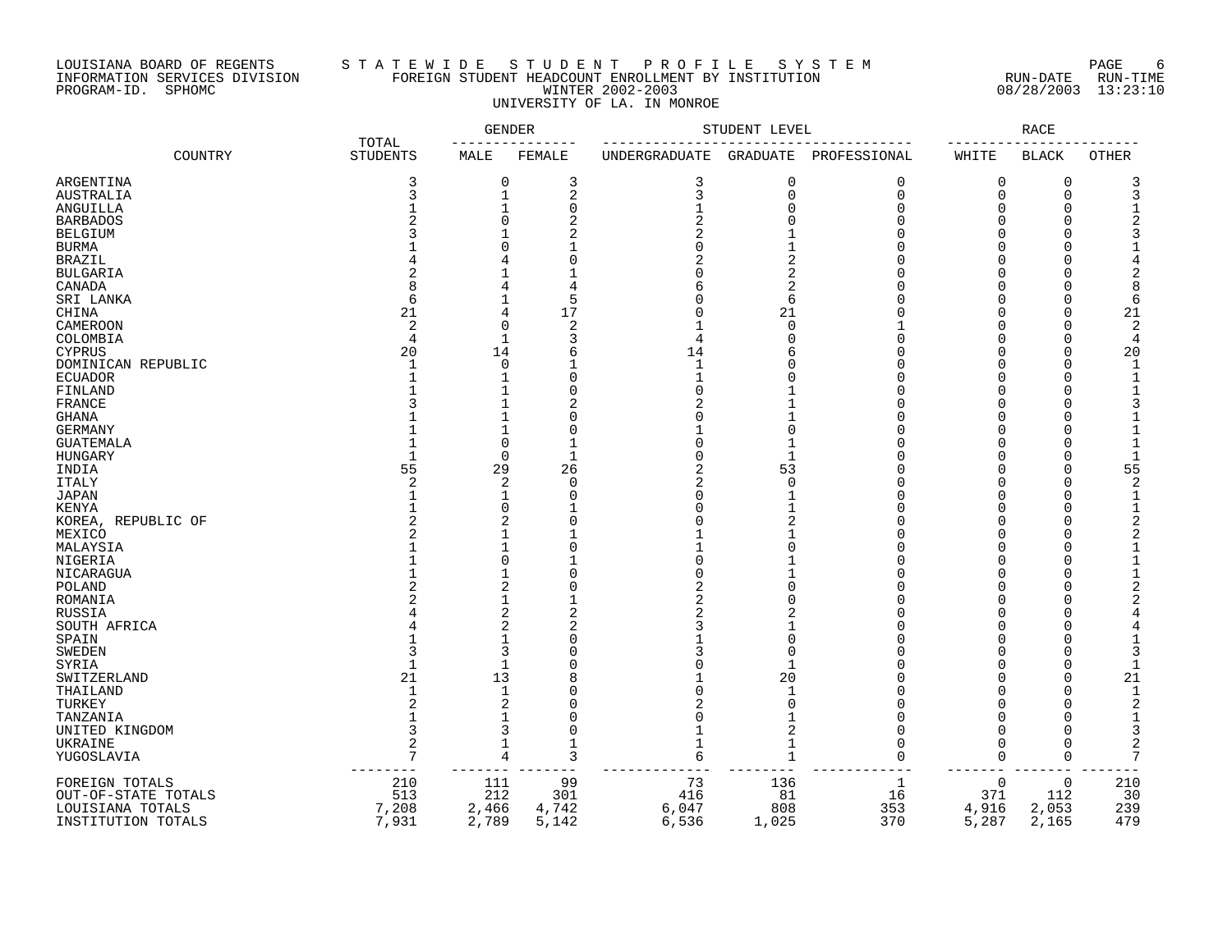## LOUISIANA BOARD OF REGENTS S T A T E W I D E S T U D E N T P R O F I L E S Y S T E M PAGE 6 INFORMATION SERVICES DIVISION FOREIGN STUDENT HEADCOUNT ENROLLMENT BY INSTITUTION RUN-DATE RUN-TIME PROGRAM-ID. SPHOMC WINTER 2002-2003 08/28/2003 13:23:10 UNIVERSITY OF LA. IN MONROE

|                     |                          | GENDER         |                | STUDENT LEVEL |                | RACE           |             |              |                     |
|---------------------|--------------------------|----------------|----------------|---------------|----------------|----------------|-------------|--------------|---------------------|
| COUNTRY             | TOTAL<br><b>STUDENTS</b> | MALE           | FEMALE         | UNDERGRADUATE | GRADUATE       | PROFESSIONAL   | WHITE       | <b>BLACK</b> | <b>OTHER</b>        |
| ARGENTINA           | 3                        | 0              | 3              | 3             | 0              | 0              | $\Omega$    | 0            |                     |
| <b>AUSTRALIA</b>    | 3                        | $\mathbf{1}$   | $\overline{2}$ | 3             | $\mathbf 0$    | $\overline{0}$ | $\Omega$    | $\Omega$     |                     |
| ANGUILLA            |                          | $\mathbf{1}$   | $\Omega$       |               | $\Omega$       | $\Omega$       | $\Omega$    | $\Omega$     |                     |
| <b>BARBADOS</b>     |                          | U              | 2              |               | $\cap$         | $\cap$         | $\cap$      |              |                     |
| <b>BELGIUM</b>      |                          |                |                |               |                |                |             |              |                     |
| <b>BURMA</b>        |                          | N              |                |               |                |                |             |              |                     |
| <b>BRAZIL</b>       |                          | 4              |                |               | 2              |                | ∩           |              |                     |
| <b>BULGARIA</b>     |                          |                |                |               | 2              |                |             |              |                     |
| CANADA              |                          | 4              |                |               | 2              |                |             |              |                     |
| SRI LANKA           | 6                        |                | 5              |               | 6              |                |             |              | 6                   |
| CHINA               | 21                       | 4              | 17             |               | 21             |                |             | ∩            | 21                  |
| CAMEROON            | $\overline{2}$           | 0              | 2              |               | $\mathbf 0$    |                | $\Omega$    | $\Omega$     | 2                   |
| COLOMBIA            | 4                        | 1              | 3              |               | $\Omega$       |                |             | $\Omega$     | 4                   |
| <b>CYPRUS</b>       | 20                       | 14             | 6              | 14            |                | U              | $\Omega$    | $\Omega$     | 20                  |
| DOMINICAN REPUBLIC  |                          | 0              |                |               | ſ              |                |             | ∩            |                     |
| <b>ECUADOR</b>      |                          | 1              | C              |               | ſ              | U              | $\cap$      | $\cap$       |                     |
| FINLAND             |                          | 1              | $\bigcap$      |               |                | U              | $\cap$      | ∩            |                     |
| FRANCE              |                          | 1              |                |               |                |                | $\cap$      |              |                     |
| <b>GHANA</b>        |                          | 1              | C              |               |                | U              | $\Omega$    | ∩            |                     |
| <b>GERMANY</b>      |                          | $\mathbf{1}$   | C              |               | $\Omega$       | U              |             |              |                     |
| <b>GUATEMALA</b>    |                          | 0              |                |               |                | U              | $\Omega$    | $\Omega$     |                     |
| HUNGARY             |                          | 0              | $\mathbf{1}$   |               | $\mathbf{1}$   |                | $\Omega$    | $\Omega$     |                     |
| INDIA               | 55                       | 29             | 26             |               | 53             |                |             | $\Omega$     | 55                  |
| <b>ITALY</b>        | $\overline{2}$           | 2              | $\mathbf 0$    |               | $\mathbf 0$    | $\cap$         |             | $\cap$       |                     |
| <b>JAPAN</b>        |                          | $\mathbf{1}$   | $\cup$         |               |                |                |             |              |                     |
| KENYA               |                          | $\Omega$       |                |               |                |                | $\Omega$    | ∩            |                     |
| KOREA, REPUBLIC OF  |                          | 2              | $\bigcap$      |               | 2              |                | $\cap$      |              |                     |
| MEXICO              |                          |                |                |               |                |                |             |              |                     |
| MALAYSIA            |                          | 1              | O              |               |                |                |             |              |                     |
| NIGERIA             |                          | $\Omega$       |                |               |                |                |             |              |                     |
| NICARAGUA           |                          | 1              | C              |               |                |                |             |              |                     |
| POLAND              |                          | 2              | C              |               | $\cap$         |                |             |              |                     |
| ROMANIA             |                          | 1              |                |               | ſ              |                |             |              |                     |
| RUSSIA              |                          | 2              | 2              |               |                |                |             |              |                     |
| SOUTH AFRICA        |                          | $\overline{2}$ | 2              |               |                |                |             |              |                     |
| SPAIN               |                          | 1              | C              |               | $\Omega$       |                |             |              |                     |
| <b>SWEDEN</b>       |                          | 3              |                |               | $\Omega$       |                |             |              |                     |
| SYRIA               |                          | 1              | C              |               |                |                |             | ∩            |                     |
| SWITZERLAND         | 21                       | 13             | 8              |               | 20             |                |             | ∩            | 21                  |
| THAILAND            | $\mathbf{1}$             | 1              | C              |               | $\mathbf{1}$   | U              | $\Omega$    | ∩            | -1                  |
| TURKEY              | 2<br>$\mathbf{1}$        | 2              |                |               | $\Omega$       |                |             |              | 2                   |
| TANZANIA            |                          | 1              | $\bigcap$      |               |                | U              | $\cap$      |              |                     |
| UNITED KINGDOM      | 3                        | 3              | $\Omega$       |               | $\overline{2}$ | $\cap$         |             |              | 3                   |
| UKRAINE             | $\overline{c}$           | 1              | 1              |               | 1              | O              | $\Omega$    | $\Omega$     | $\overline{c}$<br>7 |
| YUGOSLAVIA          | $\overline{7}$           | 4              | 3              | 6             | $\mathbf{1}$   | $\Omega$       | 0           | $\Omega$     |                     |
| FOREIGN TOTALS      | 210                      | 111            | 99             | 73            | 136            | 1              | $\mathbf 0$ | $\mathbf 0$  | 210                 |
| OUT-OF-STATE TOTALS | 513                      | 212            | 301            | 416           | 81             | 16             | 371         | 112          | 30                  |
| LOUISIANA TOTALS    | 7,208                    | 2,466          | 4,742          | 6,047         | 808            | 353            | 4,916       | 2,053        | 239                 |
| INSTITUTION TOTALS  | 7,931                    | 2,789          | 5,142          | 6,536         | 1,025          | 370            | 5,287       | 2,165        | 479                 |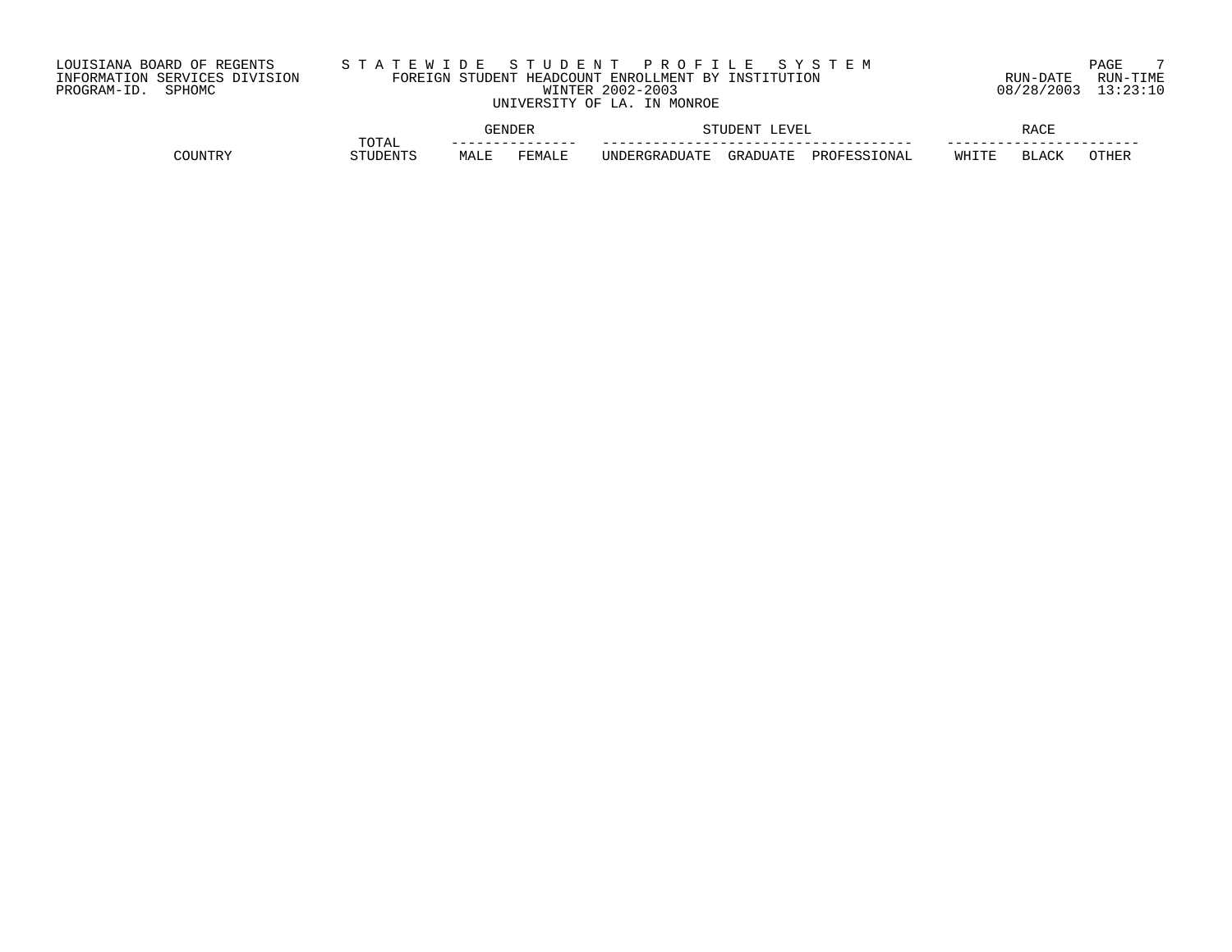# LOUISIANA BOARD OF REGENTS S T A T E W I D E S T U D E N T P R O F I L E S Y S T E M PAGE 7 INFORMATION SERVICES DIVISION FOREIGN STUDENT HEADCOUNT ENROLLMENT BY INSTITUTION RUN-DATE RUN-TIME PROGRAM-ID. SPHOMC WINTER 2002-2003 08/28/2003 13:23:10 UNIVERSITY OF LA. IN MONROE

|            |            |      | ENDEF   |                                     | <b>EVEI</b><br>ידורדור |                | ロスペロ<br>ししい |                |               |
|------------|------------|------|---------|-------------------------------------|------------------------|----------------|-------------|----------------|---------------|
|            | TOTAL      |      | ------- | ___                                 |                        |                | __          |                |               |
| יסידווזורי | אידו אים ר | MALE | FEMALE  | $\alpha$ antiate.<br><b>UNDER</b> G | <b>GRADIIATE</b>       | ロウソム<br>`N A L | WHITE       | $R$ $\cap$ $T$ | $\bigcap \Pi$ |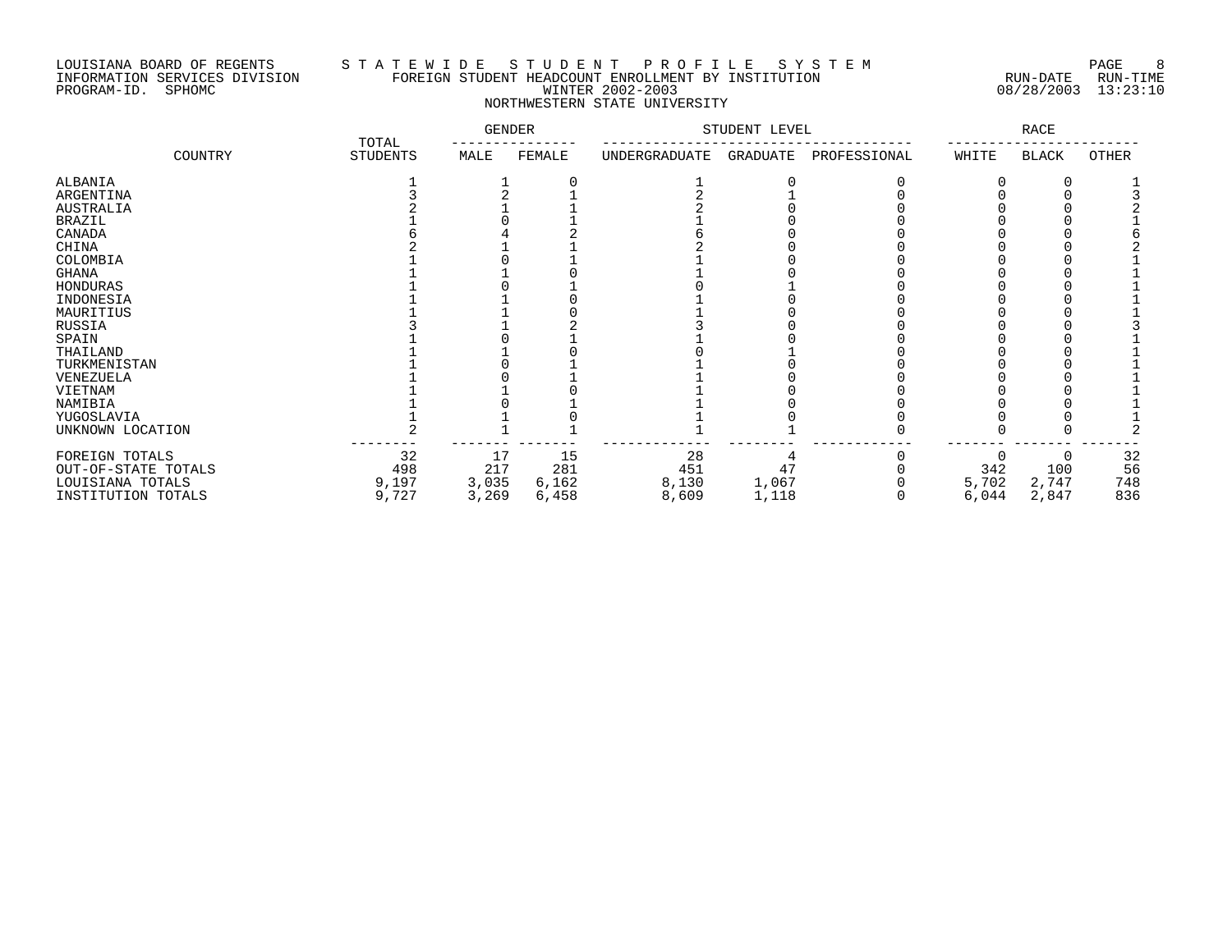## LOUISIANA BOARD OF REGENTS S T A T E W I D E S T U D E N T P R O F I L E S Y S T E M PAGE 8 INFORMATION SERVICES DIVISION FOREIGN STUDENT HEADCOUNT ENROLLMENT BY INSTITUTION RUN-DATE RUN-TIME PROGRAM-ID. SPHOMC WINTER 2002-2003 08/28/2003 13:23:10 NORTHWESTERN STATE UNIVERSITY

|                     |                          | <b>GENDER</b> |        | STUDENT LEVEL |          | <b>RACE</b>  |       |              |       |
|---------------------|--------------------------|---------------|--------|---------------|----------|--------------|-------|--------------|-------|
| COUNTRY             | TOTAL<br><b>STUDENTS</b> | MALE          | FEMALE | UNDERGRADUATE | GRADUATE | PROFESSIONAL | WHITE | <b>BLACK</b> | OTHER |
| ALBANIA             |                          |               |        |               |          |              |       |              |       |
| ARGENTINA           |                          |               |        |               |          |              |       |              |       |
| <b>AUSTRALIA</b>    |                          |               |        |               |          |              |       |              |       |
| <b>BRAZIL</b>       |                          |               |        |               |          |              |       |              |       |
| CANADA              |                          |               |        |               |          |              |       |              |       |
| CHINA               |                          |               |        |               |          |              |       |              |       |
| COLOMBIA            |                          |               |        |               |          |              |       |              |       |
| <b>GHANA</b>        |                          |               |        |               |          |              |       |              |       |
| HONDURAS            |                          |               |        |               |          |              |       |              |       |
| INDONESIA           |                          |               |        |               |          |              |       |              |       |
| MAURITIUS           |                          |               |        |               |          |              |       |              |       |
| RUSSIA              |                          |               |        |               |          |              |       |              |       |
| SPAIN               |                          |               |        |               |          |              |       |              |       |
| THAILAND            |                          |               |        |               |          |              |       |              |       |
| TURKMENISTAN        |                          |               |        |               |          |              |       |              |       |
| VENEZUELA           |                          |               |        |               |          |              |       |              |       |
| VIETNAM             |                          |               |        |               |          |              |       |              |       |
| NAMIBIA             |                          |               |        |               |          |              |       |              |       |
| YUGOSLAVIA          |                          |               |        |               |          |              |       |              |       |
| UNKNOWN LOCATION    |                          |               |        |               |          |              |       |              |       |
| FOREIGN TOTALS      | 32                       | 17            | 15     | 28            |          |              |       |              | 32    |
| OUT-OF-STATE TOTALS | 498                      | 217           | 281    | 451           | 47       |              | 342   | 100          | 56    |
| LOUISIANA TOTALS    | 9,197                    | 3,035         | 6,162  | 8,130         | 1,067    |              | 5,702 | 2,747        | 748   |
| INSTITUTION TOTALS  | 9,727                    | 3,269         | 6,458  | 8,609         | 1,118    |              | 6,044 | 2,847        | 836   |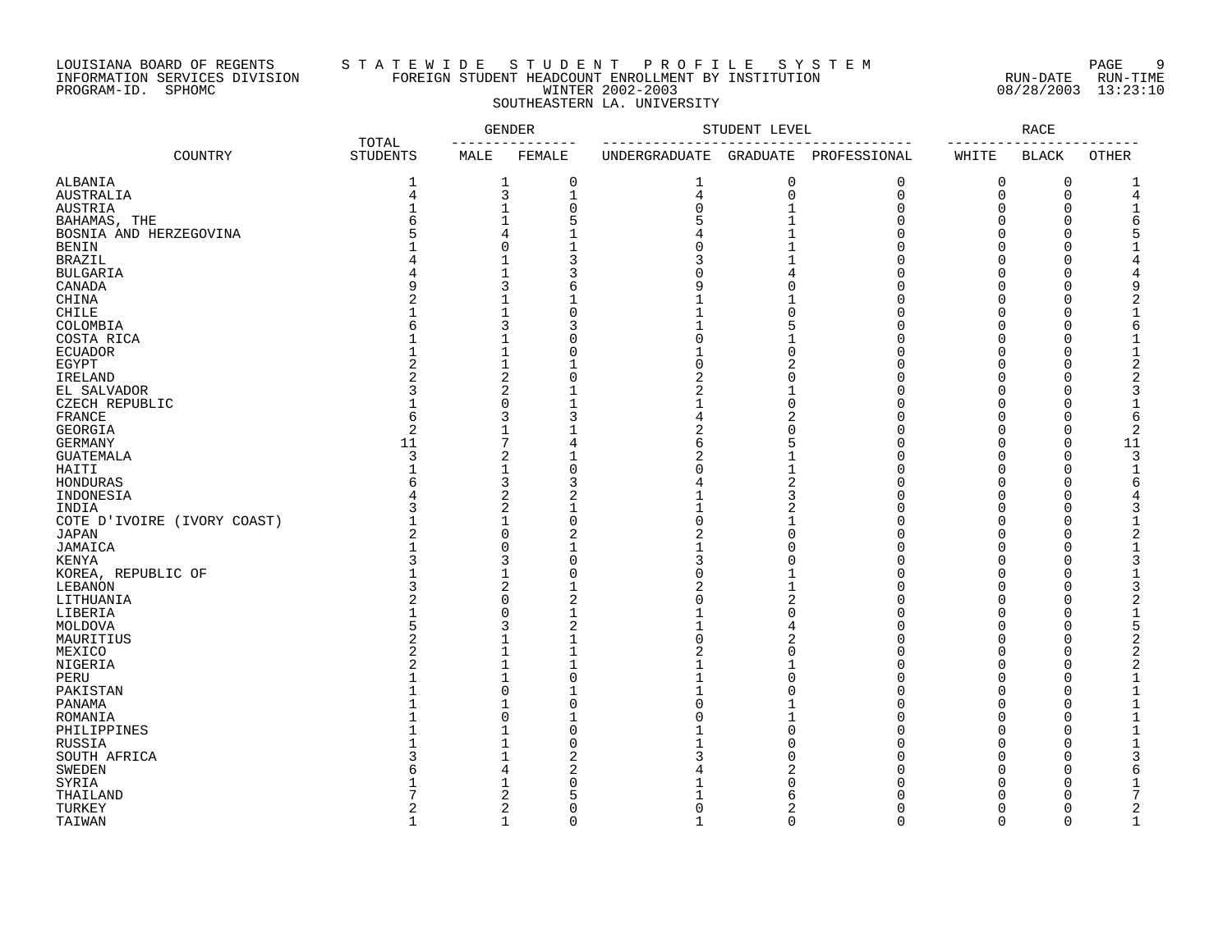## LOUISIANA BOARD OF REGENTS S T A T E W I D E S T U D E N T P R O F I L E S Y S T E M PAGE 9 INFORMATION SERVICES DIVISION FOREIGN STUDENT HEADCOUNT ENROLLMENT BY INSTITUTION RUN-DATE RUN-TIME PROGRAM-ID. SPHOMC WINTER 2002-2003 08/28/2003 13:23:10 SOUTHEASTERN LA. UNIVERSITY

|                             |                          | <b>GENDER</b>  |                | STUDENT LEVEL |              | <b>RACE</b>  |          |                      |                |
|-----------------------------|--------------------------|----------------|----------------|---------------|--------------|--------------|----------|----------------------|----------------|
| COUNTRY                     | TOTAL<br><b>STUDENTS</b> | MALE           | FEMALE         | UNDERGRADUATE | GRADUATE     | PROFESSIONAL | WHITE    | <b>BLACK</b>         | OTHER          |
| ALBANIA                     | 1                        | 1              | $\mathbf 0$    | 1             | 0            | 0            | 0        | $\mathbf 0$          | 1              |
| AUSTRALIA                   | $\overline{4}$           | 3              | $\mathbf{1}$   | 4             | 0            | $\mathbf 0$  | 0        | $\mathbf 0$          | 4              |
| AUSTRIA                     |                          | $\mathbf{1}$   | 0              | 0             | $\mathbf{1}$ | O            | 0        | $\Omega$             | 1              |
| BAHAMAS, THE                | ศ                        | $\mathbf{1}$   | 5              | 5             | $\mathbf{1}$ | U            | O        | $\Omega$             | 6              |
| BOSNIA AND HERZEGOVINA      |                          | 4              |                | 4             | $\mathbf{1}$ | U            | O        | $\Omega$             |                |
| <b>BENIN</b>                |                          | $\Omega$       |                | U             |              |              | U        | ∩                    |                |
| <b>BRAZIL</b>               |                          | $\mathbf{1}$   |                |               |              |              | O        | $\Omega$             | 4              |
| <b>BULGARIA</b>             |                          | $\mathbf{1}$   |                |               |              |              | O        | O                    |                |
| CANADA                      |                          | 3              | 6              |               |              |              | U        | O                    | 9              |
|                             | 2                        |                |                |               |              |              |          |                      | 2              |
| CHINA                       |                          | 1              |                |               |              |              | O        | $\Omega$             |                |
| CHILE                       |                          | $\mathbf{1}$   | $\Omega$       |               | $\Omega$     |              | U        | ∩                    |                |
| COLOMBIA                    |                          | 3              | З              |               | 5            |              |          | $\Omega$             | 6              |
| COSTA RICA                  |                          | $\mathbf{1}$   | $\Omega$       | U             |              |              | O        | O                    | 1              |
| <b>ECUADOR</b>              |                          | $\mathbf{1}$   | $\Omega$       |               | O            |              | U        | $\Omega$             | 1              |
| EGYPT                       |                          | $\mathbf{1}$   |                | U             |              |              |          | $\Omega$             | $\overline{2}$ |
| IRELAND                     | $\mathcal{D}$            | 2              | $\Omega$       | 2             |              |              | U        | ∩                    | 2              |
| EL SALVADOR                 |                          | $\overline{2}$ |                | 2             |              |              |          | ∩                    | 3              |
| CZECH REPUBLIC              |                          | $\Omega$       |                | 1             | $\Omega$     |              |          | ∩                    | $\mathbf{1}$   |
| FRANCE                      | 6                        | 3              |                | 4             |              |              | U        | O                    | 6              |
| GEORGIA                     | $\overline{2}$           | 1              |                | 2             |              |              |          | $\Omega$             | $\overline{2}$ |
| GERMANY                     | 11                       | 7              | 4              | 6             |              |              | U        | $\Omega$             | 11             |
| <b>GUATEMALA</b>            | $\mathbf{3}$             | 2              |                | 2             |              |              | ∩        | ∩                    | 3              |
| HAITI                       |                          | 1              | $\Omega$       |               |              |              | U        | $\Omega$             | $\mathbf{1}$   |
| HONDURAS                    |                          | 3              |                |               |              |              | N        | O                    | 6              |
| INDONESIA                   |                          | 2              |                |               |              |              |          | ∩                    |                |
| INDIA                       |                          | 2              |                |               |              |              | O        | O                    |                |
| COTE D'IVOIRE (IVORY COAST) |                          | 1              | $\Omega$       | U             | 1            |              | U        | ∩                    | 1              |
| JAPAN                       |                          | $\Omega$       | 2              |               | $\Omega$     |              | Ω        | ∩                    | 2              |
| JAMAICA                     |                          | 0              |                |               |              |              | O        | $\Omega$             |                |
| KENYA                       |                          | 3              | $\Omega$       |               |              |              |          | $\Omega$             | 3              |
| KOREA, REPUBLIC OF          |                          | $\mathbf{1}$   | $\Omega$       |               |              |              | O        | ∩                    |                |
| LEBANON                     | 3                        | $\overline{2}$ |                | 2             | 1            |              | O        | $\Omega$             | 3              |
| LITHUANIA                   |                          | 0              | $\overline{2}$ | U             |              |              | O        | $\Omega$             | $\overline{2}$ |
| LIBERIA                     |                          | 0              |                |               | $\Omega$     | U            | O        | $\Omega$             | $\mathbf{1}$   |
|                             |                          |                |                |               |              |              | O        |                      |                |
| MOLDOVA                     | 5<br>$\overline{2}$      | 3<br>1         | 2              | U             |              |              | $\Omega$ | $\Omega$<br>$\Omega$ | 5              |
| MAURITIUS                   |                          |                |                |               |              |              |          |                      |                |
| MEXICO                      | 2                        | $\mathbf{1}$   |                | 2             | O            | U            | $\Omega$ | $\Omega$             | 2              |
| NIGERIA                     |                          | 1              |                |               |              |              | O        | $\Omega$             | $\overline{2}$ |
| PERU                        |                          | 1              | $\Omega$       |               | $\Omega$     | U            | O        | $\Omega$             | 1              |
| PAKISTAN                    |                          | 0              |                |               | ∩            | U            | O        | O                    |                |
| PANAMA                      |                          | $\mathbf{1}$   | $\Omega$       |               | 1            | U            | O        | $\Omega$             | 1              |
| ROMANIA                     |                          | $\Omega$       |                |               |              | U            | $\Omega$ | $\Omega$             |                |
| PHILIPPINES                 |                          |                | $\Omega$       |               |              |              | O        | $\Omega$             | 1              |
| RUSSIA                      |                          | 1              | $\Omega$       |               |              |              | O        | $\Omega$             |                |
| SOUTH AFRICA                |                          | 1              | 2              |               |              |              | O        | $\Omega$             | 3              |
| <b>SWEDEN</b>               |                          | 4              | 2              |               |              |              | 0        | $\Omega$             | б              |
| SYRIA                       |                          | 1              | $\Omega$       |               |              |              | U        | O                    |                |
| THAILAND                    |                          | 2              | 5              |               |              |              |          | ∩                    |                |
| TURKEY                      | 2                        | 2              | $\Omega$       |               | 2            |              | $\Omega$ | ∩                    | 2              |
| TAIWAN                      | $\mathbf{1}$             | $\mathbf{1}$   | $\Omega$       |               | $\Omega$     | $\cap$       | $\Omega$ | $\cap$               | $\mathbf{1}$   |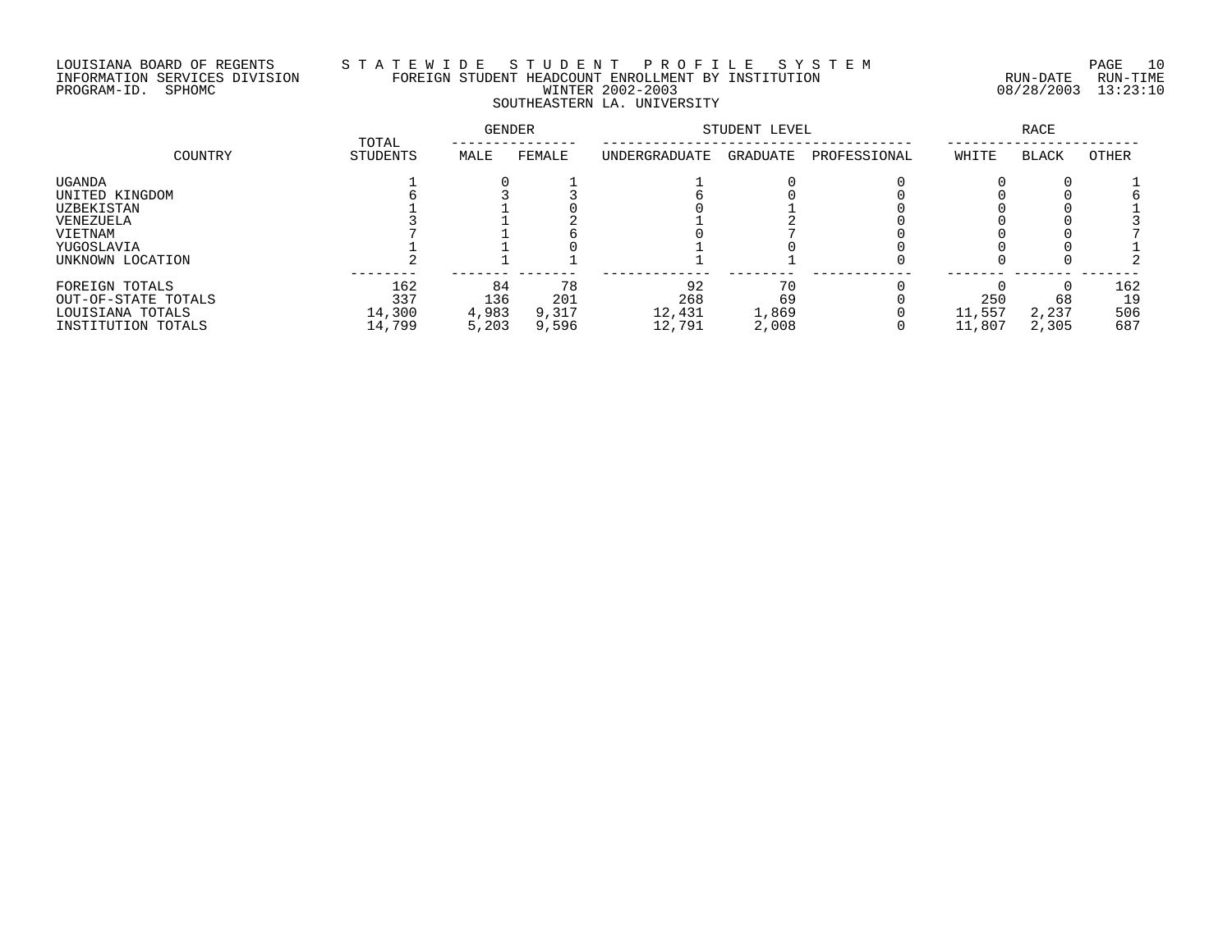# LOUISIANA BOARD OF REGENTS S T A T E W I D E S T U D E N T P R O F I L E S Y S T E M PAGE 10 INFORMATION SERVICES DIVISION FOREIGN STUDENT HEADCOUNT ENROLLMENT BY INSTITUTION RUN-DATE RUN-TIME PROGRAM-ID. SPHOMC WINTER 2002-2003 08/28/2003 13:23:10 SOUTHEASTERN LA. UNIVERSITY

|                     |                   | <b>GENDER</b> |        | STUDENT LEVEL |          | <b>RACE</b>  |        |              |       |
|---------------------|-------------------|---------------|--------|---------------|----------|--------------|--------|--------------|-------|
| COUNTRY             | TOTAL<br>STUDENTS | MALE          | FEMALE | UNDERGRADUATE | GRADUATE | PROFESSIONAL | WHITE  | <b>BLACK</b> | OTHER |
| UGANDA              |                   |               |        |               |          |              |        |              |       |
| UNITED KINGDOM      |                   |               |        |               |          |              |        |              |       |
| UZBEKISTAN          |                   |               |        |               |          |              |        |              |       |
| VENEZUELA           |                   |               |        |               |          |              |        |              |       |
| VIETNAM             |                   |               |        |               |          |              |        |              |       |
| YUGOSLAVIA          |                   |               |        |               |          |              |        |              |       |
| UNKNOWN LOCATION    |                   |               |        |               |          |              |        |              |       |
| FOREIGN TOTALS      | 162               | 84            | 78     | 92            | 70       |              |        |              | 162   |
| OUT-OF-STATE TOTALS | 337               | 136           | 201    | 268           | 69       |              | 250    | 68           | 19    |
| LOUISIANA TOTALS    | 14,300            | 4,983         | 9,317  | 12,431        | 1,869    |              | 11,557 | 2,237        | 506   |
| INSTITUTION TOTALS  | 14,799            | 5,203         | 9,596  | 12,791        | 2,008    |              | 11,807 | 2,305        | 687   |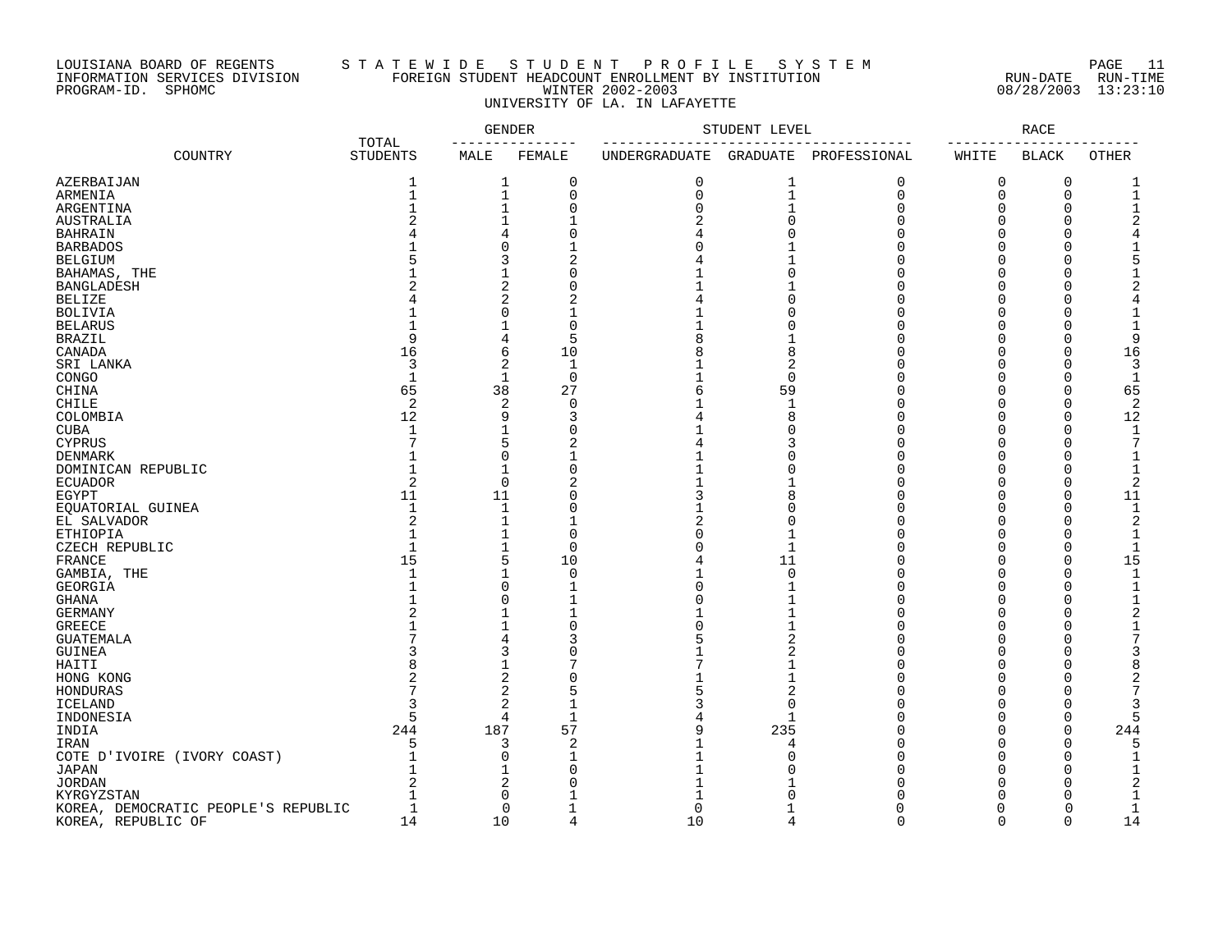## LOUISIANA BOARD OF REGENTS S T A T E W I D E S T U D E N T P R O F I L E S Y S T E M PAGE 11 INFORMATION SERVICES DIVISION FOREIGN STUDENT HEADCOUNT ENROLLMENT BY INSTITUTION RUN-DATE RUN-TIME PROGRAM-ID. SPHOMC WINTER 2002-2003 08/28/2003 13:23:10 UNIVERSITY OF LA. IN LAFAYETTE

|                                     |                          |                   | <b>GENDER</b>  | STUDENT LEVEL                         | RACE           |              |                   |                        |                |
|-------------------------------------|--------------------------|-------------------|----------------|---------------------------------------|----------------|--------------|-------------------|------------------------|----------------|
| COUNTRY                             | TOTAL<br><b>STUDENTS</b> | ---------<br>MALE | FEMALE         | --------------------<br>UNDERGRADUATE | GRADUATE       | PROFESSIONAL | --------<br>WHITE | ------<br><b>BLACK</b> | <b>OTHER</b>   |
| AZERBAIJAN                          | 1                        | 1                 | 0              | $\mathbf 0$                           | 1              | $\mathbf 0$  | 0                 | 0                      | -1             |
| ARMENIA                             | $\mathbf{1}$             | $\mathbf 1$       | $\mathbf 0$    | $\Omega$                              | $\mathbf{1}$   | $\mathbf 0$  | 0                 | 0                      | $\mathbf{1}$   |
| ARGENTINA                           |                          | 1                 | $\mathbf 0$    |                                       | $\mathbf{1}$   | $\cap$       | 0                 | $\Omega$               | $\mathbf 1$    |
| AUSTRALIA                           |                          | 1                 | $\mathbf{1}$   |                                       | $\Omega$       | $\cap$       | 0                 | $\Omega$               | 2              |
| <b>BAHRAIN</b>                      |                          | 4                 | $\Omega$       |                                       |                |              | 0                 | $\Omega$               |                |
| <b>BARBADOS</b>                     |                          | 0                 |                |                                       |                |              | $\Omega$          | $\Omega$               |                |
| <b>BELGIUM</b>                      |                          | 3                 | $\overline{2}$ |                                       |                |              | $\Omega$          | $\Omega$               | 5              |
| BAHAMAS, THE                        |                          | $\mathbf{1}$      | $\Omega$       |                                       |                |              | O                 | $\Omega$               |                |
| <b>BANGLADESH</b>                   |                          | 2                 | $\Omega$       |                                       |                |              | 0                 | $\Omega$               |                |
| <b>BELIZE</b>                       |                          | 2                 |                |                                       |                |              | O                 | $\Omega$               |                |
| <b>BOLIVIA</b>                      |                          | 0                 |                |                                       |                |              | $\Omega$          | $\Omega$               |                |
| <b>BELARUS</b>                      |                          |                   | $\cap$         |                                       |                |              | U                 | $\Omega$               | $\mathbf{1}$   |
| <b>BRAZIL</b>                       | q                        | 4                 | 5              |                                       |                |              | $\Omega$          | $\Omega$               | 9              |
| CANADA                              | 16                       | 6                 | 10             |                                       | 8              |              | O                 | $\Omega$               | 16             |
| SRI LANKA                           | 3                        | 2                 | $\mathbf{1}$   |                                       | 2              |              | U                 | $\Omega$               | 3              |
| CONGO                               | $\mathbf{1}$             | $\mathbf{1}$      | $\mathbf 0$    |                                       | $\mathbf 0$    |              | O                 | $\Omega$               | $\mathbf{1}$   |
| CHINA                               | 65                       | 38                | 27             |                                       | 59             |              | U                 | $\Omega$               | 65             |
| CHILE                               | $\overline{2}$           | 2                 | 0              |                                       | $\mathbf{1}$   |              | 0                 | $\Omega$               | $\overline{2}$ |
| COLOMBIA                            | 12                       | 9                 | 3              |                                       | 8              |              | O                 | $\mathbf 0$            | 12             |
| <b>CUBA</b>                         | 1                        | 1                 | $\Omega$       |                                       |                |              | O                 | $\Omega$               | $\mathbf{1}$   |
| <b>CYPRUS</b>                       |                          | 5                 | 2              |                                       |                |              | U                 | $\Omega$               | 7              |
| DENMARK                             |                          | $\Omega$          |                |                                       | n              |              | $\Omega$          | $\Omega$               | $\mathbf{1}$   |
| DOMINICAN REPUBLIC                  |                          | $\mathbf{1}$      | $\Omega$       |                                       |                |              | $\Omega$          | $\Omega$               | $\overline{1}$ |
| ECUADOR                             | 2                        | 0                 | 2              |                                       |                |              | O                 | $\Omega$               | 2              |
| EGYPT                               | 11                       | 11                | $\bigcap$      |                                       | 8              |              | O                 | $\Omega$               | 11             |
| EQUATORIAL GUINEA                   | $\mathbf 1$              | $\mathbf 1$       | O              |                                       |                |              | O                 | $\Omega$               | $\mathbf{1}$   |
| EL SALVADOR                         |                          | 1                 |                |                                       | O              |              | O                 | $\Omega$               | 2              |
| ETHIOPIA                            |                          | 1                 | $\bigcap$      |                                       |                |              | U                 | $\Omega$               | $\mathbf{1}$   |
| CZECH REPUBLIC                      |                          | 1                 | $\mathbf 0$    |                                       | $\mathbf{1}$   |              | $\Omega$          | $\Omega$               | $\mathbf{1}$   |
| FRANCE                              | 15                       | 5                 | 10             |                                       | 11             |              | U                 | $\Omega$               | 15             |
| GAMBIA, THE                         | $\mathbf{1}$             | 1                 | $\mathbf 0$    |                                       | $\mathbf 0$    |              | $\Omega$          | $\Omega$               | $\mathbf{1}$   |
| GEORGIA                             |                          | 0                 | $\mathbf 1$    |                                       |                |              | O                 | $\Omega$               | $\mathbf{1}$   |
| GHANA                               |                          | 0                 |                |                                       |                |              | $\Omega$          | $\Omega$               | $\mathbf{1}$   |
| GERMANY                             |                          | 1                 |                |                                       |                |              | $\Omega$          | $\Omega$               | $\overline{2}$ |
| <b>GREECE</b>                       |                          |                   | $\Omega$       |                                       |                |              | O                 | $\Omega$               | $\mathbf{1}$   |
| <b>GUATEMALA</b>                    |                          | 4                 |                |                                       | 2              |              | 0                 | $\Omega$               | 7              |
| GUINEA                              |                          | 3                 | $\Omega$       |                                       | 2              |              | O                 | $\Omega$               | 3              |
| HAITI                               |                          | 1                 |                |                                       |                |              | O                 | $\Omega$               | 8              |
| HONG KONG                           |                          | 2                 | $\bigcap$      |                                       |                |              | U                 | ∩                      | 2              |
| HONDURAS                            |                          | 2                 |                |                                       | $\overline{2}$ |              | O                 | $\Omega$               |                |
| ICELAND                             |                          | 2                 |                |                                       | $\mathbf 0$    |              | O                 | $\Omega$               |                |
| INDONESIA                           | 5                        | 4                 | 1              |                                       | $\mathbf{1}$   |              | O                 | $\Omega$               | 5              |
| INDIA                               | 244                      | 187               | 57             |                                       | 235            |              | U                 | $\Omega$               | 244            |
| IRAN                                | 5                        | 3                 | $\overline{2}$ |                                       | 4<br>O         |              | U                 | $\Omega$<br>$\Omega$   | 5<br>-1        |
| COTE D'IVOIRE (IVORY COAST)         |                          | 0<br>1            | $\Omega$       |                                       |                |              | 0<br>O            | $\Omega$               |                |
| JAPAN<br><b>JORDAN</b>              |                          | 2                 | $\bigcap$      |                                       |                |              | O                 | $\Omega$               | 2              |
| KYRGYZSTAN                          |                          | $\Omega$          |                |                                       |                |              | U                 | ∩                      | -1             |
| KOREA, DEMOCRATIC PEOPLE'S REPUBLIC | $\mathbf{1}$             | $\Omega$          | 1              | $\Omega$                              |                | U            | 0                 | $\Omega$               | $\mathbf 1$    |
| KOREA, REPUBLIC OF                  | 14                       | 10                | $\overline{4}$ | 10                                    | $\overline{4}$ | $\cap$       | $\cap$            | $\Omega$               | 14             |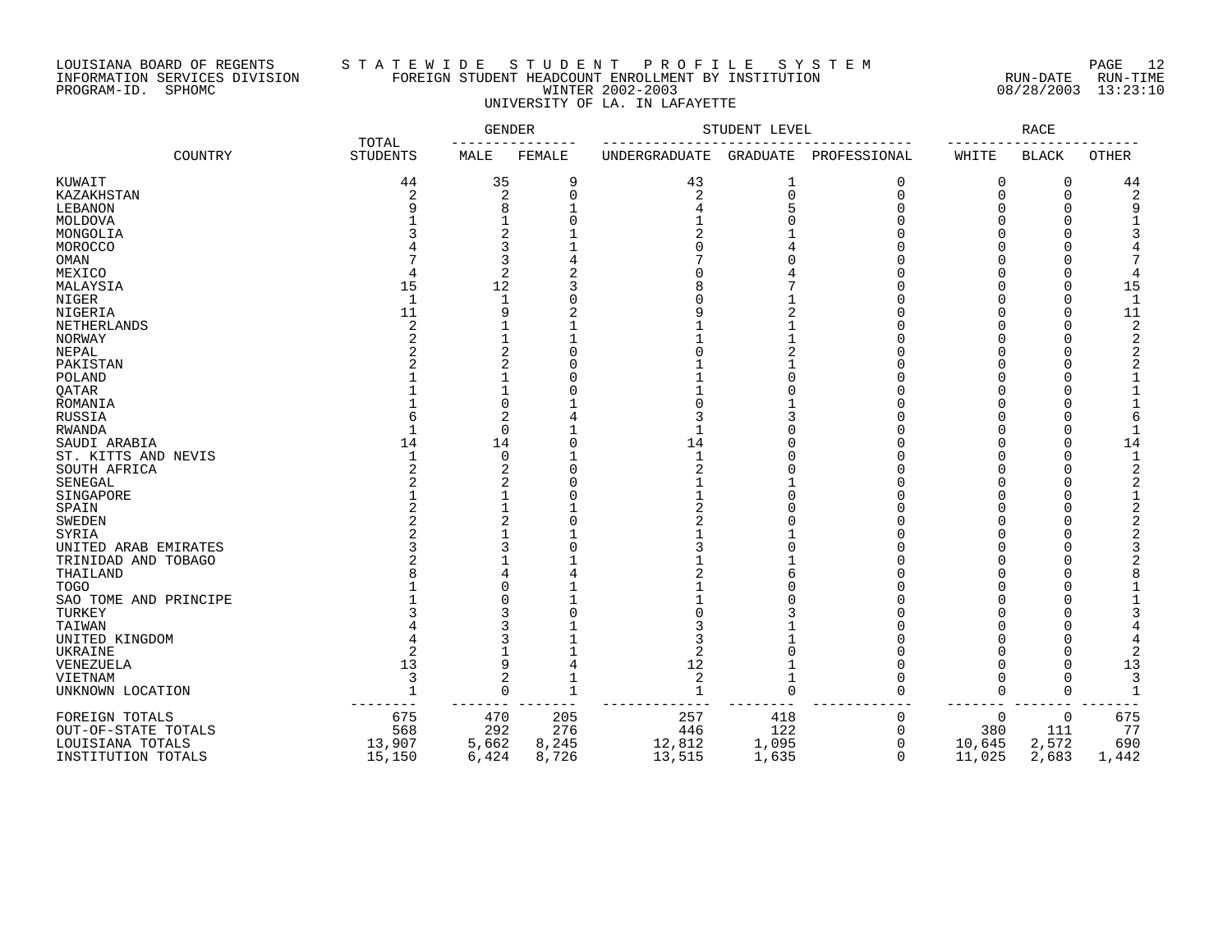## LOUISIANA BOARD OF REGENTS S T A T E W I D E S T U D E N T P R O F I L E S Y S T E M PAGE 12 INFORMATION SERVICES DIVISION FOREIGN STUDENT HEADCOUNT ENROLLMENT BY INSTITUTION RUN-DATE RUN-TIME PROGRAM-ID. SPHOMC WINTER 2002-2003 08/28/2003 13:23:10 UNIVERSITY OF LA. IN LAFAYETTE

|                       |                          | GENDER         |              | STUDENT LEVEL  | RACE     |              |          |              |                |
|-----------------------|--------------------------|----------------|--------------|----------------|----------|--------------|----------|--------------|----------------|
| COUNTRY               | TOTAL<br><b>STUDENTS</b> | MALE           | FEMALE       | UNDERGRADUATE  | GRADUATE | PROFESSIONAL | WHITE    | <b>BLACK</b> | <b>OTHER</b>   |
| KUWAIT                | 44                       | 35             | 9            | 43             | 1        | $\Omega$     | 0        | 0            | 44             |
| KAZAKHSTAN            | 2                        | 2              | U            | $\overline{2}$ | $\Omega$ | $\Omega$     | 0        | 0            | $\overline{2}$ |
| LEBANON               |                          | 8              |              |                |          | U            | O        | U            | q              |
| MOLDOVA               |                          |                |              |                |          |              | O        | $\Omega$     |                |
| MONGOLIA              |                          | 2              |              |                |          |              |          |              |                |
| MOROCCO               |                          | 3              |              |                |          |              | O        |              |                |
| OMAN                  |                          | 3              |              |                |          |              |          |              |                |
| MEXICO                |                          | $\overline{a}$ |              |                |          |              |          | U            | 4              |
| MALAYSIA              | 15                       | 12             |              |                |          |              |          | U            | 15             |
| NIGER                 | $\mathbf{1}$             |                |              |                |          |              |          | $\Omega$     | $\mathbf{1}$   |
| NIGERIA               | 11                       | 9              |              |                |          |              |          | U            | 11             |
| NETHERLANDS           | 2                        |                |              |                |          |              |          | ∩            | 2              |
| NORWAY                |                          |                |              |                |          |              |          |              | $\overline{c}$ |
| NEPAL                 |                          | 2              |              |                |          |              |          |              | 2              |
| PAKISTAN              |                          | 2              |              |                |          |              |          |              |                |
| POLAND                |                          |                |              |                |          |              |          |              |                |
| QATAR                 |                          |                |              |                |          |              | U        | U            |                |
| ROMANIA               |                          | 0              |              |                |          |              | O        | $\Omega$     |                |
| RUSSIA                |                          | 2              |              |                |          |              | O        | $\Omega$     | 6              |
| RWANDA                |                          | 0              |              |                |          |              | O        | $\Omega$     |                |
| SAUDI ARABIA          | 14                       | 14             |              | 14             |          |              | O        | $\Omega$     | 14             |
| ST. KITTS AND NEVIS   |                          | 0              |              | $\mathbf{1}$   |          |              | O        | $\Omega$     | $\mathbf{1}$   |
| SOUTH AFRICA          |                          | 2              |              |                |          |              | U        | $\Omega$     | 2              |
| SENEGAL               |                          | 2              |              |                |          |              | U        | O            | 2              |
| SINGAPORE             |                          |                |              |                |          |              | ∩        | O            | $\mathbf 1$    |
| SPAIN                 |                          |                |              |                |          |              | O        |              | 2              |
| <b>SWEDEN</b>         |                          | 2              |              |                |          |              |          | ∩            | 2              |
| SYRIA                 |                          |                |              |                |          |              |          |              |                |
| UNITED ARAB EMIRATES  |                          | 3              |              |                |          |              |          |              |                |
| TRINIDAD AND TOBAGO   |                          |                |              |                |          |              |          |              |                |
| THAILAND              |                          |                |              |                |          |              |          |              |                |
| <b>TOGO</b>           |                          | ი              |              |                |          |              |          |              |                |
| SAO TOME AND PRINCIPE |                          | O              |              |                |          |              |          |              |                |
| TURKEY                |                          | 3              |              |                |          |              |          |              |                |
| TAIWAN                |                          |                |              |                |          |              |          |              |                |
| UNITED KINGDOM        |                          |                |              |                |          |              |          | O            |                |
| UKRAINE               |                          |                |              |                |          |              |          | $\Omega$     |                |
| <b>VENEZUELA</b>      | 13                       | 9              | 4            | 12             |          |              | ∩        | O            | 13             |
| VIETNAM               | 3                        | 2              |              | 2              |          |              | $\Omega$ | $\Omega$     | 3              |
| UNKNOWN LOCATION      |                          | $\Omega$       | $\mathbf{1}$ | $\overline{1}$ | $\Omega$ | $\Omega$     | 0        | $\Omega$     | -1             |
|                       |                          |                |              |                |          |              |          |              |                |
| FOREIGN TOTALS        | 675                      | 470            | 205          | 257            | 418      | 0            | 0        | 0            | 675            |
| OUT-OF-STATE TOTALS   | 568                      | 292            | 276          | 446            | 122      | <sup>0</sup> | 380      | 111          | 77             |
| LOUISIANA TOTALS      | 13,907                   | 5,662          | 8,245        | 12,812         | 1,095    | 0            | 10,645   | 2,572        | 690            |
| INSTITUTION TOTALS    | 15,150                   | 6,424          | 8,726        | 13,515         | 1,635    | $\Omega$     | 11,025   | 2,683        | 1,442          |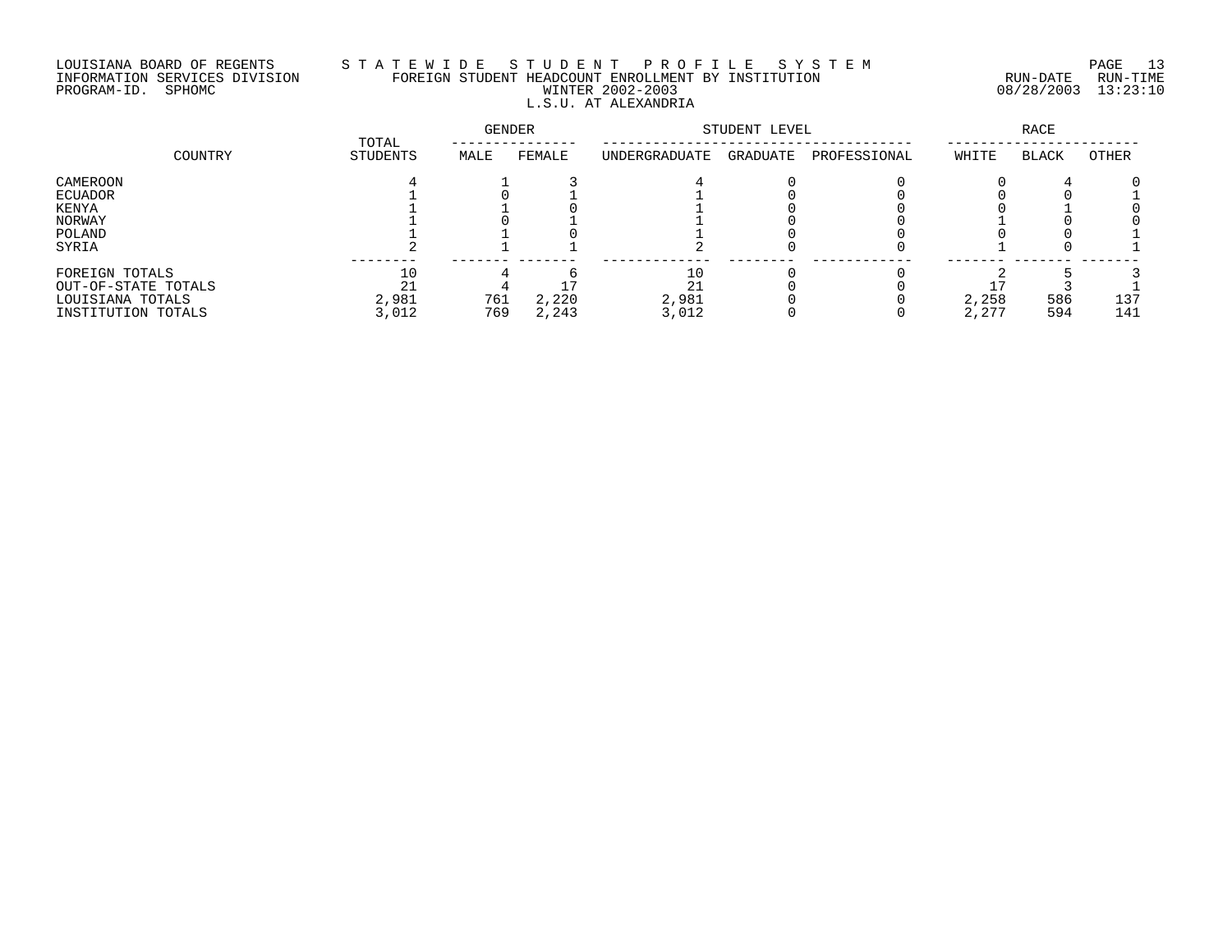# LOUISIANA BOARD OF REGENTS S T A T E W I D E S T U D E N T P R O F I L E S Y S T E M PAGE 13 INFORMATION SERVICES DIVISION FOREIGN STUDENT HEADCOUNT ENROLLMENT BY INSTITUTION RUN-DATE RUN-TIME PROGRAM-ID. SPHOMC WINTER 2002-2003 08/28/2003 13:23:10 L.S.U. AT ALEXANDRIA

| COUNTRY             |                   | GENDER |        | STUDENT LEVEL | RACE     |              |       |              |              |
|---------------------|-------------------|--------|--------|---------------|----------|--------------|-------|--------------|--------------|
|                     | TOTAL<br>STUDENTS | MALE   | FEMALE | UNDERGRADUATE | GRADUATE | PROFESSIONAL | WHITE | <b>BLACK</b> | <b>OTHER</b> |
| CAMEROON            |                   |        |        |               |          |              |       |              |              |
| ECUADOR             |                   |        |        |               |          |              |       |              |              |
| KENYA               |                   |        |        |               |          |              |       |              |              |
| NORWAY              |                   |        |        |               |          |              |       |              |              |
| POLAND              |                   |        |        |               |          |              |       |              |              |
| SYRIA               |                   |        |        |               |          |              |       |              |              |
| FOREIGN TOTALS      | 10                |        |        | 10            |          |              |       |              |              |
| OUT-OF-STATE TOTALS | 21                |        |        | 21            |          |              |       |              |              |
| LOUISIANA TOTALS    | 2,981             | 761    | 2,220  | 2,981         |          |              | 2,258 | 586          | 137          |
| INSTITUTION TOTALS  | 3,012             | 769    | 2,243  | 3,012         |          |              | 2,277 | 594          | 141          |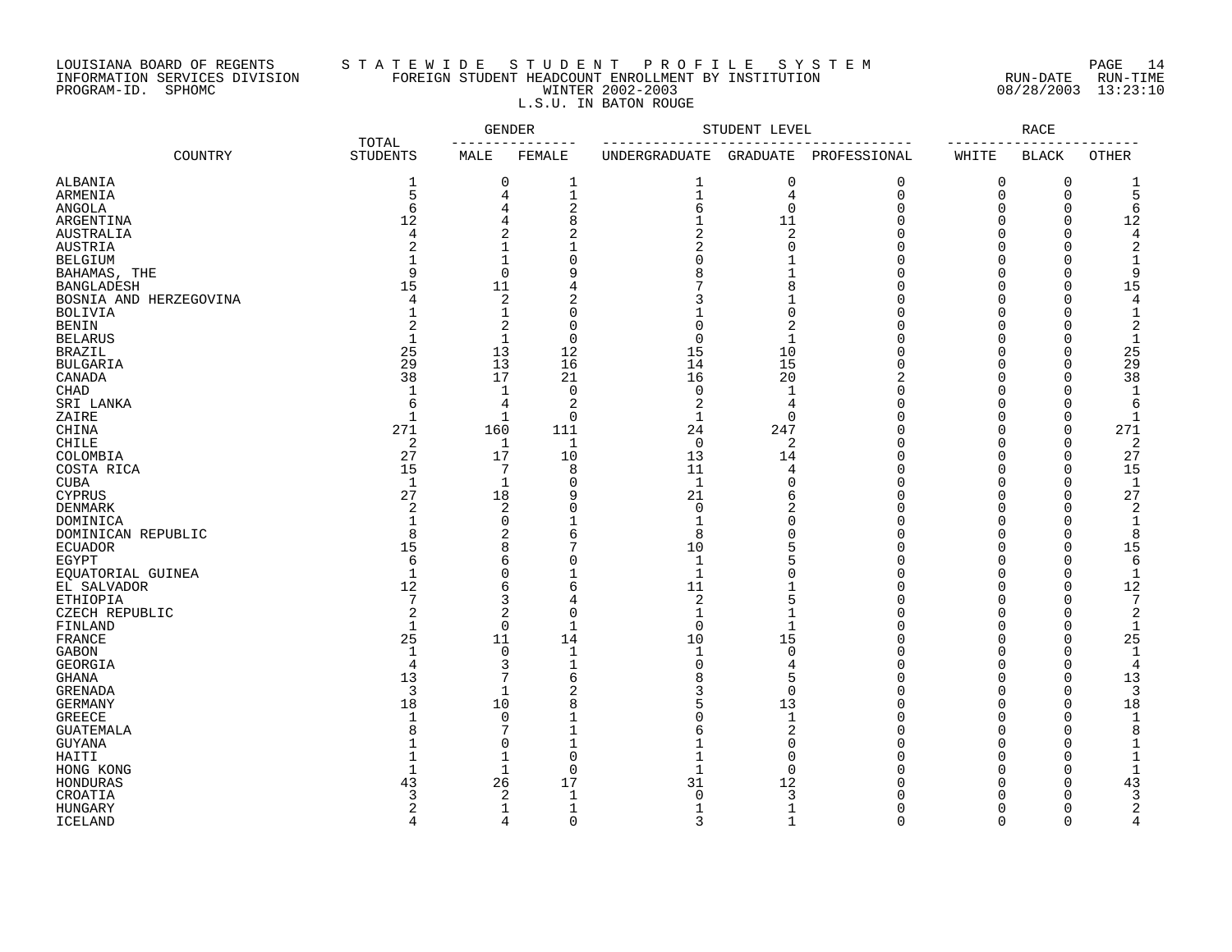# LOUISIANA BOARD OF REGENTS S T A T E W I D E S T U D E N T P R O F I L E S Y S T E M PAGE 14 INFORMATION SERVICES DIVISION FOREIGN STUDENT HEADCOUNT ENROLLMENT BY INSTITUTION RUN-DATE RUN-TIME PROGRAM-ID. SPHOMC WINTER 2002-2003 08/28/2003 13:23:10 L.S.U. IN BATON ROUGE

|                        |                          |                | <b>GENDER</b>  |                | STUDENT LEVEL   |                |                      | RACE         |                |
|------------------------|--------------------------|----------------|----------------|----------------|-----------------|----------------|----------------------|--------------|----------------|
| COUNTRY                | TOTAL<br><b>STUDENTS</b> | MALE           | FEMALE         | UNDERGRADUATE  | <b>GRADUATE</b> | PROFESSIONAL   | $- - - - -$<br>WHITE | <b>BLACK</b> | <b>OTHER</b>   |
| ALBANIA                | 1                        | 0              | 1              | 1              | 0               | $\mathbf 0$    | 0                    | 0            | 1              |
| ARMENIA                | 5                        | 4              | $1\,$          | $\mathbf{1}$   | $\overline{4}$  | $\mathbf 0$    | 0                    | $\mathbf 0$  | 5              |
| <b>ANGOLA</b>          | 6                        | 4              | $\sqrt{2}$     | 6              | $\mathbf 0$     | $\mathbf 0$    | $\Omega$             | $\mathbf 0$  | 6              |
| ARGENTINA              | 12                       | 4              | 8              | $\mathbf{1}$   | 11              | $\Omega$       | $\Omega$             | $\Omega$     | 12             |
| AUSTRALIA              | 4                        | 2              | $\overline{c}$ | $\overline{a}$ | $\overline{2}$  | $\Omega$       | $\Omega$             | $\Omega$     | 4              |
| <b>AUSTRIA</b>         | $\mathcal{D}$            | $\mathbf{1}$   | $\mathbf{1}$   | 2              | $\Omega$        | $\Omega$       | $\Omega$             | $\Omega$     | 2              |
| <b>BELGIUM</b>         | $\mathbf{1}$             | $\mathbf 1$    | $\Omega$       | $\cap$         |                 | $\cap$         | $\cap$               | $\cap$       | 1              |
| BAHAMAS, THE           | 9                        | 0              | 9              | 8              | $\mathbf{1}$    | $\cap$         | $\Omega$             | $\Omega$     | 9              |
| <b>BANGLADESH</b>      | 15                       | 11             | 4              |                | 8               | $\Omega$       | $\Omega$             | $\Omega$     | 15             |
| BOSNIA AND HERZEGOVINA | $\overline{4}$           | 2              | 2              |                | $\mathbf{1}$    | $\Omega$       | $\Omega$             | $\Omega$     | 4              |
| <b>BOLIVIA</b>         | $\mathbf{1}$             | $\mathbf{1}$   | $\Omega$       |                | $\overline{0}$  | $\Omega$       | $\Omega$             | $\Omega$     |                |
| <b>BENIN</b>           | $\mathcal{D}$            | $\overline{2}$ | $\Omega$       | $\Omega$       | $\overline{2}$  | $\cap$         | $\Omega$             | $\Omega$     | $\overline{c}$ |
| <b>BELARUS</b>         | $\mathbf{1}$             | $\mathbf{1}$   | $\mathbf 0$    | $\mathbf 0$    | $\mathbf{1}$    | $\Omega$       | $\Omega$             | $\mathbf 0$  | $\mathbf{1}$   |
| <b>BRAZIL</b>          | 25                       | 13             | 12             | 15             | 10              | $\Omega$       | $\Omega$             | $\mathbf 0$  | 25             |
| <b>BULGARIA</b>        | 29                       | 13             | 16             | 14             | 15              | $\Omega$       | $\Omega$             | $\Omega$     | 29             |
|                        | 38                       | 17             | 21             | 16             | 20              | $\overline{2}$ | $\Omega$             | $\Omega$     | 38             |
| CANADA<br><b>CHAD</b>  | $\mathbf{1}$             | 1              | $\Omega$       | $\Omega$       | $\mathbf{1}$    | $\Omega$       | $\Omega$             | $\Omega$     | $\mathbf{1}$   |
|                        |                          |                |                |                |                 | $\Omega$       | $\Omega$             | $\Omega$     | 6              |
| SRI LANKA              | 6                        | 4              | $\overline{2}$ | 2              | $\overline{4}$  | $\Omega$       |                      |              |                |
| ZAIRE                  | $\mathbf{1}$             | 1              | $\mathbf 0$    | $\mathbf 1$    | $\mathbf 0$     |                | $\mathbf 0$          | $\mathbf 0$  | -1             |
| CHINA                  | 271                      | 160            | 111            | 24             | 247             | $\Omega$       | $\Omega$             | $\mathbf 0$  | 271            |
| CHILE                  | $\overline{2}$           | 1              | $\mathbf{1}$   | $\Omega$       | $\overline{2}$  | $\Omega$       | $\Omega$             | $\mathbf 0$  | $\overline{2}$ |
| COLOMBIA               | 27                       | 17             | 10             | 13             | 14              | $\Omega$       | $\Omega$             | $\Omega$     | 27             |
| COSTA RICA             | 15                       | 7              | 8              | 11             | 4               | $\Omega$       | $\Omega$             | $\Omega$     | 15             |
| <b>CUBA</b>            | 1                        | 1              | 0              | $\mathbf{1}$   | $\mathbf 0$     | $\Omega$       | $\Omega$             | $\mathbf 0$  | -1             |
| <b>CYPRUS</b>          | 27                       | 18             | 9              | 21             | 6               | $\Omega$       | $\Omega$             | $\Omega$     | 27             |
| DENMARK                | 2                        | 2              | $\Omega$       | $\Omega$       | 2               | $\Omega$       | $\Omega$             | $\Omega$     | $\overline{c}$ |
| DOMINICA               | 1                        | 0              |                | $\mathbf{1}$   | $\mathbf 0$     | $\Omega$       | $\Omega$             | $\Omega$     | 1              |
| DOMINICAN REPUBLIC     | 8                        | 2              | 6              | 8              | $\Omega$        | $\Omega$       | $\Omega$             | $\Omega$     | 8              |
| <b>ECUADOR</b>         | 15                       | 8              | 7              | 10             | 5               | $\Omega$       | $\Omega$             | $\mathbf 0$  | 15             |
| EGYPT                  | 6                        | 6              | $\bigcap$      | $\mathbf{1}$   | 5               | $\Omega$       | $\Omega$             | $\Omega$     | 6              |
| EQUATORIAL GUINEA      | $\mathbf{1}$             | 0              |                | $\mathbf{1}$   | $\Omega$        | $\cap$         | $\Omega$             | $\Omega$     | $\mathbf{1}$   |
| EL SALVADOR            | 12                       | 6              | 6              | 11             |                 | $\Omega$       | $\Omega$             | $\Omega$     | 12             |
| <b>ETHIOPIA</b>        | 7                        | 3              | 4              | 2              | 5               | $\cap$         | $\Omega$             | $\Omega$     | 7              |
| CZECH REPUBLIC         | $\overline{2}$           | $\overline{c}$ | $\mathbf 0$    | $\mathbf{1}$   | $\mathbf 1$     | $\cap$         | $\cap$               | $\Omega$     | $\overline{2}$ |
| FINLAND                | $\mathbf{1}$             | $\Omega$       | $\mathbf{1}$   | $\Omega$       | $\mathbf{1}$    | $\Omega$       | $\Omega$             | $\Omega$     | $\mathbf{1}$   |
| FRANCE                 | 25                       | 11             | 14             | 10             | 15              | $\Omega$       | $\Omega$             | $\Omega$     | 25             |
| <b>GABON</b>           | $\mathbf{1}$             | 0              | $\mathbf{1}$   | $\mathbf{1}$   | $\Omega$        | $\Omega$       | $\Omega$             | $\Omega$     | -1             |
| GEORGIA                | $\overline{4}$           | 3              | $\mathbf 1$    | $\Omega$       | 4               | $\Omega$       | $\Omega$             | $\Omega$     | 4              |
| <b>GHANA</b>           | 13                       | 7              | 6              | 8              | 5               | $\Omega$       | $\Omega$             | $\Omega$     | 13             |
| <b>GRENADA</b>         | 3                        | $\mathbf{1}$   | $\overline{2}$ | 3              | $\Omega$        | $\Omega$       | $\Omega$             | $\mathbf 0$  | 3              |
| <b>GERMANY</b>         | 18                       | 10             | 8              | 5              | 13              | $\Omega$       | $\Omega$             | $\mathbf 0$  | 18             |
| <b>GREECE</b>          | $\mathbf{1}$             | 0              | 1              | ∩              | $\mathbf{1}$    | $\Omega$       | $\Omega$             | $\Omega$     | -1             |
| <b>GUATEMALA</b>       | 8                        | 7              | $\mathbf{1}$   | 6              | 2               | $\Omega$       | $\Omega$             | $\Omega$     | 8              |
| <b>GUYANA</b>          | $\mathbf{1}$             | $\Omega$       | $\mathbf 1$    |                | $\Omega$        | $\Omega$       | $\Omega$             | $\Omega$     | $\mathbf{1}$   |
| HAITI                  | $\mathbf{1}$             | 1              | $\mathbf 0$    | $\mathbf{1}$   | $\mathbf 0$     | $\Omega$       | $\Omega$             | $\mathbf 0$  | 1              |
| HONG KONG              | $\mathbf{1}$             | $\mathbf 1$    | $\mathbf 0$    | $\mathbf{1}$   | $\mathbf 0$     | $\Omega$       | $\Omega$             | $\mathbf 0$  | -1             |
| HONDURAS               | 43                       | 26             | 17             | 31             | 12              | $\Omega$       | $\Omega$             | 0            | 43             |
| CROATIA                | ₹                        | 2              | $\mathbf{1}$   | ∩              | 3               | $\Omega$       | $\Omega$             | $\Omega$     | 3              |
| <b>HUNGARY</b>         | 2                        | 1              | $\mathbf 1$    | 1              | $\mathbf 1$     | $\Omega$       | $\Omega$             | $\Omega$     | 2              |
| <b>ICELAND</b>         | $\overline{4}$           | 4              | $\Omega$       | 3              | $\mathbf{1}$    | $\Omega$       | $\Omega$             | $\Omega$     | 4              |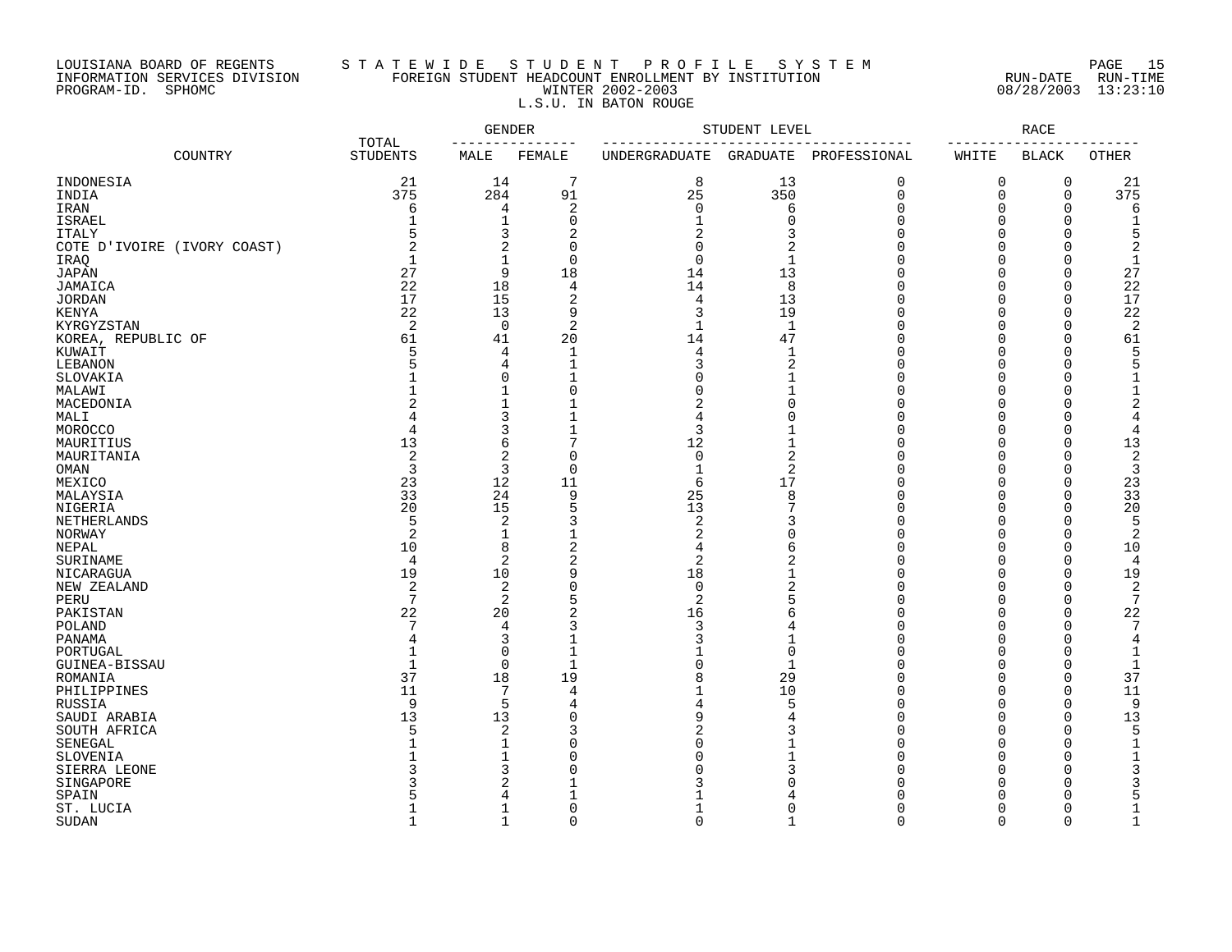# LOUISIANA BOARD OF REGENTS S T A T E W I D E S T U D E N T P R O F I L E S Y S T E M PAGE 15 INFORMATION SERVICES DIVISION FOREIGN STUDENT HEADCOUNT ENROLLMENT BY INSTITUTION RUN-DATE RUN-TIME PROGRAM-ID. SPHOMC WINTER 2002-2003 08/28/2003 13:23:10 L.S.U. IN BATON ROUGE

|                             |                          | GENDER         |                | STUDENT LEVEL          |                | RACE         |             |              |              |
|-----------------------------|--------------------------|----------------|----------------|------------------------|----------------|--------------|-------------|--------------|--------------|
| COUNTRY                     | TOTAL<br><b>STUDENTS</b> | MALE           | FEMALE         | UNDERGRADUATE GRADUATE |                | PROFESSIONAL | WHITE       | <b>BLACK</b> | OTHER        |
| INDONESIA                   | 21                       | 14             | 7              | 8                      | 13             | 0            | 0           | $\mathbf 0$  | 21           |
| INDIA                       | 375                      | 284            | 91             | 25                     | 350            | $\Omega$     | $\mathbf 0$ | $\mathbf 0$  | 375          |
| IRAN                        | 6                        | 4              | $\overline{c}$ | $\Omega$               | 6              | U            | $\Omega$    | $\mathbf 0$  | 6            |
| <b>ISRAEL</b>               |                          | $\mathbf{1}$   | 0              |                        | $\Omega$       | $\cap$       | $\Omega$    | $\Omega$     |              |
| <b>ITALY</b>                |                          | 3              | 2              | 2                      | 3              |              | $\Omega$    | C            | 5            |
| COTE D'IVOIRE (IVORY COAST) |                          | 2              | $\Omega$       | $\Omega$               | 2              | Λ            | $\Omega$    | $\cup$       | 2            |
| IRAQ                        |                          | 1              | $\Omega$       | $\Omega$               | $\mathbf{1}$   |              | $\Omega$    | C            | $\mathbf{1}$ |
| <b>JAPAN</b>                | 27                       | 9              | 18             | 14                     | 13             |              | $\Omega$    | $\bigcap$    | 27           |
| JAMAICA                     | 22                       | 18             | $\overline{4}$ | 14                     | 8              |              | $\Omega$    | $\bigcap$    | 22           |
|                             | 17                       | 15             | $\overline{2}$ | $\overline{4}$         | 13             | Λ            | $\Omega$    | $\bigcap$    | 17           |
| <b>JORDAN</b>               | 22                       | 13             | 9              | 3                      | 19             |              | $\Omega$    | $\Omega$     | 22           |
| <b>KENYA</b>                |                          |                |                |                        |                |              |             |              |              |
| KYRGYZSTAN                  | 2                        | 0              | $\overline{2}$ | $\mathbf{1}$           | 1              | U            | $\Omega$    | 0            | 2            |
| KOREA, REPUBLIC OF          | 61                       | 41             | 20             | 14                     | 47             |              | $\Omega$    | $\Omega$     | 61           |
| KUWAIT                      | 5                        | 4              | $\mathbf{1}$   | 4                      | -1             | Λ            | $\Omega$    | C            | 5            |
| LEBANON                     |                          | 4              | -1             | 3                      | 2              |              | $\Omega$    | C            | 5            |
| SLOVAKIA                    |                          | $\Omega$       |                |                        |                |              | $\Omega$    | C            |              |
| MALAWI                      |                          | $\mathbf{1}$   | $\Omega$       |                        |                |              | $\Omega$    | C            |              |
| MACEDONIA                   |                          | 1              |                |                        |                |              | $\cap$      |              | 2            |
| MALI                        |                          | 3              |                |                        | U              | Λ            | $\cap$      | C            | 4            |
| MOROCCO                     | $\overline{4}$           | 3              |                | 3                      |                |              | $\Omega$    | $\Omega$     | 4            |
| MAURITIUS                   | 13                       | 6              | 7              | 12                     | 1              |              | $\Omega$    | $\Omega$     | 13           |
| MAURITANIA                  | $\overline{2}$           | 2              | $\Omega$       | $\mathbf 0$            | 2              | Λ            | $\Omega$    | $\bigcap$    | 2            |
| OMAN                        | 3                        | 3              | $\Omega$       | $\mathbf{1}$           | 2              |              | $\Omega$    | C            | 3            |
| MEXICO                      | 23                       | 12             | 11             | 6                      | 17             | Λ            | $\Omega$    | $\Omega$     | 23           |
| MALAYSIA                    | 33                       | 24             | 9              | 25                     | 8              | Ω            | $\Omega$    | $\bigcap$    | 33           |
| <b>NIGERIA</b>              | 20                       | 15             | 5              | 13                     |                | Ω            | $\Omega$    | C            | 20           |
| <b>NETHERLANDS</b>          | 5                        | 2              | 3              | $\overline{2}$         | 3              |              | $\Omega$    | $\cap$       | 5            |
| NORWAY                      | 2                        | 1              |                | 2                      | O              |              | $\Omega$    | O            | 2            |
|                             | 10                       | 8              | $\overline{c}$ | 4                      | 6              | Λ            | $\Omega$    | $\mathbf 0$  |              |
| NEPAL                       |                          |                |                |                        |                |              | $\Omega$    | $\bigcap$    | 10           |
| SURINAME                    | $\overline{4}$           | 2              | 2              | 2                      | 2              |              |             |              | 4            |
| NICARAGUA                   | 19                       | 10             | 9              | 18                     |                | Ω            | $\Omega$    | C            | 19           |
| NEW ZEALAND                 | 2                        | 2              | $\Omega$       | $\Omega$               | $\overline{2}$ | Ω            | $\Omega$    | $\bigcap$    | 2            |
| PERU                        | 7                        | $\overline{2}$ | 5              | $\overline{2}$         | 5              | Ω            | $\Omega$    | $\cup$       | 7            |
| PAKISTAN                    | 22                       | 20             | $\overline{2}$ | 16                     | 6              | Λ            | $\Omega$    | $\bigcap$    | 22           |
| <b>POLAND</b>               | 7                        | 4              | 3              | 3                      | 4              | O            | $\Omega$    | $\bigcap$    | 7            |
| PANAMA                      |                          | 3              |                | 3                      | 1              |              | $\Omega$    | C            | 4            |
| PORTUGAL                    | $\mathbf{1}$             | $\mathbf 0$    | $\mathbf{1}$   |                        | $\mathbf 0$    | Λ            | $\Omega$    | C            | 1            |
| GUINEA-BISSAU               | $\mathbf 1$              | $\mathbf 0$    | -1             |                        | -1             | Λ            | $\Omega$    | O            |              |
| ROMANIA                     | 37                       | 18             | 19             | 8                      | 29             | U            | $\Omega$    | $\mathbf 0$  | 37           |
| PHILIPPINES                 | 11                       | 7              | 4              |                        | 10             | U            | $\Omega$    | $\mathbf 0$  | 11           |
| RUSSIA                      | 9                        | 5              | 4              |                        | 5              | Ω            | $\Omega$    | $\mathbf 0$  | 9            |
| SAUDI ARABIA                | 13                       | 13             | $\Omega$       | q                      |                | U            | $\Omega$    | $\mathbf 0$  | 13           |
| SOUTH AFRICA                | 5                        | $\overline{a}$ | 3              |                        |                | Ω            | $\Omega$    | $\mathbf 0$  |              |
| SENEGAL                     |                          | 1              | $\Omega$       |                        |                | Ω            | $\Omega$    | C            | 1            |
| SLOVENIA                    |                          | 1              | O              |                        |                | Ω            | $\Omega$    | C            |              |
| SIERRA LEONE                |                          | 3              | ſ              |                        |                |              | $\Omega$    | C            |              |
| SINGAPORE                   |                          | $\overline{2}$ |                |                        |                |              | $\Omega$    | C            |              |
| SPAIN                       |                          | 4              |                |                        |                |              | $\cap$      | C            |              |
| ST. LUCIA                   |                          | $\mathbf{1}$   | $\Omega$       |                        | O              | U            | $\Omega$    | $\Omega$     | 1            |
|                             |                          |                |                | $\cap$                 |                | $\cap$       |             | $\Omega$     |              |
| <b>SUDAN</b>                | $\mathbf{1}$             | $\mathbf{1}$   | $\Omega$       |                        | $\mathbf{1}$   |              | $\Omega$    |              | $\mathbf{1}$ |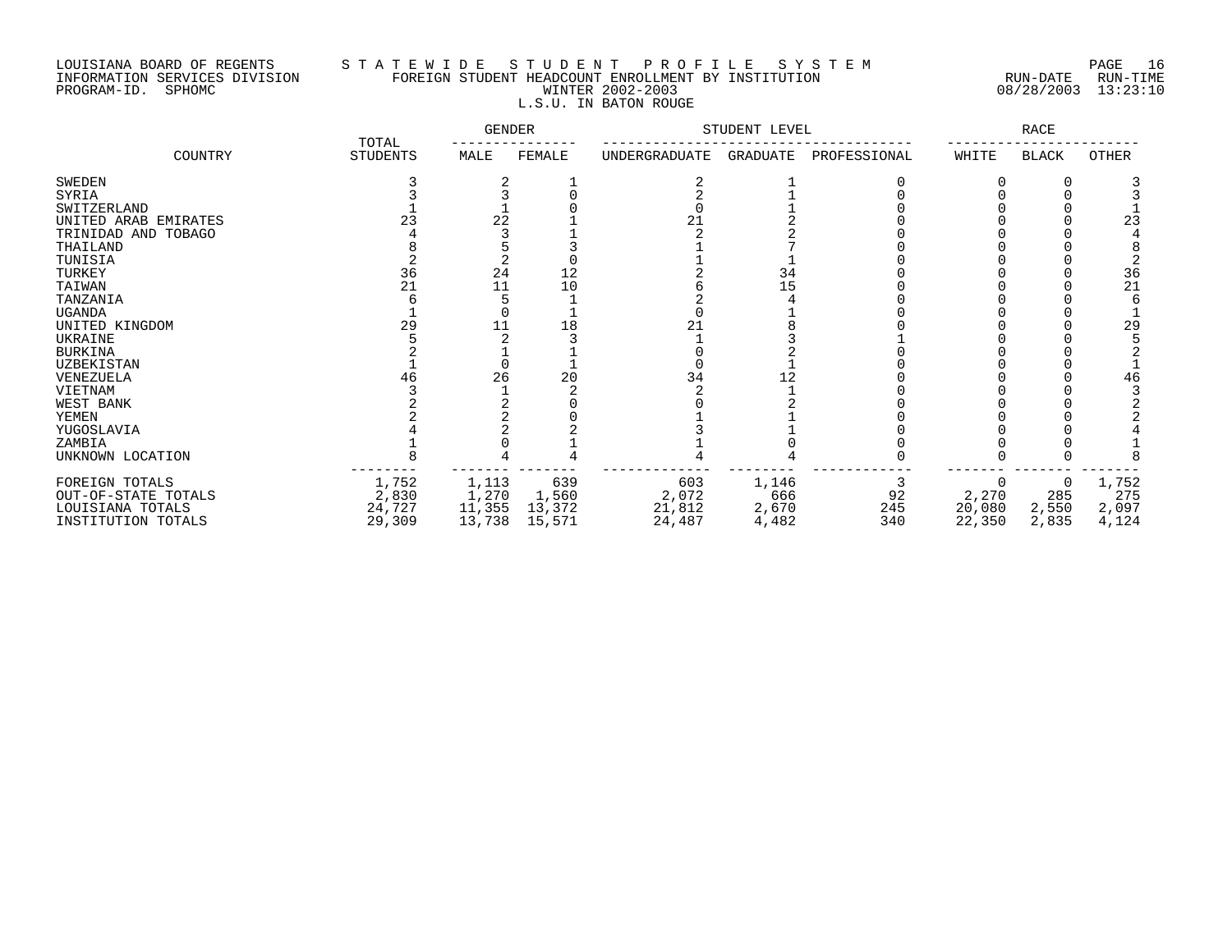# LOUISIANA BOARD OF REGENTS S T A T E W I D E S T U D E N T P R O F I L E S Y S T E M PAGE 16 INFORMATION SERVICES DIVISION FOREIGN STUDENT HEADCOUNT ENROLLMENT BY INSTITUTION RUN-DATE RUN-TIME PROGRAM-ID. SPHOMC WINTER 2002-2003 08/28/2003 13:23:10 L.S.U. IN BATON ROUGE

|                      | TOTAL           | GENDER |        |               | STUDENT LEVEL |              |        | RACE         |       |
|----------------------|-----------------|--------|--------|---------------|---------------|--------------|--------|--------------|-------|
| COUNTRY              | <b>STUDENTS</b> | MALE   | FEMALE | UNDERGRADUATE | GRADUATE      | PROFESSIONAL | WHITE  | <b>BLACK</b> | OTHER |
| <b>SWEDEN</b>        |                 |        |        |               |               |              |        |              |       |
| SYRIA                |                 |        |        |               |               |              |        |              |       |
| SWITZERLAND          |                 |        |        |               |               |              |        |              |       |
| UNITED ARAB EMIRATES |                 | 22     |        |               |               |              |        |              | 23    |
| TRINIDAD AND TOBAGO  |                 |        |        |               |               |              |        |              |       |
| THAILAND             |                 |        |        |               |               |              |        |              |       |
| TUNISIA              |                 |        |        |               |               |              |        |              |       |
| TURKEY               | 36              | 24     | 12     |               | 34            |              |        |              | 36    |
| TAIWAN               | 21              |        | 10     |               | 15            |              |        |              | 21    |
| TANZANIA             |                 |        |        |               |               |              |        |              |       |
| <b>UGANDA</b>        |                 |        |        |               |               |              |        |              |       |
| UNITED KINGDOM       | 29              |        |        |               |               |              |        |              | 29    |
| UKRAINE              |                 |        |        |               |               |              |        |              |       |
| <b>BURKINA</b>       |                 |        |        |               |               |              |        |              |       |
| UZBEKISTAN           |                 |        |        |               |               |              |        |              |       |
| VENEZUELA            |                 | 26     |        |               |               |              |        |              | 46    |
| VIETNAM              |                 |        |        |               |               |              |        |              |       |
| WEST BANK            |                 |        |        |               |               |              |        |              |       |
| YEMEN                |                 |        |        |               |               |              |        |              |       |
| YUGOSLAVIA           |                 |        |        |               |               |              |        |              |       |
| ZAMBIA               |                 |        |        |               |               |              |        |              |       |
| UNKNOWN LOCATION     |                 |        |        |               |               |              |        |              |       |
| FOREIGN TOTALS       | 1,752           | 1,113  | 639    | 603           | 1,146         |              |        |              | 1,752 |
| OUT-OF-STATE TOTALS  | 2,830           | 1,270  | 1,560  | 2,072         | 666           | 92           | 2,270  | 285          | 275   |
| LOUISIANA TOTALS     | 24,727          | 11,355 | 13,372 | 21,812        | 2,670         | 245          | 20,080 | 2,550        | 2,097 |
| INSTITUTION TOTALS   | 29,309          | 13,738 | 15,571 | 24,487        | 4,482         | 340          | 22,350 | 2,835        | 4,124 |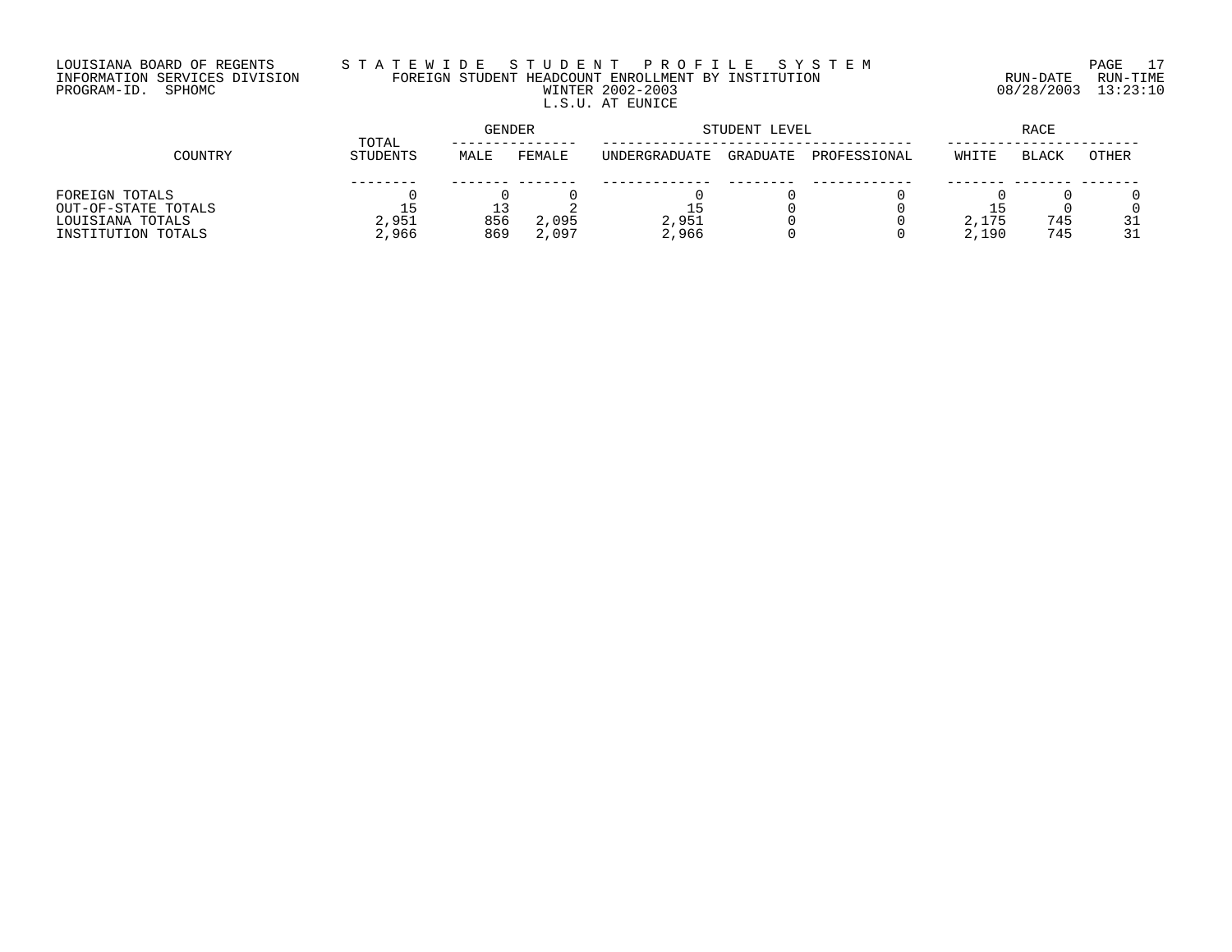# LOUISIANA BOARD OF REGENTS S T A T E W I D E S T U D E N T P R O F I L E S Y S T E M PAGE 17 INFORMATION SERVICES DIVISION FOREIGN STUDENT HEADCOUNT ENROLLMENT BY INSTITUTION RUN-DATE RUN-TIME PROGRAM-ID. SPHOMC WINTER 2002-2003 08/28/2003 13:23:10 L.S.U. AT EUNICE

|                     | TOTAL    | <b>GENDER</b> |        |               | STUDENT LEVEL | RACE         |       |              |       |
|---------------------|----------|---------------|--------|---------------|---------------|--------------|-------|--------------|-------|
| COUNTRY             | STUDENTS | MALE          | FEMALE | UNDERGRADUATE | GRADUATE      | PROFESSIONAL | WHITE | <b>BLACK</b> | OTHER |
|                     |          |               |        |               |               |              |       |              |       |
| FOREIGN TOTALS      |          |               |        |               |               |              |       |              |       |
| OUT-OF-STATE TOTALS |          |               |        |               |               |              |       |              |       |
| LOUISIANA TOTALS    | 2,951    | 856           | 2,095  | 2,951         |               |              | 2,175 | 745          | 31    |
| INSTITUTION TOTALS  | 2,966    | 869           | 2,097  | 2,966         |               |              | 2,190 | 745          | 31    |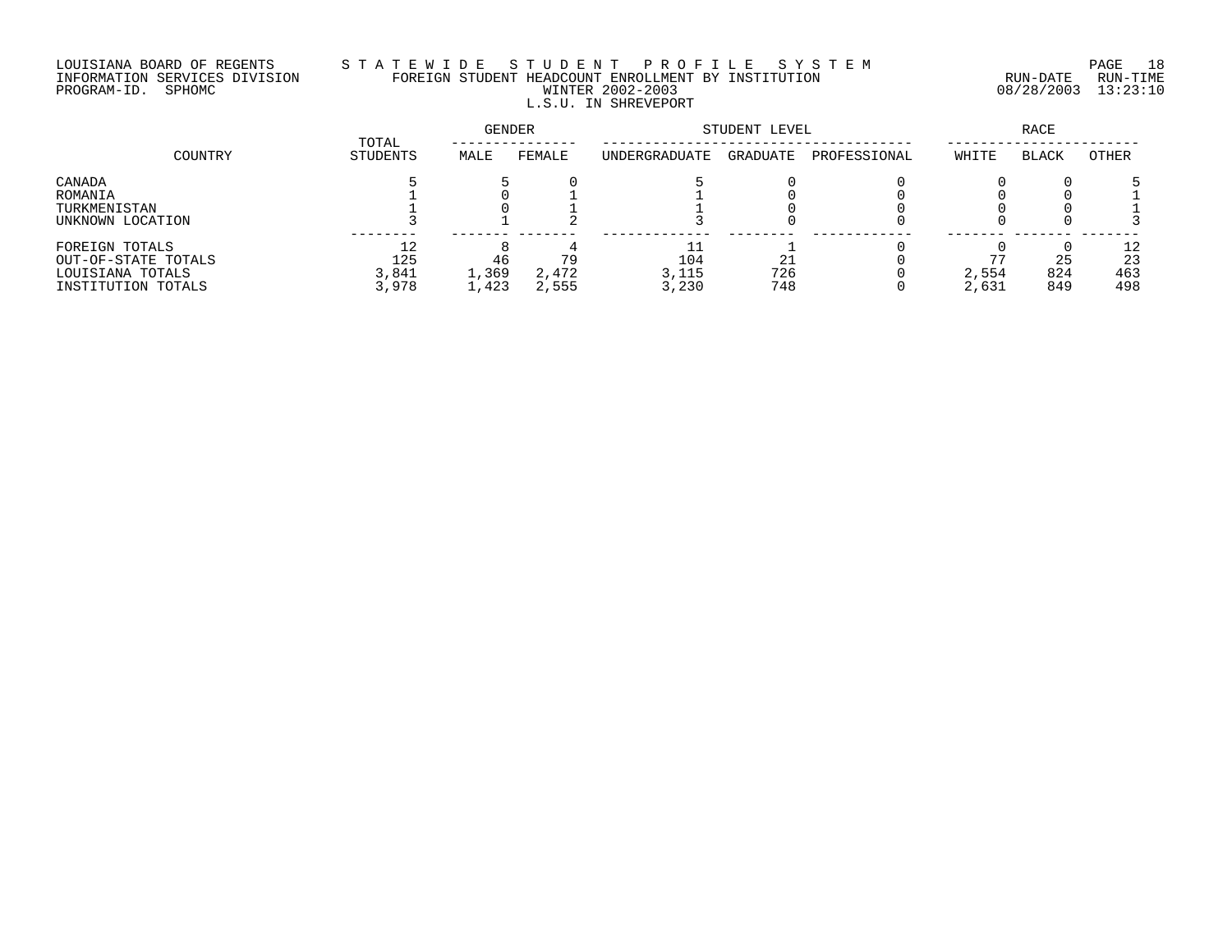# LOUISIANA BOARD OF REGENTS S T A T E W I D E S T U D E N T P R O F I L E S Y S T E M PAGE 18 INFORMATION SERVICES DIVISION FOREIGN STUDENT HEADCOUNT ENROLLMENT BY INSTITUTION RUN-DATE RUN-TIME PROGRAM-ID. SPHOMC WINTER 2002-2003 08/28/2003 13:23:10 L.S.U. IN SHREVEPORT

| COUNTRY                                                                         | TOTAL                       | GENDER               |                      | STUDENT LEVEL         |                  | RACE         |                |                  |                        |
|---------------------------------------------------------------------------------|-----------------------------|----------------------|----------------------|-----------------------|------------------|--------------|----------------|------------------|------------------------|
|                                                                                 | <b>STUDENTS</b>             | MALE                 | FEMALE               | UNDERGRADUATE         | GRADUATE         | PROFESSIONAL | WHITE          | <b>BLACK</b>     | OTHER                  |
| CANADA<br>ROMANIA<br>TURKMENISTAN<br>UNKNOWN LOCATION                           |                             |                      |                      |                       |                  |              |                |                  |                        |
| FOREIGN TOTALS<br>OUT-OF-STATE TOTALS<br>LOUISIANA TOTALS<br>INSTITUTION TOTALS | 12<br>125<br>3,841<br>3,978 | 46<br>1,369<br>1,423 | 79<br>2,472<br>2,555 | 104<br>3,115<br>3,230 | 21<br>726<br>748 |              | 2,554<br>2,631 | 25<br>824<br>849 | 12<br>23<br>463<br>498 |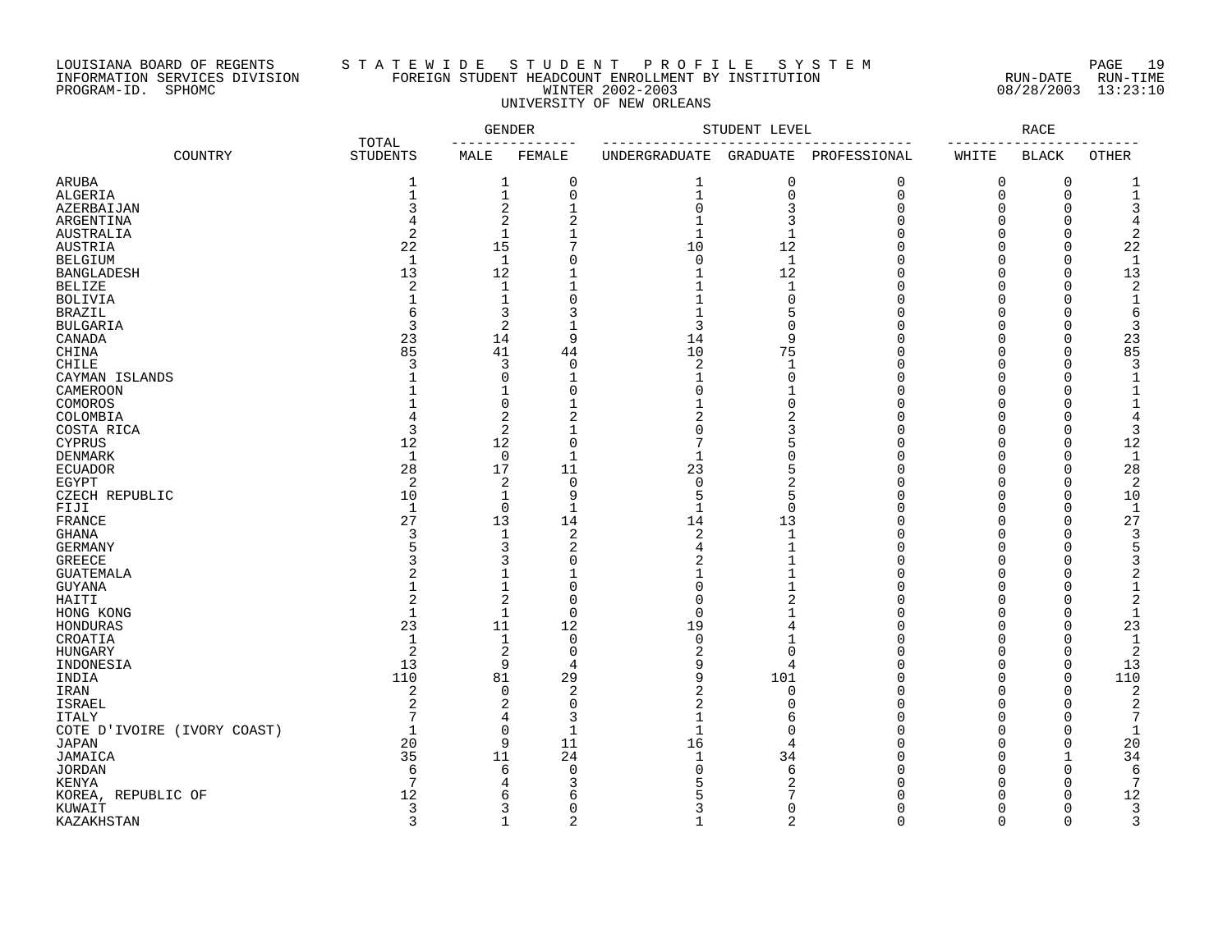# LOUISIANA BOARD OF REGENTS S T A T E W I D E S T U D E N T P R O F I L E S Y S T E M PAGE 19 INFORMATION SERVICES DIVISION FOREIGN STUDENT HEADCOUNT ENROLLMENT BY INSTITUTION RUN-DATE RUN-TIME PROGRAM-ID. SPHOMC WINTER 2002-2003 08/28/2003 13:23:10 UNIVERSITY OF NEW ORLEANS

|                                   |                          |              | <b>GENDER</b>     |                   | STUDENT LEVEL        |              |                      | <b>RACE</b>          |                    |
|-----------------------------------|--------------------------|--------------|-------------------|-------------------|----------------------|--------------|----------------------|----------------------|--------------------|
| COUNTRY                           | TOTAL<br><b>STUDENTS</b> | MALE         | FEMALE            | UNDERGRADUATE     | GRADUATE             | PROFESSIONAL | WHITE                | <b>BLACK</b>         | <b>OTHER</b>       |
| ARUBA                             | 1                        | 1            | 0                 | 1                 | 0                    | $\mathbf 0$  | 0                    | 0                    |                    |
| ALGERIA                           | $\mathbf{1}$             | $\mathbf 1$  | 0                 | $\mathbf{1}$      | $\mathbf 0$          | $\mathbf 0$  | 0                    | $\mathbf 0$          | 1                  |
| AZERBAIJAN                        | 3                        | 2            | $\mathbf{1}$      | $\Omega$          | 3                    | $\Omega$     | $\Omega$             | $\cap$               |                    |
| ARGENTINA                         | $\overline{4}$           | 2            | $\overline{2}$    |                   | 3                    | $\cap$       | $\Omega$             | $\cap$               |                    |
| AUSTRALIA                         | $\mathcal{D}$            | $\mathbf{1}$ | $\mathbf{1}$      | $\mathbf{1}$      | $\mathbf{1}$         | U            | $\Omega$             | $\Omega$             | $\mathfrak{D}$     |
| AUSTRIA                           | 22                       | 15           | 7                 | 10                | 12                   |              | $\Omega$             | $\Omega$             | 22                 |
| <b>BELGIUM</b>                    | $\mathbf{1}$             | 1            | C                 | $\Omega$          | $\mathbf 1$          |              | $\Omega$             | $\Omega$             | -1                 |
| <b>BANGLADESH</b>                 | 13                       | 12           |                   |                   | 12                   | U            | $\cap$               | $\Omega$             | 13                 |
| <b>BELIZE</b>                     | 2                        | $\mathbf 1$  |                   |                   | $\mathbf{1}$         | U            | $\cap$               | $\Omega$             | $\overline{c}$     |
| <b>BOLIVIA</b>                    | $\mathbf{1}$             | $\mathbf 1$  | $\Omega$          |                   | $\Omega$             |              | $\Omega$             | $\cap$               | $\mathbf{1}$       |
| <b>BRAZIL</b>                     | 6                        | 3            |                   |                   | 5                    | U            | $\Omega$             |                      | 6                  |
| <b>BULGARIA</b>                   | 3                        | 2            |                   | 3                 | $\Omega$             |              | ∩                    | $\cap$               |                    |
| CANADA                            | 23                       | 14           | 9                 | 14                | 9                    |              | $\cap$               | $\Omega$             | 23                 |
| CHINA                             | 85                       | 41           | 44                | 10                | 75                   | U            | $\Omega$             | $\Omega$             | 85                 |
| <b>CHILE</b>                      | 3                        | 3            | 0                 | 2                 | 1                    |              | $\Omega$             | $\Omega$             | 3                  |
| CAYMAN ISLANDS                    |                          | 0            | 1                 |                   | $\Omega$             | U            | $\Omega$             | $\cap$               |                    |
| CAMEROON                          |                          | 1            | $\Omega$          | ∩                 |                      | $\cap$       | $\cap$               | ∩                    |                    |
| COMOROS                           |                          | $\Omega$     | $\mathbf{1}$      |                   | $\Omega$             | U            | $\Omega$             | $\Omega$             |                    |
| COLOMBIA                          | 4                        | 2            | $\overline{2}$    | 2                 | $\overline{2}$       | $\Omega$     | $\Omega$             | $\Omega$             |                    |
| COSTA RICA                        | 3                        | 2            |                   | ∩                 | 3                    | U            | $\Omega$             | $\Omega$             | 3                  |
| <b>CYPRUS</b>                     | 12                       | 12           | $\mathbf 0$       | 7                 | 5                    | $\cap$       | $\cap$               | $\Omega$             | 12                 |
| <b>DENMARK</b>                    | $\mathbf{1}$             | 0            | $\mathbf{1}$      | $\mathbf{1}$      | $\Omega$             | U            | $\Omega$             | $\Omega$             | $\mathbf{1}$       |
| <b>ECUADOR</b>                    | 28                       | 17           | 11                | 23                | 5                    | U            | $\Omega$             | $\Omega$             | 28                 |
| EGYPT                             | $\overline{c}$           | 2            | $\mathbf 0$       | $\Omega$          | 2                    | U            | $\Omega$             | $\Omega$             | 2                  |
| CZECH REPUBLIC                    | 10                       | 1            | 9<br>$\mathbf{1}$ | 5<br>$\mathbf{1}$ | 5                    | U<br>$\cap$  | $\Omega$<br>$\Omega$ | $\Omega$             | 10<br>$\mathbf{1}$ |
| FIJI                              | $\mathbf{1}$<br>27       | 0            | 14                | 14                | $\overline{0}$<br>13 | U            | $\Omega$             | $\Omega$<br>$\Omega$ | 27                 |
| FRANCE                            | 3                        | 13           | $\overline{2}$    |                   | $\mathbf{1}$         |              | $\Omega$             | $\Omega$             |                    |
| <b>GHANA</b>                      |                          | 1<br>3       | 2                 | 2                 |                      | U            | $\Omega$             | $\cap$               | 3                  |
| <b>GERMANY</b>                    |                          | 3            | C                 |                   |                      | U            | $\cap$               |                      |                    |
| <b>GREECE</b><br><b>GUATEMALA</b> |                          | 1            |                   |                   |                      | U            | $\cap$               |                      |                    |
| <b>GUYANA</b>                     |                          | $\mathbf{1}$ | $\mathbf 0$       | ∩                 |                      | U            | $\cap$               | ∩                    |                    |
| $\verb HALTI $                    | 2                        | 2            | $\Omega$          | ∩                 |                      |              | $\Omega$             |                      |                    |
| HONG KONG                         | $\mathbf{1}$             | 1            | $\mathbf 0$       | ∩                 |                      | U            | ∩                    | $\cap$               |                    |
| HONDURAS                          | 23                       | 11           | 12                | 19                | 4                    |              | $\cap$               | $\cap$               | 23                 |
| CROATIA                           | $\mathbf{1}$             | 1            | $\mathbf 0$       | $\Omega$          |                      | U            | $\Omega$             | $\cap$               | $\mathbf{1}$       |
| <b>HUNGARY</b>                    | $\overline{\mathbf{c}}$  | 2            | $\mathbf 0$       |                   | $\overline{0}$       | $\cap$       | $\Omega$             | $\Omega$             | 2                  |
| INDONESIA                         | 13                       | 9            | 4                 |                   | 4                    | U            | $\Omega$             | $\Omega$             | 13                 |
| INDIA                             | 110                      | 81           | 29                | q                 | 101                  | $\cap$       | $\cap$               | $\Omega$             | 110                |
| IRAN                              | $\overline{2}$           | $\Omega$     | 2                 | 2                 | $\Omega$             | $\Omega$     | $\Omega$             | $\Omega$             |                    |
| ISRAEL                            | $\overline{c}$           | 2            | $\mathbf 0$       | $\overline{a}$    | $\Omega$             | U            | $\Omega$             | $\Omega$             | $\overline{c}$     |
| <b>ITALY</b>                      | 7                        | 4            | 3                 |                   | 6                    | U            | $\Omega$             | $\Omega$             | 7                  |
| COTE D'IVOIRE (IVORY COAST)       | $\mathbf{1}$             | 0            | $\mathbf{1}$      | 1                 | $\cap$               | $\cap$       | $\Omega$             | $\Omega$             |                    |
| <b>JAPAN</b>                      | 20                       | 9            | 11                | 16                | $\overline{4}$       | U            | $\Omega$             | $\Omega$             | 20                 |
| JAMAICA                           | 35                       | 11           | 24                | $\mathbf{1}$      | 34                   | $\Omega$     | $\Omega$             | $\mathbf{1}$         | 34                 |
| <b>JORDAN</b>                     | 6                        | 6            | $\mathbf 0$       | $\Omega$          | 6                    | $\cap$       | $\Omega$             | $\Omega$             | 6                  |
| KENYA                             | 7                        | 4            | 3                 |                   | 2                    | U            | $\Omega$             | $\Omega$             | 7                  |
| KOREA, REPUBLIC OF                | 12                       | 6            | 6                 |                   |                      |              | $\cap$               | $\Omega$             | 12                 |
| KUWAIT                            | 3                        | 3            | $\mathbf 0$       | 3                 | $\Omega$             | $\cap$       | $\Omega$             | $\Omega$             | 3                  |
| KAZAKHSTAN                        | $\mathcal{E}$            | $\mathbf{1}$ | $\overline{c}$    | 1                 | $\overline{2}$       | $\Omega$     | $\Omega$             | $\Omega$             | 3                  |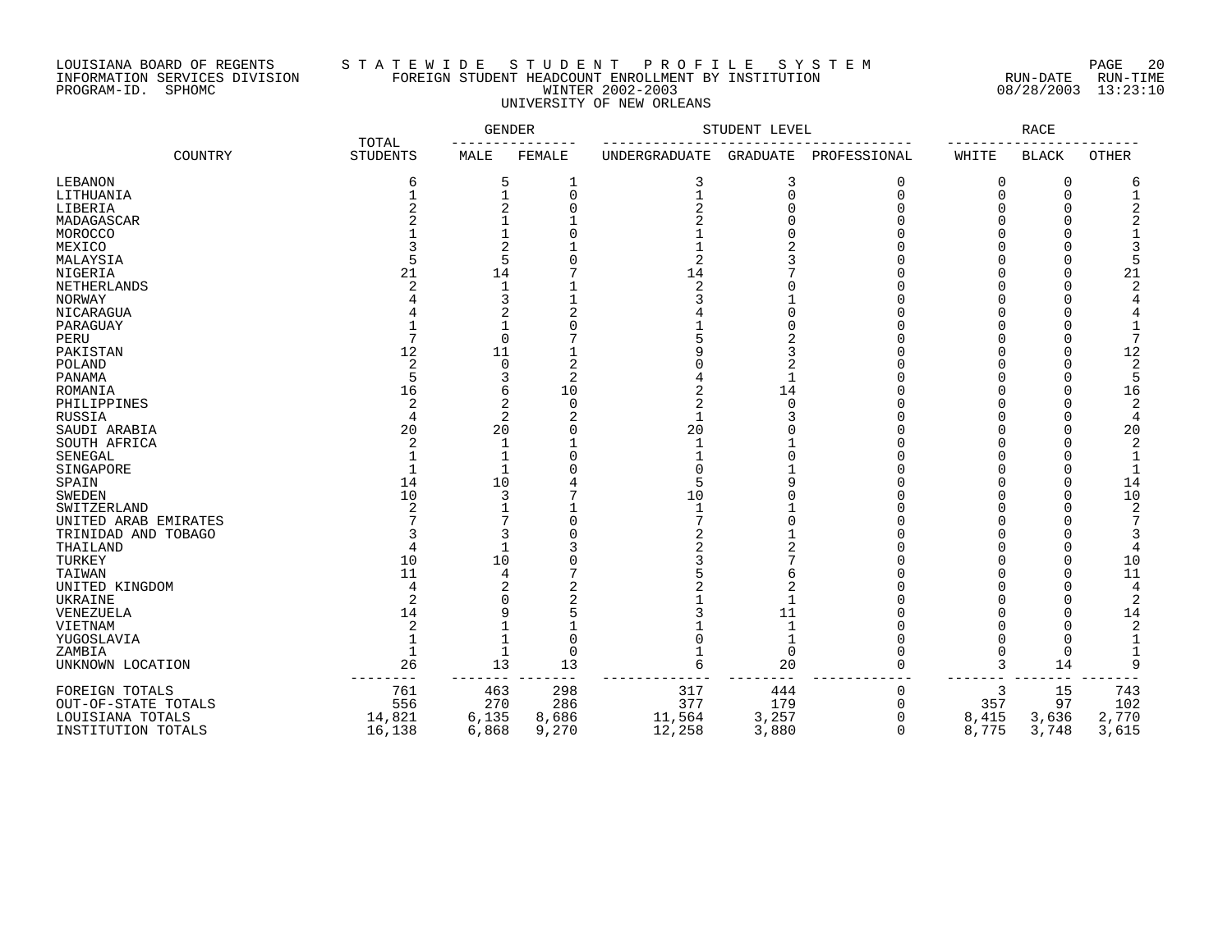# LOUISIANA BOARD OF REGENTS S T A T E W I D E S T U D E N T P R O F I L E S Y S T E M PAGE 20 INFORMATION SERVICES DIVISION FOREIGN STUDENT HEADCOUNT ENROLLMENT BY INSTITUTION RUN-DATE RUN-TIME PROGRAM-ID. SPHOMC WINTER 2002-2003 08/28/2003 13:23:10 UNIVERSITY OF NEW ORLEANS

|                              |                          | GENDER |             |                      | STUDENT LEVEL   |              |          | RACE         |              |
|------------------------------|--------------------------|--------|-------------|----------------------|-----------------|--------------|----------|--------------|--------------|
| COUNTRY                      | TOTAL<br><b>STUDENTS</b> | MALE   | FEMALE      | <b>UNDERGRADUATE</b> | <b>GRADUATE</b> | PROFESSIONAL | WHITE    | <b>BLACK</b> | <b>OTHER</b> |
| LEBANON                      | 6                        | 5      | 1           | 3                    | 3               | $\mathbf 0$  | $\Omega$ | 0            |              |
| LITHUANIA                    |                          |        | $\mathbf 0$ |                      | $\mathbf 0$     | $\Omega$     | ∩        | $\Omega$     |              |
| LIBERIA                      |                          | 2      | $\Omega$    |                      | C               | $\sqrt{ }$   |          | $\Omega$     |              |
| MADAGASCAR                   |                          |        |             |                      |                 |              |          | $\Omega$     |              |
| MOROCCO                      |                          |        |             |                      |                 |              |          | $\cap$       |              |
| MEXICO                       |                          | 2      |             |                      |                 |              |          |              |              |
| MALAYSIA                     |                          | 5      |             | 2                    |                 |              |          | $\Omega$     |              |
| NIGERIA                      | 21                       | 14     |             | 14                   |                 |              |          | $\Omega$     | 21           |
| NETHERLANDS                  |                          |        |             | $\mathfrak{D}$       |                 |              |          | $\Omega$     |              |
| NORWAY                       |                          | 3      |             |                      |                 |              |          |              |              |
| NICARAGUA                    |                          | 2      |             |                      |                 |              |          |              |              |
| PARAGUAY                     |                          |        |             |                      |                 |              |          | C            |              |
| PERU                         |                          | 0      |             |                      |                 |              |          | $\Omega$     |              |
| PAKISTAN                     | 12                       | 11     |             |                      |                 |              |          | $\Omega$     | 12           |
| POLAND                       | $\mathcal{D}$            | O      | 2           |                      |                 |              |          | $\cap$       |              |
| PANAMA                       | 16                       | 3      | 2<br>10     |                      | 14              |              |          | $\cap$       |              |
| ROMANIA                      |                          | 6      | $\Omega$    |                      | $\Omega$        |              |          |              | 16           |
| PHILIPPINES<br>RUSSIA        | 2                        | 2<br>2 |             |                      |                 |              |          | $\cap$       |              |
|                              | 20                       | 20     |             | 20                   |                 |              |          |              | 20           |
| SAUDI ARABIA<br>SOUTH AFRICA |                          |        |             | -1                   |                 |              |          |              |              |
| SENEGAL                      |                          |        |             |                      |                 |              |          |              |              |
| SINGAPORE                    |                          |        |             |                      |                 |              |          |              |              |
| SPAIN                        | 14                       | 10     |             |                      |                 |              |          | $\cap$       | 14           |
| <b>SWEDEN</b>                | 10                       | 3      |             | 10                   |                 |              |          |              | 10           |
| SWITZERLAND                  |                          |        |             | -1                   |                 |              |          |              | 2            |
| UNITED ARAB EMIRATES         |                          |        |             |                      |                 |              |          |              |              |
| TRINIDAD AND TOBAGO          |                          | 3      |             |                      |                 |              |          |              |              |
| THAILAND                     |                          |        |             |                      |                 |              |          | $\cap$       |              |
| TURKEY                       | 10                       | 10     |             |                      |                 |              |          | $\cap$       | 10           |
| TAIWAN                       | 11                       | 4      |             |                      |                 |              |          |              | 11           |
| UNITED KINGDOM               | $\overline{4}$           | 2      |             |                      |                 |              |          |              |              |
| UKRAINE                      | $\mathcal{D}$            | O      |             |                      |                 |              |          |              |              |
| <b>VENEZUELA</b>             | 14                       | q      |             |                      | 11              |              |          | $\cap$       | 14           |
| VIETNAM                      | $\mathcal{D}$            |        |             |                      | $\mathbf{1}$    |              |          | $\cap$       | 2            |
| YUGOSLAVIA                   |                          |        | $\Omega$    |                      |                 |              |          | $\cap$       |              |
| ZAMBIA                       | $\mathbf{1}$             |        | $\Omega$    |                      | $\mathbf 0$     |              |          | 0            |              |
| UNKNOWN LOCATION             | 26                       | 13     | 13          |                      | 20              | $\Omega$     | 3        | 14           | q            |
| FOREIGN TOTALS               | 761                      | 463    | 298         | 317                  | 444             | $\Omega$     | 3        | 15           | 743          |
| OUT-OF-STATE TOTALS          | 556                      | 270    | 286         | 377                  | 179             | $\Omega$     | 357      | 97           | 102          |
| LOUISIANA TOTALS             | 14,821                   | 6,135  | 8,686       | 11,564               | 3,257           | $\Omega$     | 8,415    | 3,636        | 2,770        |
| INSTITUTION TOTALS           | 16,138                   | 6,868  | 9,270       | 12,258               | 3,880           | $\Omega$     | 8,775    | 3,748        | 3,615        |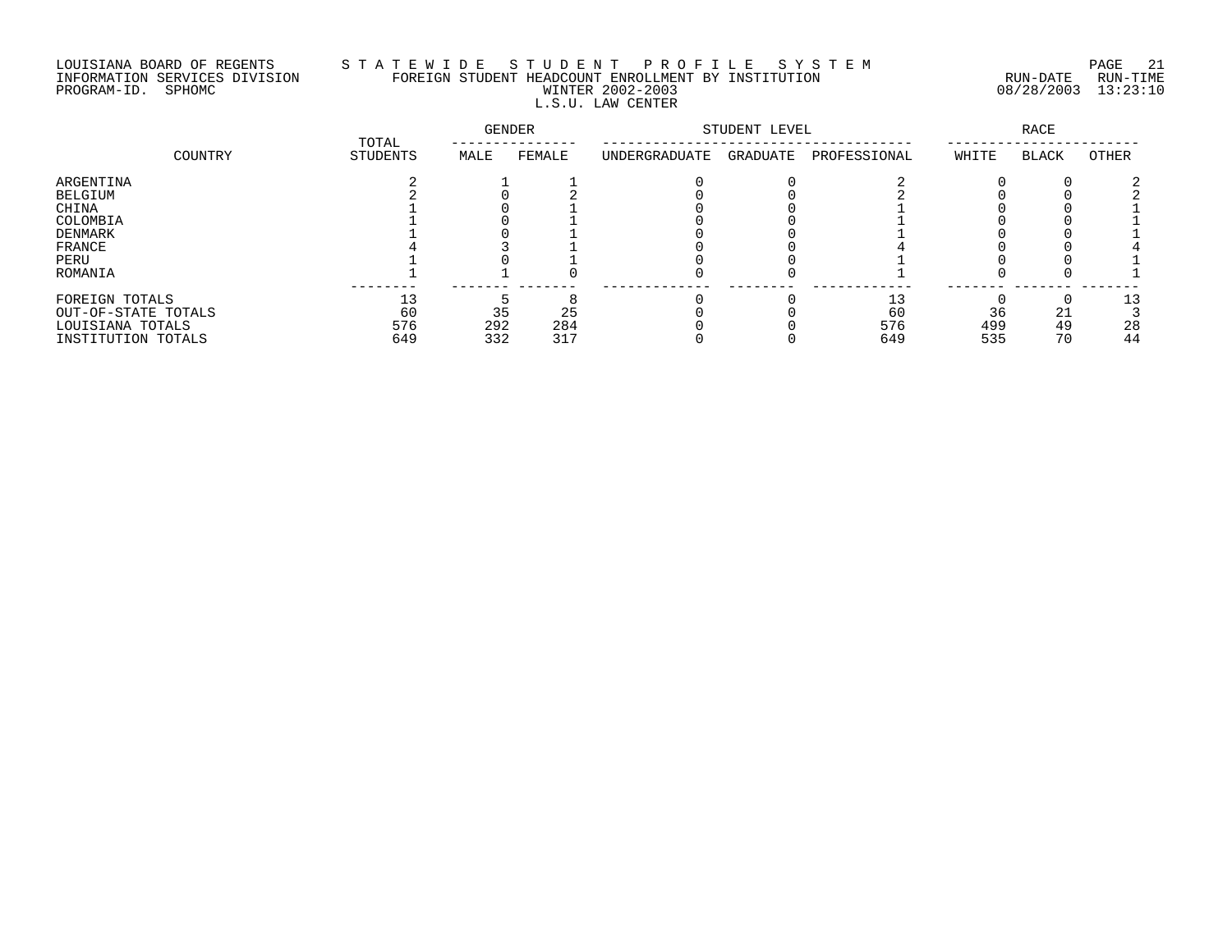# LOUISIANA BOARD OF REGENTS S T A T E W I D E S T U D E N T P R O F I L E S Y S T E M PAGE 21 INFORMATION SERVICES DIVISION FOREIGN STUDENT HEADCOUNT ENROLLMENT BY INSTITUTION RUN-DATE RUN-TIME PROGRAM-ID. SPHOMC WINTER 2002-2003 08/28/2003 13:23:10 L.S.U. LAW CENTER

|                     | TOTAL    | GENDER |        | STUDENT LEVEL | <b>RACE</b> |              |       |              |       |
|---------------------|----------|--------|--------|---------------|-------------|--------------|-------|--------------|-------|
| COUNTRY             | STUDENTS | MALE   | FEMALE | UNDERGRADUATE | GRADUATE    | PROFESSIONAL | WHITE | <b>BLACK</b> | OTHER |
| ARGENTINA           |          |        |        |               |             |              |       |              |       |
| BELGIUM             |          |        |        |               |             |              |       |              |       |
| CHINA               |          |        |        |               |             |              |       |              |       |
| COLOMBIA            |          |        |        |               |             |              |       |              |       |
| DENMARK             |          |        |        |               |             |              |       |              |       |
| FRANCE              |          |        |        |               |             |              |       |              |       |
| PERU                |          |        |        |               |             |              |       |              |       |
| ROMANIA             |          |        |        |               |             |              |       |              |       |
| FOREIGN TOTALS      | 13       |        |        |               |             | 13           |       |              |       |
| OUT-OF-STATE TOTALS | 60       | 35     | 25     |               |             | 60           | 36    | 21           |       |
| LOUISIANA TOTALS    | 576      | 292    | 284    |               |             | 576          | 499   | 49           | 28    |
| INSTITUTION TOTALS  | 649      | 332    | 317    |               |             | 649          | 535   | 70           | 44    |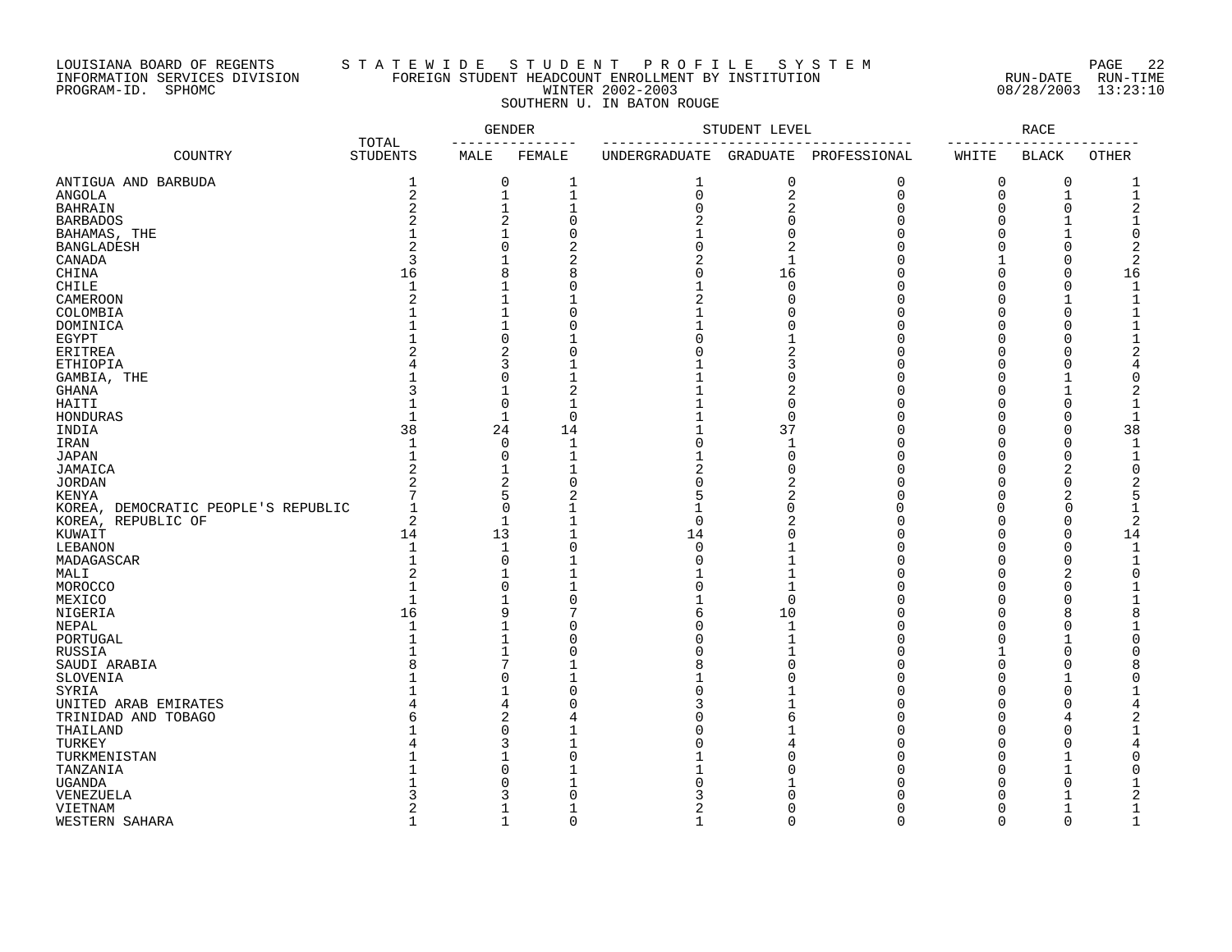# LOUISIANA BOARD OF REGENTS S T A T E W I D E S T U D E N T P R O F I L E S Y S T E M PAGE 22 INFORMATION SERVICES DIVISION FOREIGN STUDENT HEADCOUNT ENROLLMENT BY INSTITUTION RUN-DATE RUN-TIME PROGRAM-ID. SPHOMC WINTER 2002-2003 08/28/2003 13:23:10 SOUTHERN U. IN BATON ROUGE

|                                     |                          | <b>GENDER</b>           |                | STUDENT LEVEL  |                 |              | <b>RACE</b>          |              |              |
|-------------------------------------|--------------------------|-------------------------|----------------|----------------|-----------------|--------------|----------------------|--------------|--------------|
| COUNTRY                             | TOTAL<br><b>STUDENTS</b> | MALE                    | FEMALE         | UNDERGRADUATE  | <b>GRADUATE</b> | PROFESSIONAL | WHITE                | <b>BLACK</b> | <b>OTHER</b> |
| ANTIGUA AND BARBUDA                 | 1                        | 0                       | $\mathbf 1$    | 1              | 0               | 0            | 0                    | 0            | 1            |
| ANGOLA                              | $\overline{c}$           | 1                       | $\mathbf{1}$   | $\mathbf 0$    | 2               | 0            | $\mathbf 0$          | $\mathbf 1$  | $\mathbf{1}$ |
| <b>BAHRAIN</b>                      | $\overline{2}$           | $\mathbf 1$             | $\mathbf{1}$   | $\Omega$       | 2               | $\Omega$     | $\Omega$             | $\mathbf 0$  | 2            |
| <b>BARBADOS</b>                     |                          | $\overline{2}$          | $\Omega$       | $\overline{a}$ | $\Omega$        | U            | $\Omega$             | -1           |              |
| BAHAMAS, THE                        |                          | $\mathbf{1}$            | $\Omega$       |                | $\Omega$        | Ω            | $\Omega$             | $\mathbf{1}$ | $\Omega$     |
| <b>BANGLADESH</b>                   | 2                        | $\mathbf 0$             | 2              | U              | 2               | Λ            | $\Omega$             | $\Omega$     | 2            |
| CANADA                              | 3                        | $\mathbf{1}$            | 2              | 2              | $\mathbf{1}$    |              | 1                    | $\Omega$     | 2            |
| CHINA                               | 16                       | 8                       | 8              | U              | 16              | Ω            | $\Omega$             | $\mathbf 0$  | 16           |
| <b>CHILE</b>                        | $\mathbf{1}$             | $\mathbf 1$             | $\Omega$       |                | $\Omega$        | Ω            | $\Omega$             | $\mathbf 0$  |              |
| CAMEROON                            | 2                        | $\mathbf 1$             |                | 2              | O               | Ω            | $\Omega$             | $\mathbf{1}$ | 1            |
| COLOMBIA                            |                          | $\mathbf 1$             | $\Omega$       |                | U               | Ω            | $\Omega$             | $\Omega$     |              |
| DOMINICA                            |                          | 1                       | $\Omega$       |                | U               | Λ            | $\Omega$             | O            |              |
| EGYPT                               |                          | $\mathbf 0$             |                |                |                 | Ω            | $\mathbf 0$          | C            |              |
| ERITREA                             |                          | 2                       | 0              |                | 2               | Ω            | $\Omega$             | O            | 2            |
| ETHIOPIA                            |                          | 3                       |                |                | 3               | Λ            | $\Omega$             | $\Omega$     |              |
| GAMBIA, THE                         |                          | $\mathbf 0$             |                |                | $\Omega$        | Ω            | $\Omega$             |              | O            |
| <b>GHANA</b>                        |                          | $\mathbf{1}$            | $\overline{2}$ |                | $\overline{2}$  | Λ            | $\mathbf 0$          | $\mathbf{1}$ | 2            |
| HAITI                               |                          | $\mathbf 0$             | $\mathbf{1}$   |                | $\mathbf 0$     |              | $\Omega$             | $\Omega$     |              |
| HONDURAS                            |                          | 1                       | $\mathbf 0$    |                | $\mathbf 0$     | Λ            | $\Omega$             | O            |              |
| INDIA                               | 38                       | 24                      | 14             |                | 37              |              | $\Omega$             | C            | 38           |
| IRAN                                | $\mathbf{1}$             | 0                       | $\mathbf 1$    |                | $\mathbf{1}$    | Ω            | $\Omega$             | $\mathbf 0$  |              |
| JAPAN                               | 1                        | $\Omega$                | $\mathbf 1$    |                | $\Omega$        | Ω            | $\Omega$             | $\Omega$     | 1            |
| JAMAICA                             | $\overline{2}$           | $\mathbf{1}$            | $\mathbf{1}$   | 2              | O               | Ω            | $\Omega$             | 2            | 0            |
| <b>JORDAN</b>                       | $\overline{c}$           | $\overline{2}$          | $\Omega$       |                | 2               | Ω            | $\Omega$             | $\Omega$     | 2            |
| KENYA                               |                          | 5                       | 2              |                | 2               |              | $\Omega$             | 2            | 5            |
|                                     | -1                       | $\mathbf 0$             | 1              |                | $\Omega$        | ∩            | $\Omega$             | 0            |              |
| KOREA, DEMOCRATIC PEOPLE'S REPUBLIC | 2                        | 1                       | $\mathbf{1}$   | $\Omega$       | 2               | Λ            | $\Omega$             | $\Omega$     | 2            |
| KOREA, REPUBLIC OF                  |                          |                         |                |                |                 |              |                      | $\Omega$     |              |
| KUWAIT                              | 14                       | 13                      |                | 14<br>$\Omega$ | O               |              | $\Omega$<br>$\Omega$ |              | 14           |
| LEBANON                             | $\mathbf{1}$             | $\mathbf 1$             | $\Omega$       |                |                 |              |                      | $\mathbf 0$  | -1           |
| MADAGASCAR                          | $\mathbf{1}$             | $\mathbf 0$             |                |                |                 |              | $\Omega$             | 0            |              |
| MALI                                | 2                        | $\mathbf{1}$            |                |                |                 |              | $\Omega$             | 2            | ∩            |
| MOROCCO                             |                          | $\mathbf 0$             |                | Ω              | -1              | Ω            | $\Omega$             | $\Omega$     |              |
| MEXICO                              | $\mathbf{1}$             | $\mathbf{1}$            | $\Omega$       |                | $\Omega$        |              | $\Omega$             | $\Omega$     |              |
| NIGERIA                             | 16                       | 9                       | 7              |                | 10              | Ω            | $\Omega$             | 8            |              |
| NEPAL                               |                          | 1                       | 0              |                | -1              | Ω            | $\Omega$             | O            |              |
| PORTUGAL                            |                          | $\mathbf 1$             | 0              |                | $\mathbf{1}$    | Ω            | $\Omega$             | $\mathbf{1}$ |              |
| RUSSIA                              |                          | $\mathbf 1$             | $\mathbf 0$    |                |                 | Ω            | 1                    | $\Omega$     |              |
| SAUDI ARABIA                        |                          | 7                       |                |                | $\Omega$        |              | $\Omega$             | C            |              |
| SLOVENIA                            |                          | $\mathbf 0$             | -1             |                | O               | Λ            | $\Omega$             | 1            |              |
| SYRIA                               |                          | $\mathbf{1}$            | $\Omega$       |                |                 | Ω            | $\Omega$             | $\Omega$     |              |
| UNITED ARAB EMIRATES                |                          | 4                       | 0              |                |                 | Λ            | $\Omega$             | $\Omega$     |              |
| TRINIDAD AND TOBAGO                 |                          | $\overline{\mathbf{c}}$ | 4              |                | 6               | O            | $\Omega$             | 4            |              |
| THAILAND                            |                          | $\mathbf 0$             |                |                |                 | Ω            | $\Omega$             | C            |              |
| TURKEY                              |                          | 3                       | -1             |                |                 |              | $\Omega$             | O            |              |
| TURKMENISTAN                        |                          | 1                       | $\Omega$       |                |                 | Λ            | $\Omega$             | $\mathbf{1}$ |              |
| TANZANIA                            |                          | $\Omega$                |                |                |                 |              | $\Omega$             |              | ∩            |
| <b>UGANDA</b>                       |                          | 0                       |                |                |                 |              | $\Omega$             | O            |              |
| VENEZUELA                           |                          | 3                       | $\Omega$       |                |                 |              | $\Omega$             |              |              |
| VIETNAM                             | 2                        | 1                       | $\mathbf{1}$   | 2              | O               | U            | $\Omega$             | $\mathbf{1}$ | 1            |
| <b>WESTERN SAHARA</b>               | $\mathbf{1}$             | $\mathbf{1}$            | $\Omega$       | $\mathbf{1}$   | $\cap$          | $\Omega$     | $\Omega$             | $\Omega$     | $\mathbf{1}$ |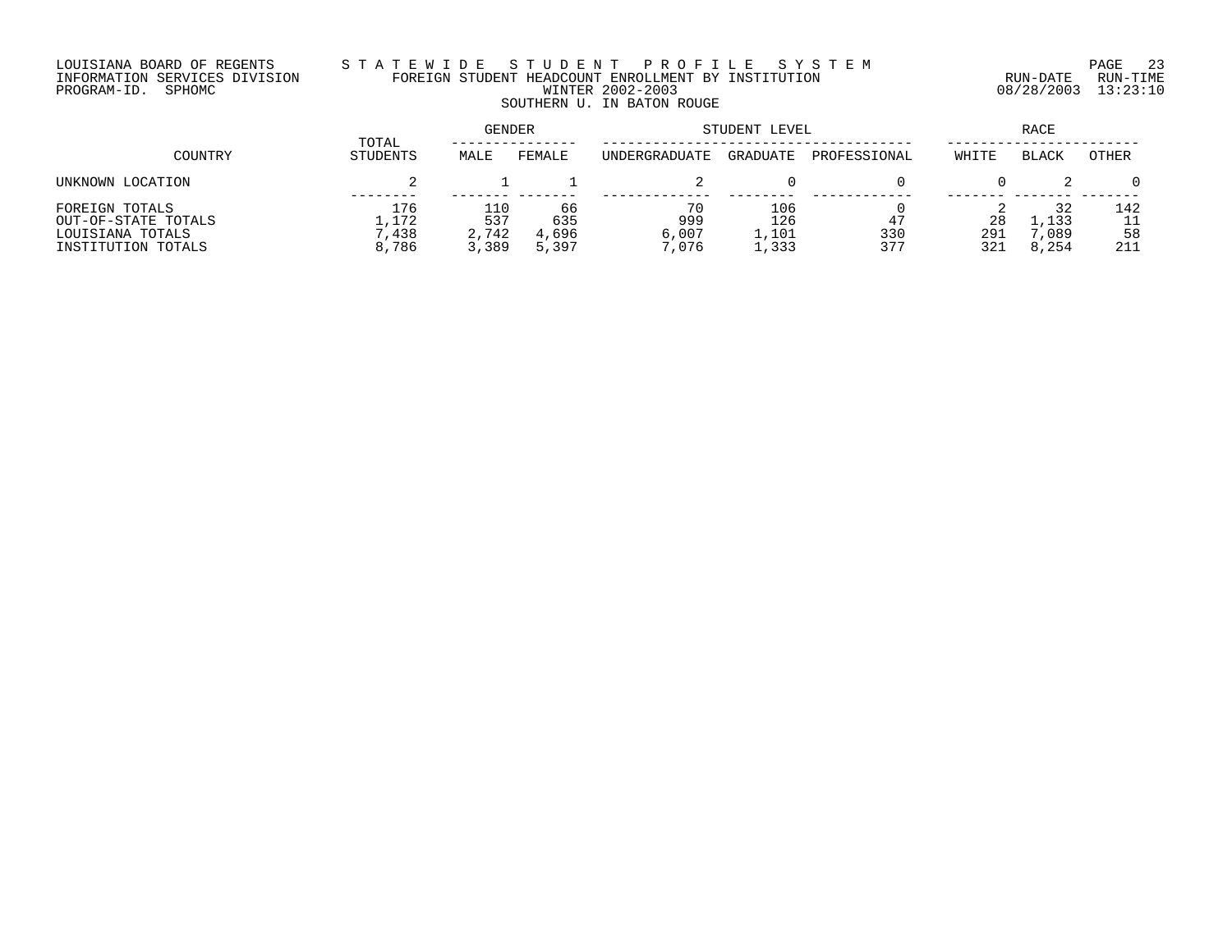# LOUISIANA BOARD OF REGENTS S T A T E W I D E S T U D E N T P R O F I L E S Y S T E M PAGE 23 INFORMATION SERVICES DIVISION FOREIGN STUDENT HEADCOUNT ENROLLMENT BY INSTITUTION RUN-DATE RUN-TIME PROGRAM-ID. SPHOMC WINTER 2002-2003 08/28/2003 13:23:10 SOUTHERN U. IN BATON ROUGE

| COUNTRY                                                                         |                                | <b>GENDER</b>                |                             | STUDENT LEVEL               | RACE                         |                  |                  |                              |                  |
|---------------------------------------------------------------------------------|--------------------------------|------------------------------|-----------------------------|-----------------------------|------------------------------|------------------|------------------|------------------------------|------------------|
|                                                                                 | TOTAL<br>STUDENTS              | MALE                         | FEMALE                      | UNDERGRADUATE               | GRADUATE                     | PROFESSIONAL     | WHITE            | <b>BLACK</b>                 | OTHER            |
| UNKNOWN LOCATION                                                                |                                |                              |                             |                             |                              |                  |                  |                              |                  |
| FOREIGN TOTALS<br>OUT-OF-STATE TOTALS<br>LOUISIANA TOTALS<br>INSTITUTION TOTALS | 176<br>1,172<br>7.438<br>8,786 | 110<br>537<br>2,742<br>3,389 | 66<br>635<br>4,696<br>5,397 | 70<br>999<br>6,007<br>7.076 | 106<br>126<br>1,101<br>1,333 | 47<br>330<br>377 | 28<br>291<br>321 | 32<br>1,133<br>,089<br>8,254 | 142<br>58<br>211 |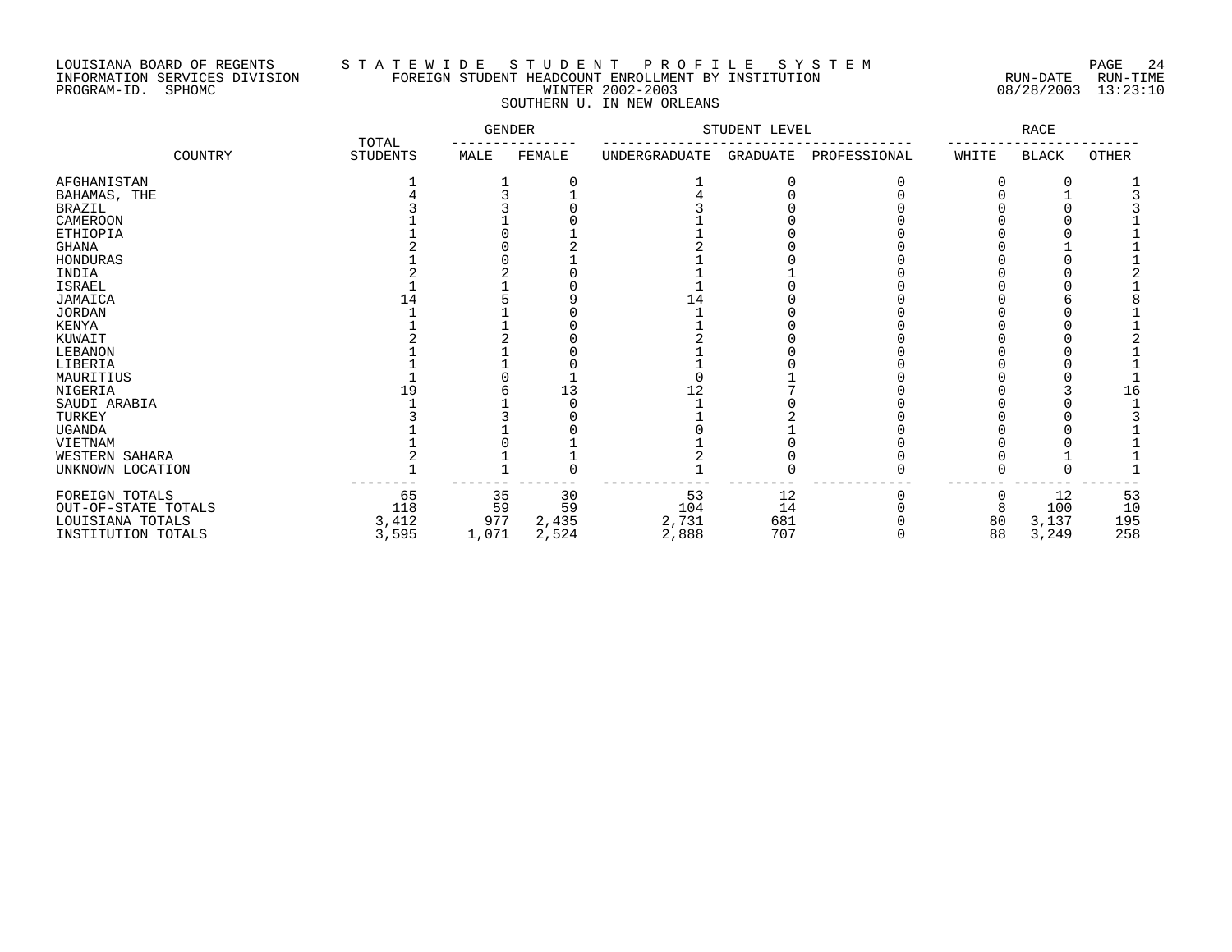## LOUISIANA BOARD OF REGENTS S T A T E W I D E S T U D E N T P R O F I L E S Y S T E M PAGE 24 INFORMATION SERVICES DIVISION FOREIGN STUDENT HEADCOUNT ENROLLMENT BY INSTITUTION RUN-DATE RUN-TIME PROGRAM-ID. SPHOMC WINTER 2002-2003 08/28/2003 13:23:10 SOUTHERN U. IN NEW ORLEANS

|                     |                          | <b>GENDER</b> |        |               | STUDENT LEVEL |              |       | RACE  |       |
|---------------------|--------------------------|---------------|--------|---------------|---------------|--------------|-------|-------|-------|
| COUNTRY             | TOTAL<br><b>STUDENTS</b> | MALE          | FEMALE | UNDERGRADUATE | GRADUATE      | PROFESSIONAL | WHITE | BLACK | OTHER |
| AFGHANISTAN         |                          |               |        |               |               |              |       |       |       |
| BAHAMAS, THE        |                          |               |        |               |               |              |       |       |       |
| <b>BRAZIL</b>       |                          |               |        |               |               |              |       |       |       |
| CAMEROON            |                          |               |        |               |               |              |       |       |       |
| <b>ETHIOPIA</b>     |                          |               |        |               |               |              |       |       |       |
| <b>GHANA</b>        |                          |               |        |               |               |              |       |       |       |
| HONDURAS            |                          |               |        |               |               |              |       |       |       |
| INDIA               |                          |               |        |               |               |              |       |       |       |
| ISRAEL              |                          |               |        |               |               |              |       |       |       |
| JAMAICA             |                          |               |        | l 4           |               |              |       |       |       |
| <b>JORDAN</b>       |                          |               |        |               |               |              |       |       |       |
| KENYA               |                          |               |        |               |               |              |       |       |       |
| KUWAIT              |                          |               |        |               |               |              |       |       |       |
| LEBANON             |                          |               |        |               |               |              |       |       |       |
| LIBERIA             |                          |               |        |               |               |              |       |       |       |
| MAURITIUS           |                          |               |        |               |               |              |       |       |       |
| NIGERIA             |                          |               |        |               |               |              |       |       | 16    |
| SAUDI ARABIA        |                          |               |        |               |               |              |       |       |       |
| TURKEY              |                          |               |        |               |               |              |       |       |       |
| <b>UGANDA</b>       |                          |               |        |               |               |              |       |       |       |
| VIETNAM             |                          |               |        |               |               |              |       |       |       |
| WESTERN SAHARA      |                          |               |        |               |               |              |       |       |       |
| UNKNOWN LOCATION    |                          |               |        |               |               |              |       |       |       |
| FOREIGN TOTALS      | 65                       | 35            | 30     | 53            | 12            |              | 0     | 12    | 53    |
| OUT-OF-STATE TOTALS | 118                      | 59            | 59     | 104           | 14            |              | 8     | 100   | 10    |
| LOUISIANA TOTALS    | 3,412                    | 977           | 2,435  | 2,731         | 681           |              | 80    | 3,137 | 195   |
| INSTITUTION TOTALS  | 3,595                    | 1,071         | 2,524  | 2,888         | 707           |              | 88    | 3,249 | 258   |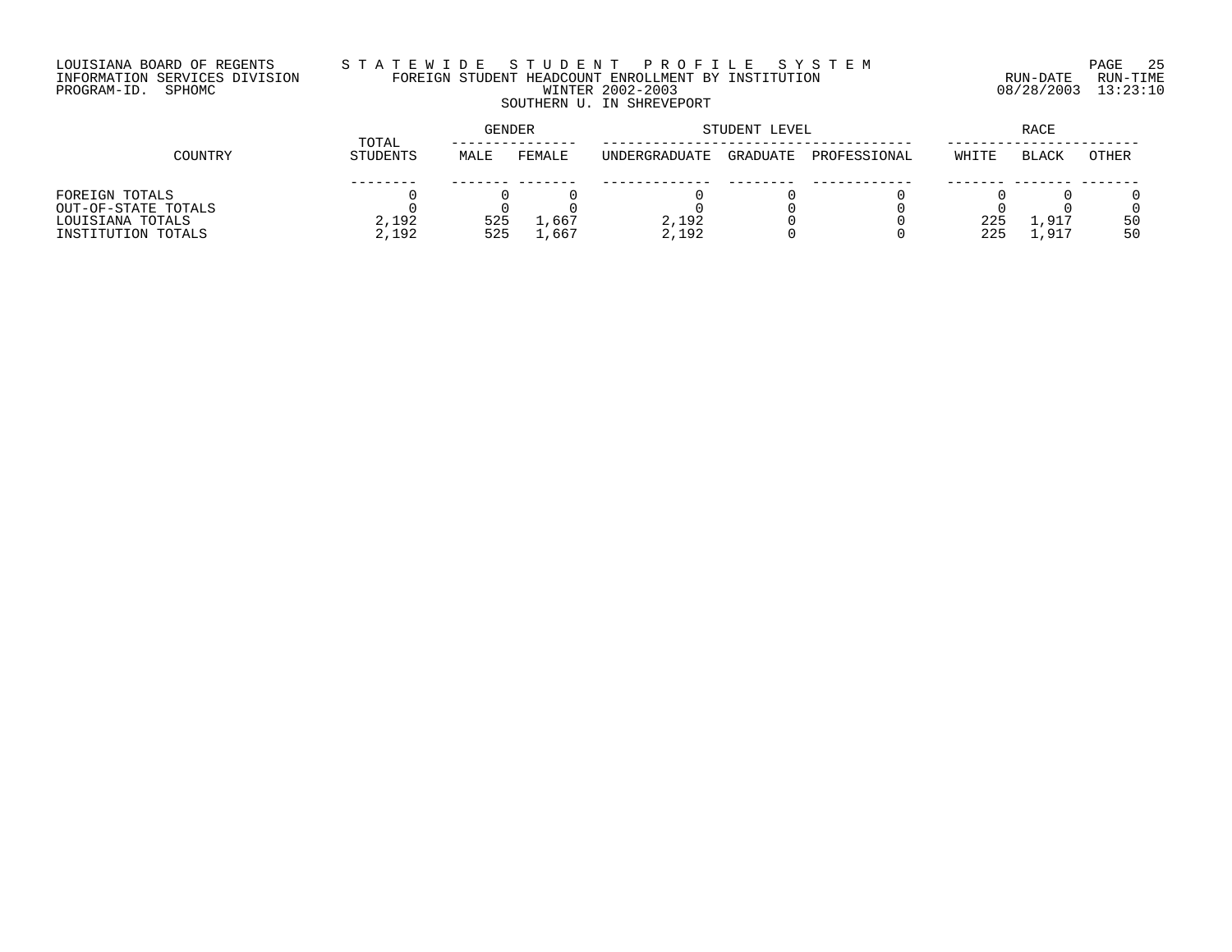# LOUISIANA BOARD OF REGENTS S T A T E W I D E S T U D E N T P R O F I L E S Y S T E M PAGE 25 INFORMATION SERVICES DIVISION FOREIGN STUDENT HEADCOUNT ENROLLMENT BY INSTITUTION RUN-DATE RUN-TIME PROGRAM-ID. SPHOMC WINTER 2002-2003 08/28/2003 13:23:10 SOUTHERN U. IN SHREVEPORT

|                     |                   | <b>GENDER</b> |        | STUDENT LEVEL | <b>RACE</b> |              |       |              |              |
|---------------------|-------------------|---------------|--------|---------------|-------------|--------------|-------|--------------|--------------|
| COUNTRY             | TOTAL<br>STUDENTS | MALE          | FEMALE | UNDERGRADUATE | GRADUATE    | PROFESSIONAL | WHITE | <b>BLACK</b> | <b>OTHER</b> |
|                     |                   |               |        |               |             |              |       |              |              |
| FOREIGN TOTALS      |                   |               |        |               |             |              |       |              |              |
| OUT-OF-STATE TOTALS |                   |               |        |               |             |              |       |              |              |
| LOUISIANA TOTALS    | 2,192             | 525           | ⊥,667  | 2,192         |             |              | 225   | ⊥,917        | 50           |
| INSTITUTION TOTALS  | 2,192             | 525           | 1,667  | 2,192         |             |              | 225   | 1,917        | 50           |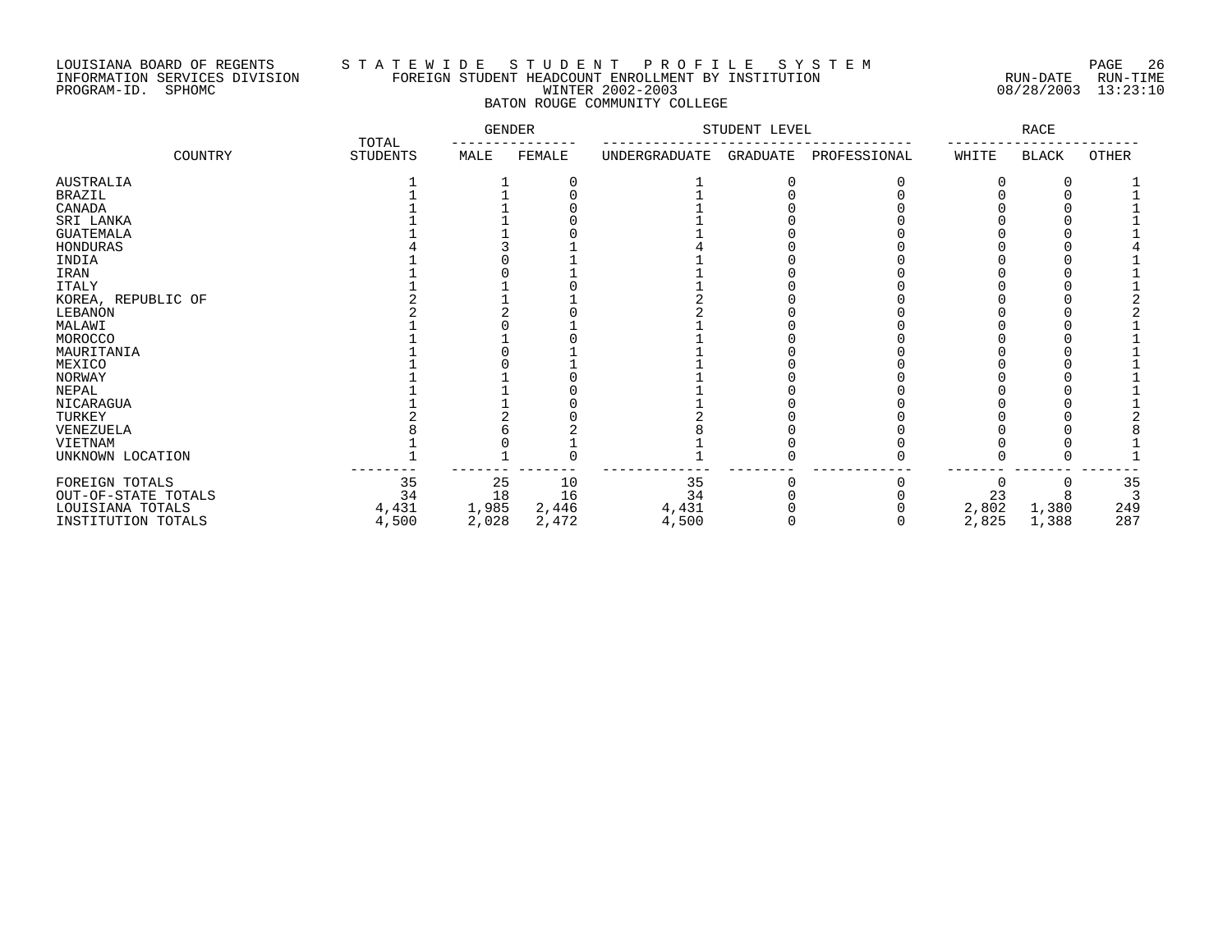## LOUISIANA BOARD OF REGENTS S T A T E W I D E S T U D E N T P R O F I L E S Y S T E M PAGE 26 INFORMATION SERVICES DIVISION FOREIGN STUDENT HEADCOUNT ENROLLMENT BY INSTITUTION RUN-DATE RUN-TIME PROGRAM-ID. SPHOMC WINTER 2002-2003 08/28/2003 13:23:10 BATON ROUGE COMMUNITY COLLEGE

|                     |                          | <b>GENDER</b> |        |               | STUDENT LEVEL |              |       | RACE         |              |
|---------------------|--------------------------|---------------|--------|---------------|---------------|--------------|-------|--------------|--------------|
| COUNTRY             | TOTAL<br><b>STUDENTS</b> | MALE          | FEMALE | UNDERGRADUATE | GRADUATE      | PROFESSIONAL | WHITE | <b>BLACK</b> | <b>OTHER</b> |
| <b>AUSTRALIA</b>    |                          |               |        |               |               |              |       |              |              |
| <b>BRAZIL</b>       |                          |               |        |               |               |              |       |              |              |
| CANADA              |                          |               |        |               |               |              |       |              |              |
| SRI LANKA           |                          |               |        |               |               |              |       |              |              |
| <b>GUATEMALA</b>    |                          |               |        |               |               |              |       |              |              |
| HONDURAS            |                          |               |        |               |               |              |       |              |              |
| INDIA               |                          |               |        |               |               |              |       |              |              |
| IRAN                |                          |               |        |               |               |              |       |              |              |
| <b>ITALY</b>        |                          |               |        |               |               |              |       |              |              |
| KOREA, REPUBLIC OF  |                          |               |        |               |               |              |       |              |              |
| <b>LEBANON</b>      |                          |               |        |               |               |              |       |              |              |
| MALAWI              |                          |               |        |               |               |              |       |              |              |
| MOROCCO             |                          |               |        |               |               |              |       |              |              |
| MAURITANIA          |                          |               |        |               |               |              |       |              |              |
| MEXICO              |                          |               |        |               |               |              |       |              |              |
| NORWAY              |                          |               |        |               |               |              |       |              |              |
| NEPAL               |                          |               |        |               |               |              |       |              |              |
| NICARAGUA           |                          |               |        |               |               |              |       |              |              |
| TURKEY              |                          |               |        |               |               |              |       |              |              |
| VENEZUELA           |                          |               |        |               |               |              |       |              |              |
| VIETNAM             |                          |               |        |               |               |              |       |              |              |
| UNKNOWN LOCATION    |                          |               |        |               |               |              |       |              |              |
| FOREIGN TOTALS      | 35                       | 25            | 10     | 35            |               |              |       |              | 35           |
| OUT-OF-STATE TOTALS | 34                       | 18            | 16     | 34            |               |              | 23    |              |              |
| LOUISIANA TOTALS    | 4,431                    | 1,985         | 2,446  | 4,431         |               |              | 2,802 | 1,380        | 249          |
| INSTITUTION TOTALS  | 4,500                    | 2,028         | 2,472  | 4,500         |               |              | 2,825 | 1,388        | 287          |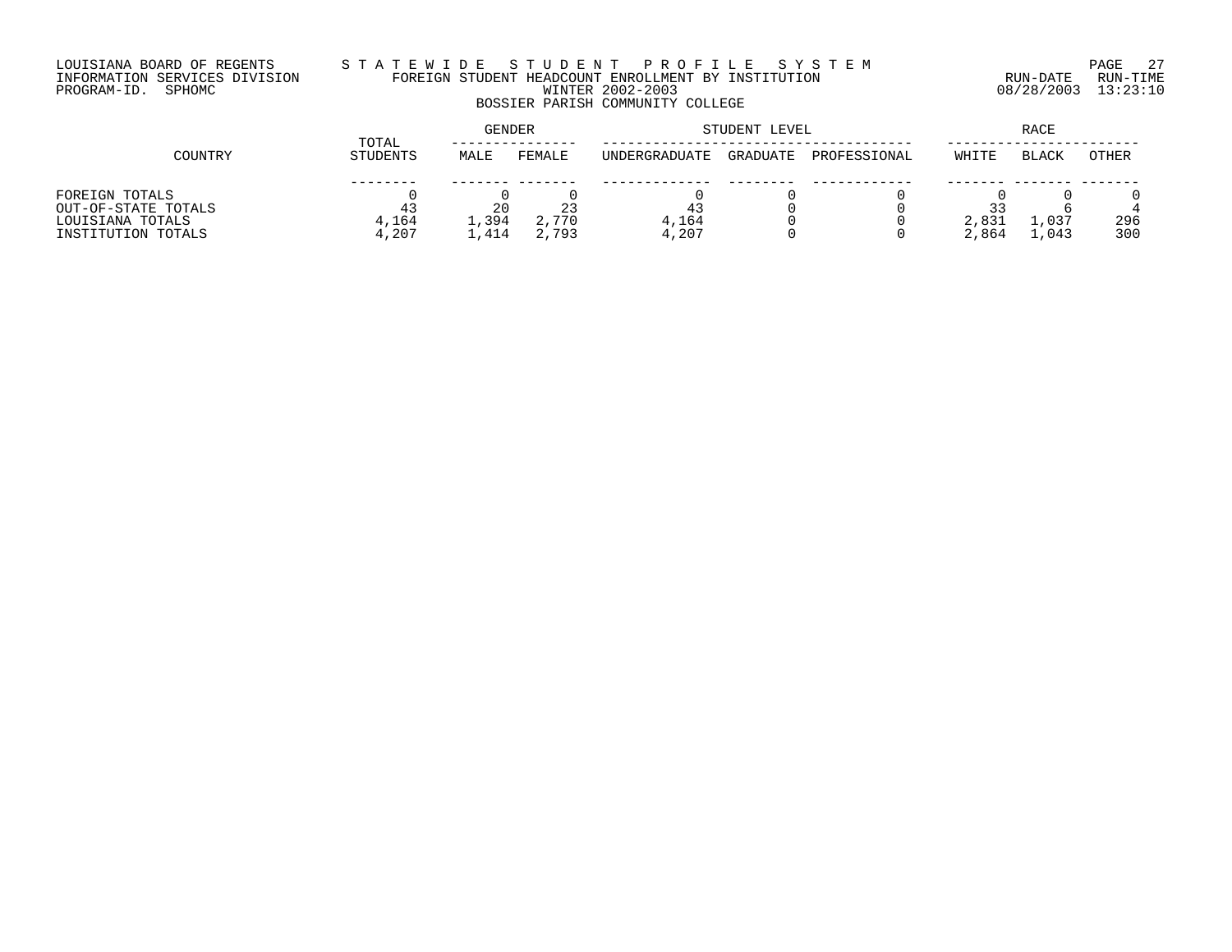# LOUISIANA BOARD OF REGENTS S T A T E W I D E S T U D E N T P R O F I L E S Y S T E M PAGE 27 INFORMATION SERVICES DIVISION FOREIGN STUDENT HEADCOUNT ENROLLMENT BY INSTITUTION RUN-DATE RUN-TIME PROGRAM-ID. SPHOMC WINTER 2002-2003 08/28/2003 13:23:10 BOSSIER PARISH COMMUNITY COLLEGE

|                     | TOTAL    | <b>GENDER</b> |        |               | STUDENT LEVEL | RACE         |       |       |              |
|---------------------|----------|---------------|--------|---------------|---------------|--------------|-------|-------|--------------|
| COUNTRY             | STUDENTS | MALE          | FEMALE | UNDERGRADUATE | GRADUATE      | PROFESSIONAL | WHITE | BLACK | <b>OTHER</b> |
|                     |          |               |        |               |               |              |       |       |              |
| FOREIGN TOTALS      |          |               |        |               |               |              |       |       |              |
| OUT-OF-STATE TOTALS |          | 20            | 23     | 43            |               |              |       |       |              |
| LOUISIANA TOTALS    | 4,164    | 1,394         | 2,770  | 4,164         |               |              | 2,831 | ⊥,037 | 296          |
| INSTITUTION TOTALS  | 4,207    | .,414         | 2,793  | 4,207         |               |              | 2,864 | 1,043 | 300          |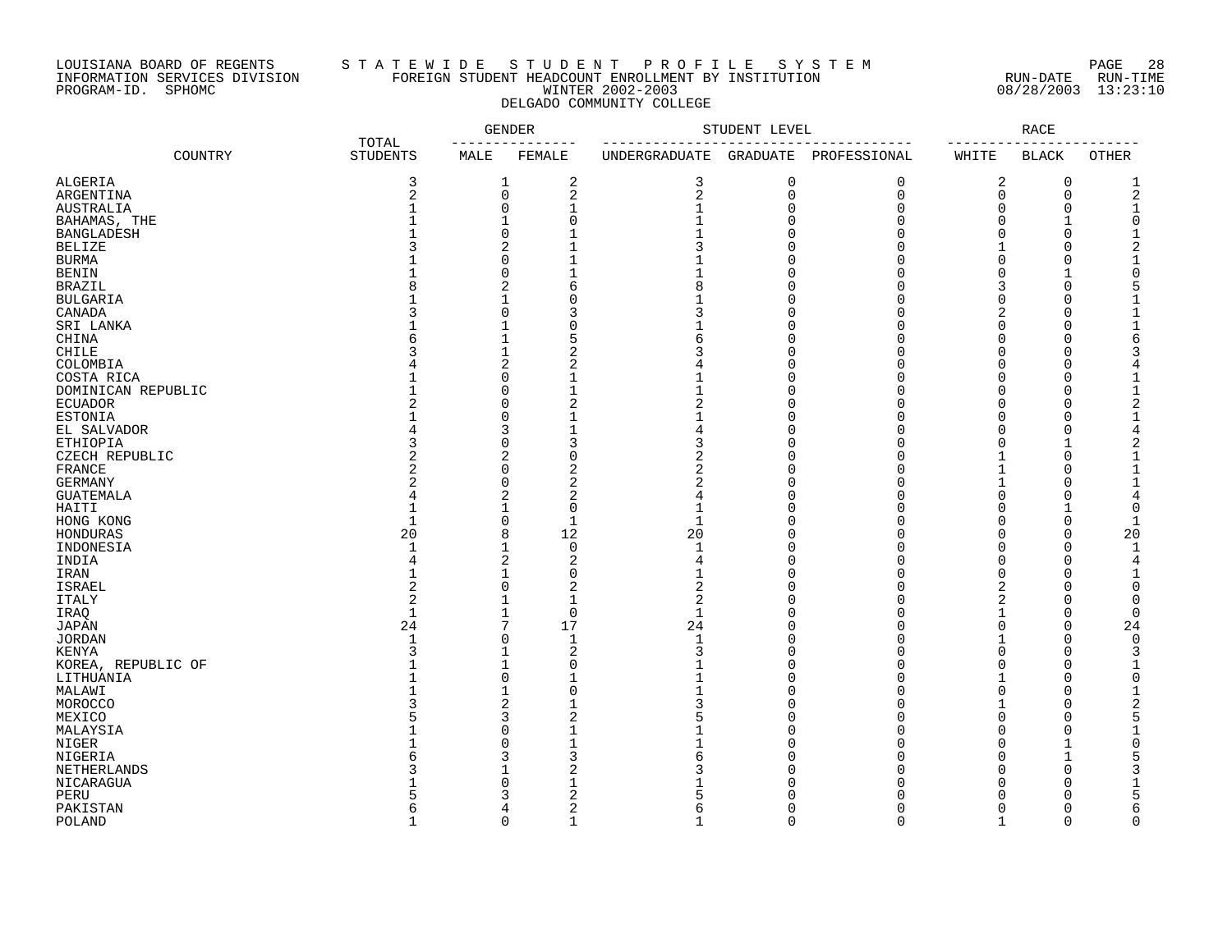# LOUISIANA BOARD OF REGENTS S T A T E W I D E S T U D E N T P R O F I L E S Y S T E M PAGE 28 INFORMATION SERVICES DIVISION FOREIGN STUDENT HEADCOUNT ENROLLMENT BY INSTITUTION RUN-DATE RUN-TIME PROGRAM-ID. SPHOMC WINTER 2002-2003 08/28/2003 13:23:10 DELGADO COMMUNITY COLLEGE

|                    |                          | <b>GENDER</b> |                | STUDENT LEVEL |             |              | RACE        |              |              |
|--------------------|--------------------------|---------------|----------------|---------------|-------------|--------------|-------------|--------------|--------------|
| COUNTRY            | TOTAL<br><b>STUDENTS</b> | MALE          | FEMALE         | UNDERGRADUATE | GRADUATE    | PROFESSIONAL | WHITE       | <b>BLACK</b> | <b>OTHER</b> |
| ALGERIA            | 3                        | 1             | 2              | 3             | 0           | 0            | 2           | $\mathbf 0$  |              |
| ARGENTINA          | $\sqrt{2}$               | 0             | $\sqrt{2}$     | 2             | $\mathbf 0$ | 0            | $\mathbf 0$ | $\mathbf 0$  |              |
| AUSTRALIA          |                          | 0             | $\mathbf{1}$   |               | O           | $\Omega$     | O           | $\Omega$     |              |
| BAHAMAS, THE       |                          | 1             | $\Omega$       |               |             | ∩            | O           |              |              |
| <b>BANGLADESH</b>  |                          | 0             |                |               |             |              | ∩           | $\Omega$     |              |
| <b>BELIZE</b>      |                          | 2             |                | 3             | U           | ∩            |             | U            |              |
|                    |                          | $\Omega$      |                |               |             |              | ∩           | U            |              |
| <b>BURMA</b>       |                          | $\Omega$      |                |               |             |              |             |              |              |
| <b>BENIN</b>       |                          |               |                |               |             |              |             |              |              |
| <b>BRAZIL</b>      |                          | 2             | 6              | 8             |             |              |             | O            |              |
| <b>BULGARIA</b>    |                          | $\mathbf{1}$  | $\sqrt{ }$     |               |             |              |             | U            |              |
| CANADA             |                          | 0             |                |               |             |              |             | U            |              |
| SRI LANKA          |                          |               | C              |               |             |              |             | U            |              |
| CHINA              |                          | 1             | 5              |               |             |              |             | U            |              |
| <b>CHILE</b>       |                          | $\mathbf{1}$  |                |               |             |              |             | O            |              |
| COLOMBIA           |                          | 2             | 2              |               |             |              |             | O            |              |
| COSTA RICA         |                          | 0             |                |               |             |              | n           | O            |              |
| DOMINICAN REPUBLIC |                          | 0             |                |               |             |              | O           | O            |              |
| <b>ECUADOR</b>     |                          | $\Omega$      | 2              | 2             |             |              |             | $\Omega$     |              |
| <b>ESTONIA</b>     |                          | $\Omega$      |                |               | U           |              |             | U            |              |
| EL SALVADOR        |                          | 3             |                | 4             |             |              | $\Omega$    | $\Omega$     |              |
| ETHIOPIA           | 3                        | 0             | 3              | 3             |             |              | O           |              |              |
| CZECH REPUBLIC     |                          | 2             | $\Omega$       | 2             |             |              |             | $\Omega$     |              |
| FRANCE             | 2                        | 0             | 2              | 2             |             |              |             | U            |              |
| GERMANY            | 2                        | 0             | 2              | 2             |             | O            |             | U            |              |
| <b>GUATEMALA</b>   |                          | 2             | $\overline{2}$ | 4             |             |              | $\Omega$    | $\Omega$     |              |
| HAITI              |                          | $\mathbf{1}$  | $\Omega$       | 1             |             |              | $\Omega$    |              |              |
| HONG KONG          | $\mathbf{1}$             | 0             | $\mathbf{1}$   | $\mathbf 1$   |             |              |             | $\Omega$     |              |
| HONDURAS           | 20                       | 8             | 12             | 20            |             |              |             | $\Omega$     | 20           |
|                    | -1                       | 1             | $\overline{0}$ |               |             |              | ∩           | $\Omega$     |              |
| INDONESIA          |                          |               |                | 1             |             |              |             |              |              |
| INDIA              |                          | 2             | $\overline{2}$ | 4             |             |              |             | U            |              |
| IRAN               |                          | $\mathbf{1}$  | $\Omega$       |               |             |              |             |              |              |
| <b>ISRAEL</b>      |                          | $\Omega$      | 2              | 2             |             |              | 2           | Λ            |              |
| <b>ITALY</b>       | 2                        | 1             | $\mathbf{1}$   | 2             |             |              | 2           |              |              |
| IRAQ               | $\mathbf{1}$             | 1             | $\mathbf 0$    | $\mathbf 1$   |             |              |             | 0            |              |
| <b>JAPAN</b>       | 24                       | 7             | 17             | 24            |             |              |             | $\Omega$     | 24           |
| <b>JORDAN</b>      | -1                       | 0             | $\mathbf 1$    | 1             |             |              |             | $\Omega$     |              |
| <b>KENYA</b>       |                          | 1             | $\overline{2}$ | 3             | U           |              |             | $\Omega$     |              |
| KOREA, REPUBLIC OF |                          | $\mathbf{1}$  | $\Omega$       |               | U           | ∩            | $\Omega$    | $\Omega$     |              |
| LITHUANIA          |                          | 0             |                |               |             | O            |             | $\Omega$     |              |
| MALAWI             |                          | 1             | 0              |               |             | O            |             | O            |              |
| MOROCCO            |                          | 2             |                | 3             |             |              |             | U            |              |
| MEXICO             |                          | 3             | 2              | 5             |             | O            | $\Omega$    | O            |              |
| MALAYSIA           |                          | 0             |                |               |             |              | O           | $\Omega$     |              |
| NIGER              |                          | 0             |                |               |             |              |             |              |              |
| NIGERIA            |                          | 3             |                |               |             |              |             |              |              |
| NETHERLANDS        |                          | 1             | 2              |               |             |              |             | U            |              |
| NICARAGUA          |                          | $\Omega$      |                |               |             |              |             | Ω            |              |
| PERU               |                          | 3             |                |               |             |              |             |              |              |
| PAKISTAN           |                          | 4             | $\overline{c}$ | б             | U           | O            | ∩           | U            |              |
| POLAND             |                          | $\Omega$      |                |               | ∩           | U            |             | $\cap$       |              |
|                    |                          |               |                |               |             |              |             |              |              |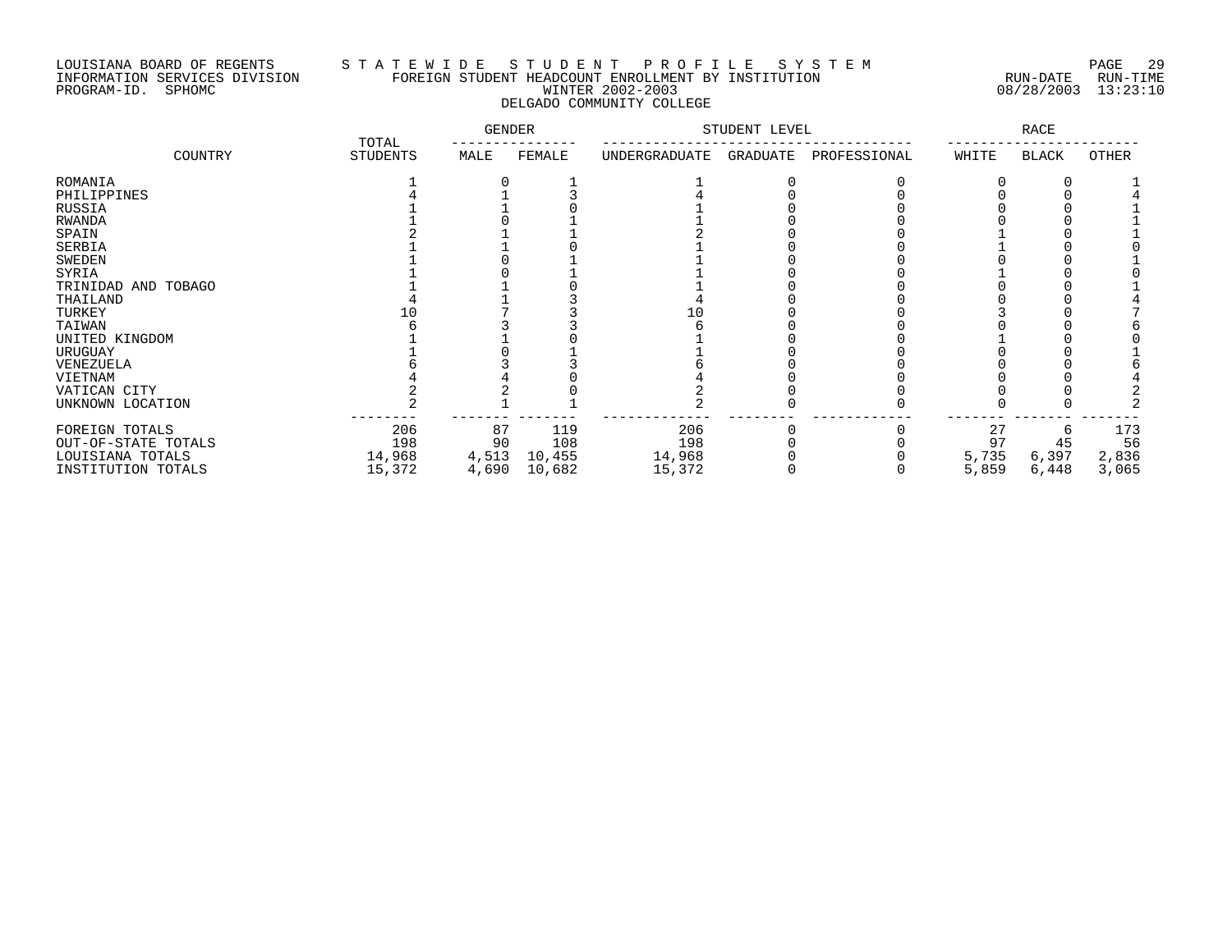# LOUISIANA BOARD OF REGENTS S T A T E W I D E S T U D E N T P R O F I L E S Y S T E M PAGE 29 INFORMATION SERVICES DIVISION FOREIGN STUDENT HEADCOUNT ENROLLMENT BY INSTITUTION RUN-DATE RUN-TIME PROGRAM-ID. SPHOMC WINTER 2002-2003 08/28/2003 13:23:10 DELGADO COMMUNITY COLLEGE

|                     |                          | GENDER |        | STUDENT LEVEL |          | <b>RACE</b>  |       |              |       |
|---------------------|--------------------------|--------|--------|---------------|----------|--------------|-------|--------------|-------|
| COUNTRY             | TOTAL<br><b>STUDENTS</b> | MALE   | FEMALE | UNDERGRADUATE | GRADUATE | PROFESSIONAL | WHITE | <b>BLACK</b> | OTHER |
| ROMANIA             |                          |        |        |               |          |              |       |              |       |
| PHILIPPINES         |                          |        |        |               |          |              |       |              |       |
| RUSSIA              |                          |        |        |               |          |              |       |              |       |
| <b>RWANDA</b>       |                          |        |        |               |          |              |       |              |       |
| SPAIN               |                          |        |        |               |          |              |       |              |       |
| SERBIA              |                          |        |        |               |          |              |       |              |       |
| <b>SWEDEN</b>       |                          |        |        |               |          |              |       |              |       |
| SYRIA               |                          |        |        |               |          |              |       |              |       |
| TRINIDAD AND TOBAGO |                          |        |        |               |          |              |       |              |       |
| THAILAND            |                          |        |        |               |          |              |       |              |       |
| TURKEY              |                          |        |        |               |          |              |       |              |       |
| TAIWAN              |                          |        |        |               |          |              |       |              |       |
| UNITED KINGDOM      |                          |        |        |               |          |              |       |              |       |
| URUGUAY             |                          |        |        |               |          |              |       |              |       |
| VENEZUELA           |                          |        |        |               |          |              |       |              |       |
| VIETNAM             |                          |        |        |               |          |              |       |              |       |
| VATICAN CITY        |                          |        |        |               |          |              |       |              |       |
| UNKNOWN LOCATION    |                          |        |        |               |          |              |       |              |       |
| FOREIGN TOTALS      | 206                      | 87     | 119    | 206           |          |              | 27    |              | 173   |
| OUT-OF-STATE TOTALS | 198                      | 90     | 108    | 198           |          |              | 97    | 45           | 56    |
| LOUISIANA TOTALS    | 14,968                   | 4,513  | 10,455 | 14,968        |          |              | 5,735 | 6,397        | 2,836 |
| INSTITUTION TOTALS  | 15,372                   | 4,690  | 10,682 | 15,372        |          |              | 5,859 | 6,448        | 3,065 |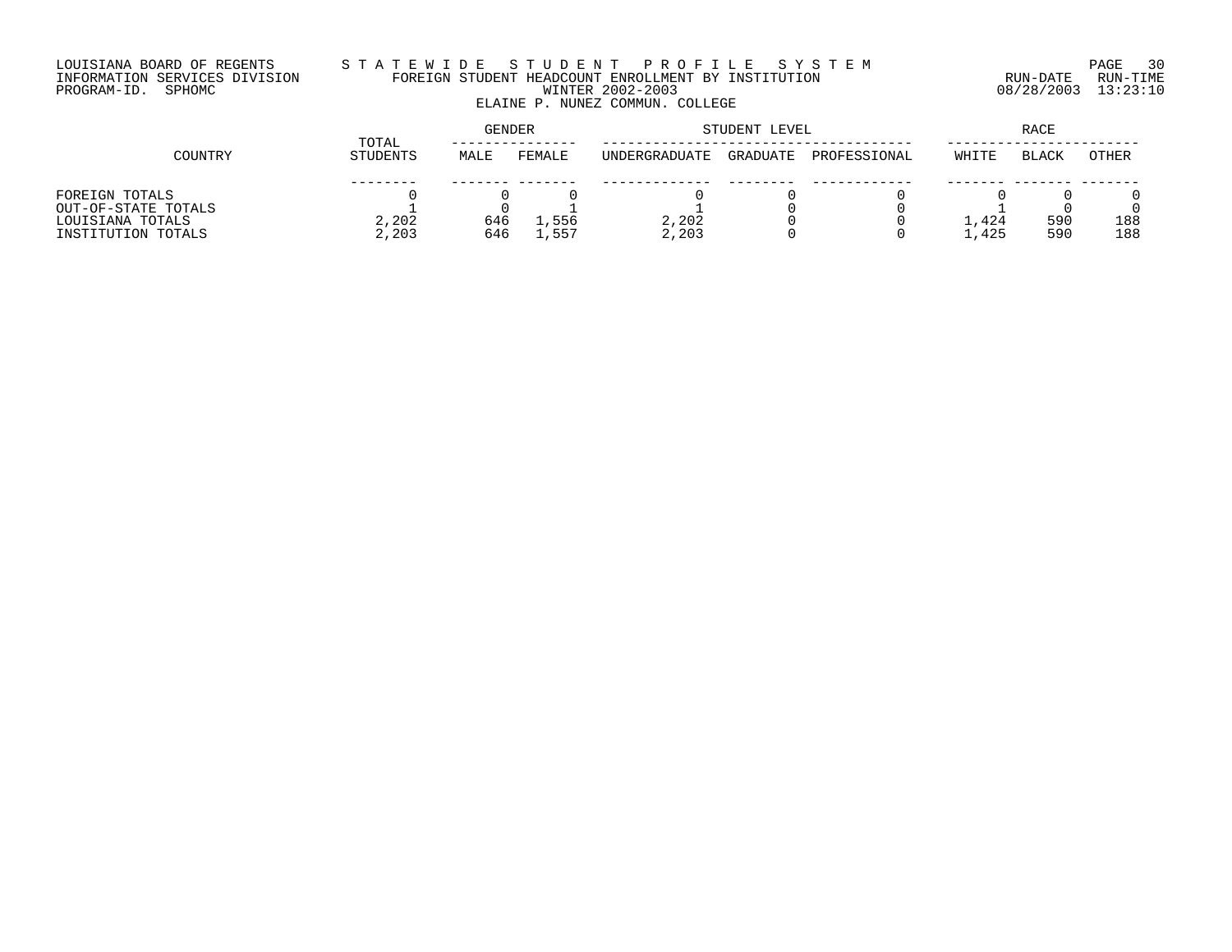# LOUISIANA BOARD OF REGENTS S T A T E W I D E S T U D E N T P R O F I L E S Y S T E M PAGE 30 INFORMATION SERVICES DIVISION FOREIGN STUDENT HEADCOUNT ENROLLMENT BY INSTITUTION RUN-DATE RUN-TIME PROGRAM-ID. SPHOMC WINTER 2002-2003 08/28/2003 13:23:10 ELAINE P. NUNEZ COMMUN. COLLEGE

|                     | TOTAL    | <b>GENDER</b> |        |                       | STUDENT LEVEL | <b>RACE</b>  |       |              |              |
|---------------------|----------|---------------|--------|-----------------------|---------------|--------------|-------|--------------|--------------|
| COUNTRY             | STUDENTS | MALE          | FEMALE | <b>IINDERGRADUATE</b> | GRADUATE      | PROFESSIONAL | WHITE | <b>BLACK</b> | <b>OTHER</b> |
|                     |          |               |        |                       |               |              |       |              |              |
| FOREIGN TOTALS      |          |               |        |                       |               |              |       |              |              |
| OUT-OF-STATE TOTALS |          |               |        |                       |               |              |       |              |              |
| LOUISIANA TOTALS    | 2,202    | 646           | 1,556  | 2,202                 |               |              | ⊥,424 | 590          | 188          |
| INSTITUTION TOTALS  | 2,203    | 646           | 557    | 2,203                 |               |              | 1,425 | 590          | 188          |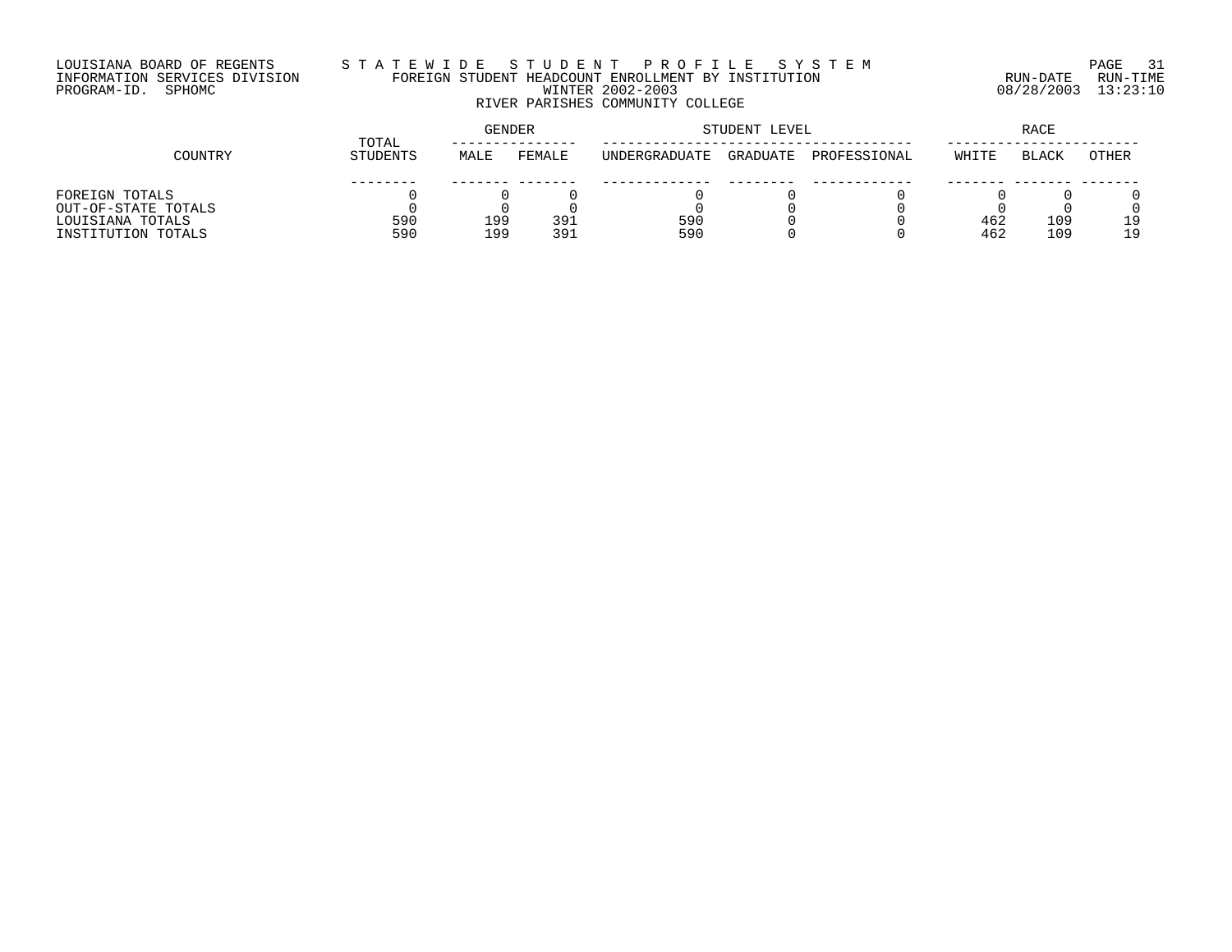# LOUISIANA BOARD OF REGENTS S T A T E W I D E S T U D E N T P R O F I L E S Y S T E M PAGE 31 INFORMATION SERVICES DIVISION FOREIGN STUDENT HEADCOUNT ENROLLMENT BY INSTITUTION RUN-DATE RUN-TIME PROGRAM-ID. SPHOMC WINTER 2002-2003 08/28/2003 13:23:10 RIVER PARISHES COMMUNITY COLLEGE

|                     | TOTAL    | <b>GENDER</b> |        |                      | STUDENT LEVEL | RACE         |       |              |       |
|---------------------|----------|---------------|--------|----------------------|---------------|--------------|-------|--------------|-------|
| COUNTRY             | STUDENTS | MALE          | FEMALE | <b>INDERGRADUATE</b> | GRADUATE      | PROFESSIONAL | WHITE | <b>BLACK</b> | OTHER |
|                     |          |               |        |                      |               |              |       |              |       |
| FOREIGN TOTALS      |          |               |        |                      |               |              |       |              |       |
| OUT-OF-STATE TOTALS |          |               |        |                      |               |              |       |              |       |
| LOUISIANA TOTALS    | 590      | 199           | 391    | 590                  |               |              | 462   | 109          | 1 Q   |
| INSTITUTION TOTALS  | 590      | 199           | 391    | 590                  |               |              | 462   | 109          | 19    |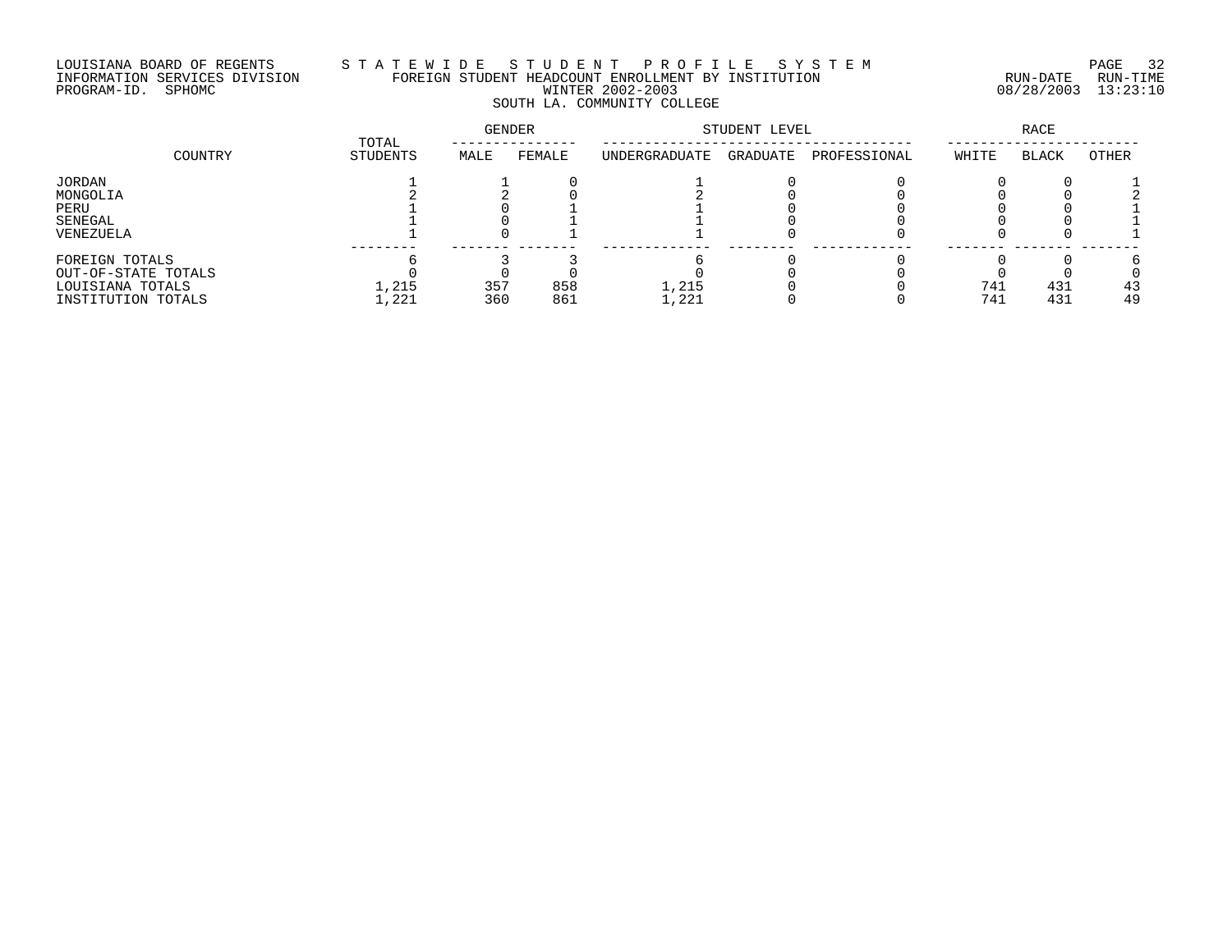# LOUISIANA BOARD OF REGENTS S T A T E W I D E S T U D E N T P R O F I L E S Y S T E M PAGE 32 INFORMATION SERVICES DIVISION FOREIGN STUDENT HEADCOUNT ENROLLMENT BY INSTITUTION RUN-DATE RUN-TIME PROGRAM-ID. SPHOMC WINTER 2002-2003 08/28/2003 13:23:10 SOUTH LA. COMMUNITY COLLEGE

|                     |                   | GENDER |        | STUDENT LEVEL |          | RACE         |       |              |       |
|---------------------|-------------------|--------|--------|---------------|----------|--------------|-------|--------------|-------|
| COUNTRY             | TOTAL<br>STUDENTS | MALE   | FEMALE | UNDERGRADUATE | GRADUATE | PROFESSIONAL | WHITE | <b>BLACK</b> | OTHER |
| JORDAN              |                   |        |        |               |          |              |       |              |       |
| MONGOLIA            |                   |        |        |               |          |              |       |              |       |
| PERU                |                   |        |        |               |          |              |       |              |       |
| SENEGAL             |                   |        |        |               |          |              |       |              |       |
| VENEZUELA           |                   |        |        |               |          |              |       |              |       |
| FOREIGN TOTALS      |                   |        |        |               |          |              |       |              |       |
| OUT-OF-STATE TOTALS |                   |        |        |               |          |              |       |              |       |
| LOUISIANA TOTALS    | 1,215             | 357    | 858    | 1,215         |          |              | 741   | 431          | 43    |
| INSTITUTION TOTALS  | 1,221             | 360    | 861    | 1,221         |          |              | 741   | 431          | 49    |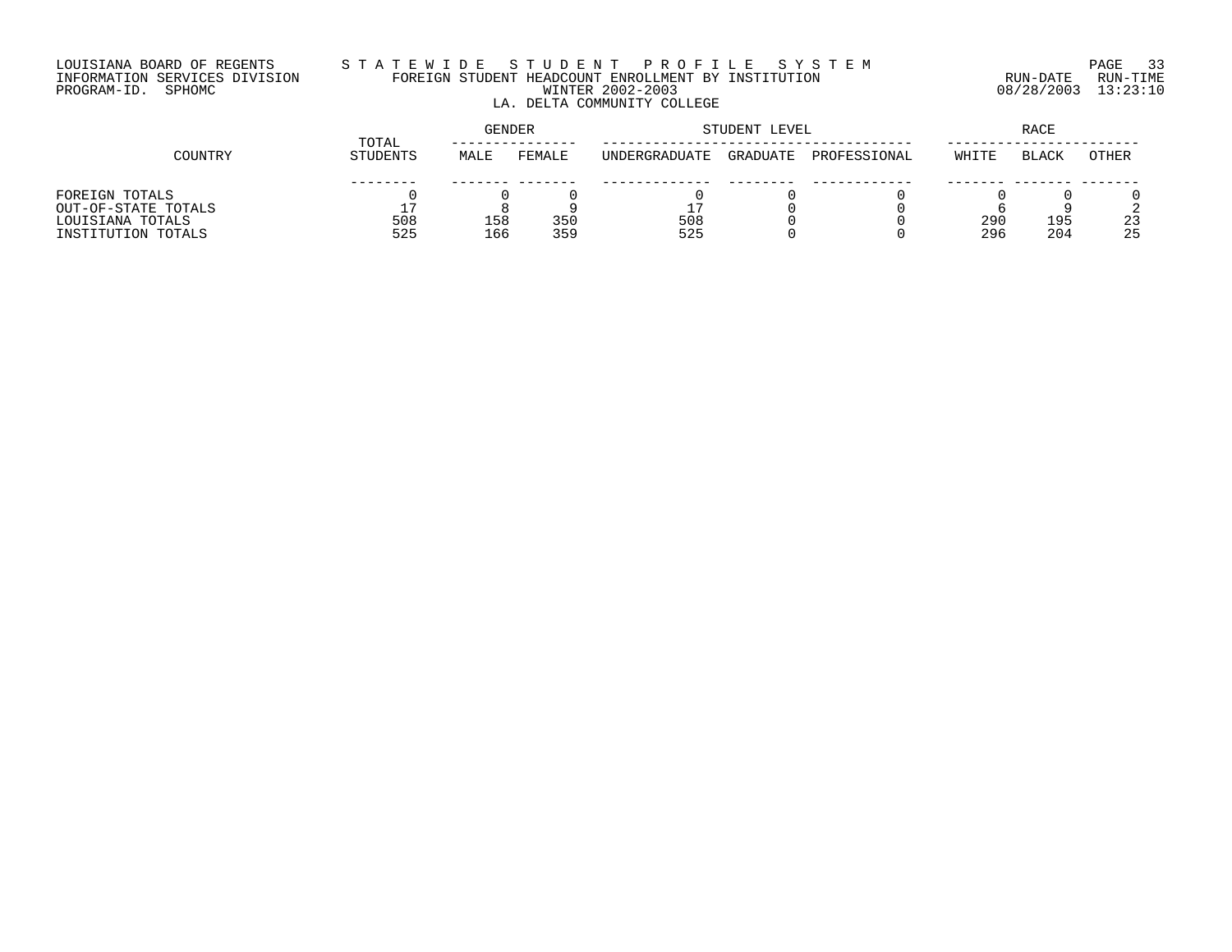# LOUISIANA BOARD OF REGENTS S T A T E W I D E S T U D E N T P R O F I L E S Y S T E M PAGE 33 INFORMATION SERVICES DIVISION FOREIGN STUDENT HEADCOUNT ENROLLMENT BY INSTITUTION RUN-DATE RUN-TIME PROGRAM-ID. SPHOMC WINTER 2002-2003 08/28/2003 13:23:10 LA. DELTA COMMUNITY COLLEGE

|                     | TOTAL    | GENDER |        |               | STUDENT LEVEL | <b>RACE</b>  |       |              |              |
|---------------------|----------|--------|--------|---------------|---------------|--------------|-------|--------------|--------------|
| COUNTRY             | STUDENTS | MALE   | FEMALE | UNDERGRADUATE | GRADUATE      | PROFESSIONAL | WHITE | <b>BLACK</b> | <b>OTHER</b> |
|                     |          |        |        |               |               |              |       |              |              |
| FOREIGN TOTALS      |          |        |        |               |               |              |       |              |              |
| OUT-OF-STATE TOTALS |          |        |        | -             |               |              |       |              |              |
| LOUISIANA TOTALS    | 508      | 158    | 350    | 508           |               |              | 290   | 195          | 23           |
| INSTITUTION TOTALS  | 525      | 166    | 359    | 525           |               |              | 296   | 204          | 25           |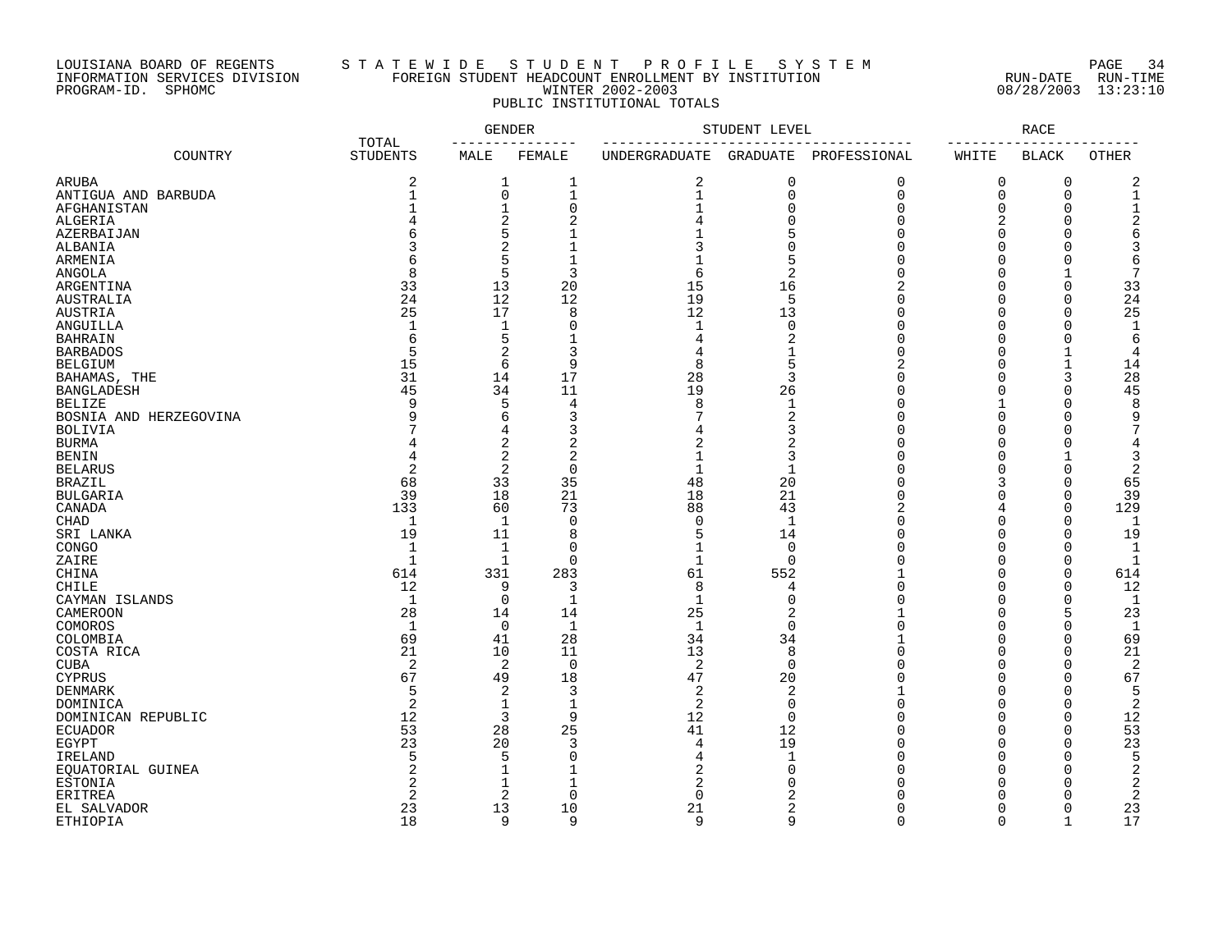## LOUISIANA BOARD OF REGENTS S T A T E W I D E S T U D E N T P R O F I L E S Y S T E M PAGE 34 INFORMATION SERVICES DIVISION FOREIGN STUDENT HEADCOUNT ENROLLMENT BY INSTITUTION RUN-DATE RUN-TIME PROGRAM-ID. SPHOMC WINTER 2002-2003 08/28/2003 13:23:10 PUBLIC INSTITUTIONAL TOTALS

| ------<br>COUNTRY<br><b>STUDENTS</b><br>MALE<br>FEMALE<br>UNDERGRADUATE<br>GRADUATE PROFESSIONAL<br>WHITE<br><b>BLACK</b><br>OTHER<br>2<br>2<br>0<br>0<br>2<br>ARUBA<br>1<br>1<br>0<br>0<br>0<br>$\mathbf{1}$<br>$\mathbf 0$<br>$\mathbf{1}$<br>$\mathbf{1}$<br>$\mathbf 0$<br>$\Omega$<br>0<br>1<br>ANTIGUA AND BARBUDA<br>$\mathbf{1}$<br>$\mathbf 0$<br>$\mathbf 0$<br>$\Omega$<br>$\Omega$<br>$\Omega$<br>AFGHANISTAN<br>2<br>$\overline{2}$<br>$\Omega$<br>$\Omega$<br>2<br>$\Omega$<br>ALGERIA<br>5<br>5<br>$\Omega$<br>$\Omega$<br>AZERBAIJAN<br>$\overline{c}$<br>$\Omega$<br>ALBANIA<br>$\cap$<br>$\Omega$<br>$\Omega$<br>5<br>5<br>ARMENIA<br>$\cap$<br>$\Omega$<br>$\cap$<br>6<br>6<br>5<br>3<br>$\overline{c}$<br>8<br>$\Omega$<br>7<br><b>ANGOLA</b><br>6<br>33<br>13<br>20<br>15<br>$\Omega$<br>16<br>$\Omega$<br>33<br>ARGENTINA<br>5<br>24<br>12<br>12<br>19<br>24<br><b>AUSTRALIA</b><br>$\Omega$<br>$\Omega$<br>25<br>12<br>25<br>17<br>8<br>AUSTRIA<br>13<br>$\Omega$<br>$\Omega$<br>$\cap$<br>ANGUILLA<br>$\mathbf{1}$<br>1<br>0<br>$\mathbf{1}$<br>$\Omega$<br>$\cap$<br>$\Omega$<br>$\Omega$<br>$\mathbf{1}$<br>5<br>2<br>$\Omega$<br><b>BAHRAIN</b><br>6<br>$\Omega$<br>6<br>2<br>3<br>5<br>$\Omega$<br>$\Omega$<br>$\mathbf{1}$<br><b>BARBADOS</b><br>1<br>$\overline{4}$<br>15<br>6<br>9<br>5<br><b>BELGIUM</b><br>8<br>$\Omega$<br>$\mathbf{1}$<br>14<br>17<br>31<br>14<br>28<br>3<br>3<br>28<br>$\Omega$<br>BAHAMAS, THE<br>$\Omega$<br>11<br>45<br>34<br>19<br>26<br>$\mathbf 0$<br>45<br><b>BANGLADESH</b><br>O<br>$\Omega$<br>5<br>8<br>9<br>$\overline{4}$<br>8<br>$\mathbf 1$<br>$\Omega$<br><b>BELIZE</b><br>$\Omega$<br>6<br>3<br>$\overline{2}$<br>q<br>$\Omega$<br>$\Omega$<br>9<br>BOSNIA AND HERZEGOVINA<br>$\Omega$<br>3<br>4<br>3<br>$\Omega$<br>$\Omega$<br><b>BOLIVIA</b><br>$\cap$<br>2<br>$\overline{a}$<br>$\overline{a}$<br><b>BURMA</b><br>2<br>$\Omega$<br>$\Omega$<br>4<br>$\Omega$<br>4<br>2<br>$\overline{2}$<br>3<br>$\Omega$<br>4<br>$\Omega$<br>3<br><b>BENIN</b><br>$\overline{2}$<br>2<br>$\mathbf 0$<br>$\mathbf{1}$<br>$\mathbf 1$<br>$\Omega$<br>$\Omega$<br>2<br><b>BELARUS</b><br>U<br>35<br>68<br>33<br>48<br>20<br>3<br>$\Omega$<br>65<br><b>BRAZIL</b><br>$\cap$<br>39<br>18<br>21<br>18<br>21<br><b>BULGARIA</b><br>$\Omega$<br>$\Omega$<br>$\Omega$<br>39<br>CANADA<br>133<br>60<br>73<br>88<br>43<br>$\mathbf 0$<br>129<br>4<br>$\mathbf 0$<br>1<br>1<br>$\Omega$<br>1<br>U<br>$\Omega$<br>$\Omega$<br>CHAD<br>-1<br>19<br>8<br>14<br>$\Omega$<br>19<br>SRI LANKA<br>11<br>5<br>U<br>∩<br>1<br>$\Omega$<br>$\mathbf 0$<br>$\Omega$<br>$\Omega$<br>$\mathbf{1}$<br>CONGO<br>1<br>$\cap$<br>$\mathbf{1}$<br>ZAIRE<br>$\mathbf{1}$<br>1<br>$\Omega$<br>$\Omega$<br>$\cap$<br>$\Omega$<br>$\Omega$<br>$\mathbf{1}$<br>61<br>$\Omega$<br>$\mathbf 0$<br>614<br>331<br>283<br>552<br>614<br>CHINA<br>12<br>9<br>8<br>$\Omega$<br>$\mathbf 0$<br>12<br>CHILE<br>3<br>4<br>$\cap$<br>0<br>1<br>$\mathbf{1}$<br>$\mathbf 0$<br>$\Omega$<br>$\Omega$<br>CAYMAN ISLANDS<br>1<br>$\cap$<br>1<br>28<br>25<br>23<br><b>CAMEROON</b><br>14<br>14<br>2<br>$\Omega$<br>5<br>COMOROS<br><sup>1</sup><br>$\Omega$<br>-1<br>$\mathbf{1}$<br>$\Omega$<br>$\Omega$<br>$\Omega$<br>$\Omega$<br>$\mathbf{1}$<br>69<br>28<br>34<br>34<br>69<br>41<br>$\Omega$<br>$\Omega$<br>COLOMBIA<br>21<br>13<br>8<br>21<br>COSTA RICA<br>10<br>11<br>$\cap$<br>$\Omega$<br>$\Omega$<br>$\overline{2}$<br>2<br>$\overline{0}$<br>2<br>$\mathbf 0$<br>$\Omega$<br>$\Omega$<br>2<br><b>CUBA</b><br>$\cap$<br>67<br>49<br>18<br>47<br>20<br>$\Omega$<br>$\Omega$<br>67<br><b>CYPRUS</b><br>$\cap$<br>2<br>5<br>$\overline{3}$<br>2<br>2<br>$\Omega$<br>$\Omega$<br>5<br>DENMARK<br>$\overline{2}$<br>$\overline{a}$<br>$\mathbf 0$<br>1<br>$\mathbf 1$<br>$\Omega$<br>$\Omega$<br>$\mathbf 0$<br>2<br>DOMINICA<br>3<br>9<br>12<br>12<br>$\overline{0}$<br>$\Omega$<br>$\mathbf 0$<br>12<br>$\cap$<br>DOMINICAN REPUBLIC<br>53<br>28<br>25<br>41<br>12<br><b>ECUADOR</b><br>$\Omega$<br>$\Omega$<br>$\Omega$<br>53<br>23<br>3<br>19<br>23<br>20<br>$\Omega$<br>$\Omega$<br>EGYPT<br>4<br>$\Omega$<br>5<br>5<br>5<br>$\mathbf 0$<br>$\mathbf{1}$<br>$\Omega$<br>$\Omega$<br>$\Omega$<br>IRELAND<br>$\overline{2}$<br>EQUATORIAL GUINEA<br>$\mathbf{1}$<br>2<br>$\Omega$<br>$\Omega$<br>2<br>n<br>∩<br>2<br>1<br>2<br>ESTONIA<br>1<br>2<br>$\Omega$<br>ſ<br><b>ERITREA</b><br>$\mathfrak{D}$<br>2<br>$\Omega$<br>$\Omega$<br>$\overline{c}$<br>$\Omega$<br>$\cap$<br>13<br>21<br>23<br>10<br>2<br>$\Omega$<br>23<br>EL SALVADOR<br>$\Omega$<br>18<br>9<br>9<br>9<br>9<br>$\Omega$<br>$\Omega$<br>$\mathbf{1}$<br>17<br><b>ETHIOPIA</b> |       | <b>GENDER</b> | STUDENT LEVEL |  | RACE |  |
|----------------------------------------------------------------------------------------------------------------------------------------------------------------------------------------------------------------------------------------------------------------------------------------------------------------------------------------------------------------------------------------------------------------------------------------------------------------------------------------------------------------------------------------------------------------------------------------------------------------------------------------------------------------------------------------------------------------------------------------------------------------------------------------------------------------------------------------------------------------------------------------------------------------------------------------------------------------------------------------------------------------------------------------------------------------------------------------------------------------------------------------------------------------------------------------------------------------------------------------------------------------------------------------------------------------------------------------------------------------------------------------------------------------------------------------------------------------------------------------------------------------------------------------------------------------------------------------------------------------------------------------------------------------------------------------------------------------------------------------------------------------------------------------------------------------------------------------------------------------------------------------------------------------------------------------------------------------------------------------------------------------------------------------------------------------------------------------------------------------------------------------------------------------------------------------------------------------------------------------------------------------------------------------------------------------------------------------------------------------------------------------------------------------------------------------------------------------------------------------------------------------------------------------------------------------------------------------------------------------------------------------------------------------------------------------------------------------------------------------------------------------------------------------------------------------------------------------------------------------------------------------------------------------------------------------------------------------------------------------------------------------------------------------------------------------------------------------------------------------------------------------------------------------------------------------------------------------------------------------------------------------------------------------------------------------------------------------------------------------------------------------------------------------------------------------------------------------------------------------------------------------------------------------------------------------------------------------------------------------------------------------------------------------------------------------------------------------------------------------------------------------------------------------------------------------------------------------------------------------------------------------------------------------------------------------------------------------------------------------------------------------------------------------------------------------------------------------------------------------------------------------------------------------------------------------------------------------------------------------------------------------------------------------------------------------------------------------------------------------------------------------------------------------------------------------------------------------------------------------------------------------------------------------------------------------------------------------------------------------------------------------------------------------|-------|---------------|---------------|--|------|--|
|                                                                                                                                                                                                                                                                                                                                                                                                                                                                                                                                                                                                                                                                                                                                                                                                                                                                                                                                                                                                                                                                                                                                                                                                                                                                                                                                                                                                                                                                                                                                                                                                                                                                                                                                                                                                                                                                                                                                                                                                                                                                                                                                                                                                                                                                                                                                                                                                                                                                                                                                                                                                                                                                                                                                                                                                                                                                                                                                                                                                                                                                                                                                                                                                                                                                                                                                                                                                                                                                                                                                                                                                                                                                                                                                                                                                                                                                                                                                                                                                                                                                                                                                                                                                                                                                                                                                                                                                                                                                                                                                                                                                                                                                | TOTAL |               |               |  |      |  |
|                                                                                                                                                                                                                                                                                                                                                                                                                                                                                                                                                                                                                                                                                                                                                                                                                                                                                                                                                                                                                                                                                                                                                                                                                                                                                                                                                                                                                                                                                                                                                                                                                                                                                                                                                                                                                                                                                                                                                                                                                                                                                                                                                                                                                                                                                                                                                                                                                                                                                                                                                                                                                                                                                                                                                                                                                                                                                                                                                                                                                                                                                                                                                                                                                                                                                                                                                                                                                                                                                                                                                                                                                                                                                                                                                                                                                                                                                                                                                                                                                                                                                                                                                                                                                                                                                                                                                                                                                                                                                                                                                                                                                                                                |       |               |               |  |      |  |
|                                                                                                                                                                                                                                                                                                                                                                                                                                                                                                                                                                                                                                                                                                                                                                                                                                                                                                                                                                                                                                                                                                                                                                                                                                                                                                                                                                                                                                                                                                                                                                                                                                                                                                                                                                                                                                                                                                                                                                                                                                                                                                                                                                                                                                                                                                                                                                                                                                                                                                                                                                                                                                                                                                                                                                                                                                                                                                                                                                                                                                                                                                                                                                                                                                                                                                                                                                                                                                                                                                                                                                                                                                                                                                                                                                                                                                                                                                                                                                                                                                                                                                                                                                                                                                                                                                                                                                                                                                                                                                                                                                                                                                                                |       |               |               |  |      |  |
|                                                                                                                                                                                                                                                                                                                                                                                                                                                                                                                                                                                                                                                                                                                                                                                                                                                                                                                                                                                                                                                                                                                                                                                                                                                                                                                                                                                                                                                                                                                                                                                                                                                                                                                                                                                                                                                                                                                                                                                                                                                                                                                                                                                                                                                                                                                                                                                                                                                                                                                                                                                                                                                                                                                                                                                                                                                                                                                                                                                                                                                                                                                                                                                                                                                                                                                                                                                                                                                                                                                                                                                                                                                                                                                                                                                                                                                                                                                                                                                                                                                                                                                                                                                                                                                                                                                                                                                                                                                                                                                                                                                                                                                                |       |               |               |  |      |  |
|                                                                                                                                                                                                                                                                                                                                                                                                                                                                                                                                                                                                                                                                                                                                                                                                                                                                                                                                                                                                                                                                                                                                                                                                                                                                                                                                                                                                                                                                                                                                                                                                                                                                                                                                                                                                                                                                                                                                                                                                                                                                                                                                                                                                                                                                                                                                                                                                                                                                                                                                                                                                                                                                                                                                                                                                                                                                                                                                                                                                                                                                                                                                                                                                                                                                                                                                                                                                                                                                                                                                                                                                                                                                                                                                                                                                                                                                                                                                                                                                                                                                                                                                                                                                                                                                                                                                                                                                                                                                                                                                                                                                                                                                |       |               |               |  |      |  |
|                                                                                                                                                                                                                                                                                                                                                                                                                                                                                                                                                                                                                                                                                                                                                                                                                                                                                                                                                                                                                                                                                                                                                                                                                                                                                                                                                                                                                                                                                                                                                                                                                                                                                                                                                                                                                                                                                                                                                                                                                                                                                                                                                                                                                                                                                                                                                                                                                                                                                                                                                                                                                                                                                                                                                                                                                                                                                                                                                                                                                                                                                                                                                                                                                                                                                                                                                                                                                                                                                                                                                                                                                                                                                                                                                                                                                                                                                                                                                                                                                                                                                                                                                                                                                                                                                                                                                                                                                                                                                                                                                                                                                                                                |       |               |               |  |      |  |
|                                                                                                                                                                                                                                                                                                                                                                                                                                                                                                                                                                                                                                                                                                                                                                                                                                                                                                                                                                                                                                                                                                                                                                                                                                                                                                                                                                                                                                                                                                                                                                                                                                                                                                                                                                                                                                                                                                                                                                                                                                                                                                                                                                                                                                                                                                                                                                                                                                                                                                                                                                                                                                                                                                                                                                                                                                                                                                                                                                                                                                                                                                                                                                                                                                                                                                                                                                                                                                                                                                                                                                                                                                                                                                                                                                                                                                                                                                                                                                                                                                                                                                                                                                                                                                                                                                                                                                                                                                                                                                                                                                                                                                                                |       |               |               |  |      |  |
|                                                                                                                                                                                                                                                                                                                                                                                                                                                                                                                                                                                                                                                                                                                                                                                                                                                                                                                                                                                                                                                                                                                                                                                                                                                                                                                                                                                                                                                                                                                                                                                                                                                                                                                                                                                                                                                                                                                                                                                                                                                                                                                                                                                                                                                                                                                                                                                                                                                                                                                                                                                                                                                                                                                                                                                                                                                                                                                                                                                                                                                                                                                                                                                                                                                                                                                                                                                                                                                                                                                                                                                                                                                                                                                                                                                                                                                                                                                                                                                                                                                                                                                                                                                                                                                                                                                                                                                                                                                                                                                                                                                                                                                                |       |               |               |  |      |  |
|                                                                                                                                                                                                                                                                                                                                                                                                                                                                                                                                                                                                                                                                                                                                                                                                                                                                                                                                                                                                                                                                                                                                                                                                                                                                                                                                                                                                                                                                                                                                                                                                                                                                                                                                                                                                                                                                                                                                                                                                                                                                                                                                                                                                                                                                                                                                                                                                                                                                                                                                                                                                                                                                                                                                                                                                                                                                                                                                                                                                                                                                                                                                                                                                                                                                                                                                                                                                                                                                                                                                                                                                                                                                                                                                                                                                                                                                                                                                                                                                                                                                                                                                                                                                                                                                                                                                                                                                                                                                                                                                                                                                                                                                |       |               |               |  |      |  |
|                                                                                                                                                                                                                                                                                                                                                                                                                                                                                                                                                                                                                                                                                                                                                                                                                                                                                                                                                                                                                                                                                                                                                                                                                                                                                                                                                                                                                                                                                                                                                                                                                                                                                                                                                                                                                                                                                                                                                                                                                                                                                                                                                                                                                                                                                                                                                                                                                                                                                                                                                                                                                                                                                                                                                                                                                                                                                                                                                                                                                                                                                                                                                                                                                                                                                                                                                                                                                                                                                                                                                                                                                                                                                                                                                                                                                                                                                                                                                                                                                                                                                                                                                                                                                                                                                                                                                                                                                                                                                                                                                                                                                                                                |       |               |               |  |      |  |
|                                                                                                                                                                                                                                                                                                                                                                                                                                                                                                                                                                                                                                                                                                                                                                                                                                                                                                                                                                                                                                                                                                                                                                                                                                                                                                                                                                                                                                                                                                                                                                                                                                                                                                                                                                                                                                                                                                                                                                                                                                                                                                                                                                                                                                                                                                                                                                                                                                                                                                                                                                                                                                                                                                                                                                                                                                                                                                                                                                                                                                                                                                                                                                                                                                                                                                                                                                                                                                                                                                                                                                                                                                                                                                                                                                                                                                                                                                                                                                                                                                                                                                                                                                                                                                                                                                                                                                                                                                                                                                                                                                                                                                                                |       |               |               |  |      |  |
|                                                                                                                                                                                                                                                                                                                                                                                                                                                                                                                                                                                                                                                                                                                                                                                                                                                                                                                                                                                                                                                                                                                                                                                                                                                                                                                                                                                                                                                                                                                                                                                                                                                                                                                                                                                                                                                                                                                                                                                                                                                                                                                                                                                                                                                                                                                                                                                                                                                                                                                                                                                                                                                                                                                                                                                                                                                                                                                                                                                                                                                                                                                                                                                                                                                                                                                                                                                                                                                                                                                                                                                                                                                                                                                                                                                                                                                                                                                                                                                                                                                                                                                                                                                                                                                                                                                                                                                                                                                                                                                                                                                                                                                                |       |               |               |  |      |  |
|                                                                                                                                                                                                                                                                                                                                                                                                                                                                                                                                                                                                                                                                                                                                                                                                                                                                                                                                                                                                                                                                                                                                                                                                                                                                                                                                                                                                                                                                                                                                                                                                                                                                                                                                                                                                                                                                                                                                                                                                                                                                                                                                                                                                                                                                                                                                                                                                                                                                                                                                                                                                                                                                                                                                                                                                                                                                                                                                                                                                                                                                                                                                                                                                                                                                                                                                                                                                                                                                                                                                                                                                                                                                                                                                                                                                                                                                                                                                                                                                                                                                                                                                                                                                                                                                                                                                                                                                                                                                                                                                                                                                                                                                |       |               |               |  |      |  |
|                                                                                                                                                                                                                                                                                                                                                                                                                                                                                                                                                                                                                                                                                                                                                                                                                                                                                                                                                                                                                                                                                                                                                                                                                                                                                                                                                                                                                                                                                                                                                                                                                                                                                                                                                                                                                                                                                                                                                                                                                                                                                                                                                                                                                                                                                                                                                                                                                                                                                                                                                                                                                                                                                                                                                                                                                                                                                                                                                                                                                                                                                                                                                                                                                                                                                                                                                                                                                                                                                                                                                                                                                                                                                                                                                                                                                                                                                                                                                                                                                                                                                                                                                                                                                                                                                                                                                                                                                                                                                                                                                                                                                                                                |       |               |               |  |      |  |
|                                                                                                                                                                                                                                                                                                                                                                                                                                                                                                                                                                                                                                                                                                                                                                                                                                                                                                                                                                                                                                                                                                                                                                                                                                                                                                                                                                                                                                                                                                                                                                                                                                                                                                                                                                                                                                                                                                                                                                                                                                                                                                                                                                                                                                                                                                                                                                                                                                                                                                                                                                                                                                                                                                                                                                                                                                                                                                                                                                                                                                                                                                                                                                                                                                                                                                                                                                                                                                                                                                                                                                                                                                                                                                                                                                                                                                                                                                                                                                                                                                                                                                                                                                                                                                                                                                                                                                                                                                                                                                                                                                                                                                                                |       |               |               |  |      |  |
|                                                                                                                                                                                                                                                                                                                                                                                                                                                                                                                                                                                                                                                                                                                                                                                                                                                                                                                                                                                                                                                                                                                                                                                                                                                                                                                                                                                                                                                                                                                                                                                                                                                                                                                                                                                                                                                                                                                                                                                                                                                                                                                                                                                                                                                                                                                                                                                                                                                                                                                                                                                                                                                                                                                                                                                                                                                                                                                                                                                                                                                                                                                                                                                                                                                                                                                                                                                                                                                                                                                                                                                                                                                                                                                                                                                                                                                                                                                                                                                                                                                                                                                                                                                                                                                                                                                                                                                                                                                                                                                                                                                                                                                                |       |               |               |  |      |  |
|                                                                                                                                                                                                                                                                                                                                                                                                                                                                                                                                                                                                                                                                                                                                                                                                                                                                                                                                                                                                                                                                                                                                                                                                                                                                                                                                                                                                                                                                                                                                                                                                                                                                                                                                                                                                                                                                                                                                                                                                                                                                                                                                                                                                                                                                                                                                                                                                                                                                                                                                                                                                                                                                                                                                                                                                                                                                                                                                                                                                                                                                                                                                                                                                                                                                                                                                                                                                                                                                                                                                                                                                                                                                                                                                                                                                                                                                                                                                                                                                                                                                                                                                                                                                                                                                                                                                                                                                                                                                                                                                                                                                                                                                |       |               |               |  |      |  |
|                                                                                                                                                                                                                                                                                                                                                                                                                                                                                                                                                                                                                                                                                                                                                                                                                                                                                                                                                                                                                                                                                                                                                                                                                                                                                                                                                                                                                                                                                                                                                                                                                                                                                                                                                                                                                                                                                                                                                                                                                                                                                                                                                                                                                                                                                                                                                                                                                                                                                                                                                                                                                                                                                                                                                                                                                                                                                                                                                                                                                                                                                                                                                                                                                                                                                                                                                                                                                                                                                                                                                                                                                                                                                                                                                                                                                                                                                                                                                                                                                                                                                                                                                                                                                                                                                                                                                                                                                                                                                                                                                                                                                                                                |       |               |               |  |      |  |
|                                                                                                                                                                                                                                                                                                                                                                                                                                                                                                                                                                                                                                                                                                                                                                                                                                                                                                                                                                                                                                                                                                                                                                                                                                                                                                                                                                                                                                                                                                                                                                                                                                                                                                                                                                                                                                                                                                                                                                                                                                                                                                                                                                                                                                                                                                                                                                                                                                                                                                                                                                                                                                                                                                                                                                                                                                                                                                                                                                                                                                                                                                                                                                                                                                                                                                                                                                                                                                                                                                                                                                                                                                                                                                                                                                                                                                                                                                                                                                                                                                                                                                                                                                                                                                                                                                                                                                                                                                                                                                                                                                                                                                                                |       |               |               |  |      |  |
|                                                                                                                                                                                                                                                                                                                                                                                                                                                                                                                                                                                                                                                                                                                                                                                                                                                                                                                                                                                                                                                                                                                                                                                                                                                                                                                                                                                                                                                                                                                                                                                                                                                                                                                                                                                                                                                                                                                                                                                                                                                                                                                                                                                                                                                                                                                                                                                                                                                                                                                                                                                                                                                                                                                                                                                                                                                                                                                                                                                                                                                                                                                                                                                                                                                                                                                                                                                                                                                                                                                                                                                                                                                                                                                                                                                                                                                                                                                                                                                                                                                                                                                                                                                                                                                                                                                                                                                                                                                                                                                                                                                                                                                                |       |               |               |  |      |  |
|                                                                                                                                                                                                                                                                                                                                                                                                                                                                                                                                                                                                                                                                                                                                                                                                                                                                                                                                                                                                                                                                                                                                                                                                                                                                                                                                                                                                                                                                                                                                                                                                                                                                                                                                                                                                                                                                                                                                                                                                                                                                                                                                                                                                                                                                                                                                                                                                                                                                                                                                                                                                                                                                                                                                                                                                                                                                                                                                                                                                                                                                                                                                                                                                                                                                                                                                                                                                                                                                                                                                                                                                                                                                                                                                                                                                                                                                                                                                                                                                                                                                                                                                                                                                                                                                                                                                                                                                                                                                                                                                                                                                                                                                |       |               |               |  |      |  |
|                                                                                                                                                                                                                                                                                                                                                                                                                                                                                                                                                                                                                                                                                                                                                                                                                                                                                                                                                                                                                                                                                                                                                                                                                                                                                                                                                                                                                                                                                                                                                                                                                                                                                                                                                                                                                                                                                                                                                                                                                                                                                                                                                                                                                                                                                                                                                                                                                                                                                                                                                                                                                                                                                                                                                                                                                                                                                                                                                                                                                                                                                                                                                                                                                                                                                                                                                                                                                                                                                                                                                                                                                                                                                                                                                                                                                                                                                                                                                                                                                                                                                                                                                                                                                                                                                                                                                                                                                                                                                                                                                                                                                                                                |       |               |               |  |      |  |
|                                                                                                                                                                                                                                                                                                                                                                                                                                                                                                                                                                                                                                                                                                                                                                                                                                                                                                                                                                                                                                                                                                                                                                                                                                                                                                                                                                                                                                                                                                                                                                                                                                                                                                                                                                                                                                                                                                                                                                                                                                                                                                                                                                                                                                                                                                                                                                                                                                                                                                                                                                                                                                                                                                                                                                                                                                                                                                                                                                                                                                                                                                                                                                                                                                                                                                                                                                                                                                                                                                                                                                                                                                                                                                                                                                                                                                                                                                                                                                                                                                                                                                                                                                                                                                                                                                                                                                                                                                                                                                                                                                                                                                                                |       |               |               |  |      |  |
|                                                                                                                                                                                                                                                                                                                                                                                                                                                                                                                                                                                                                                                                                                                                                                                                                                                                                                                                                                                                                                                                                                                                                                                                                                                                                                                                                                                                                                                                                                                                                                                                                                                                                                                                                                                                                                                                                                                                                                                                                                                                                                                                                                                                                                                                                                                                                                                                                                                                                                                                                                                                                                                                                                                                                                                                                                                                                                                                                                                                                                                                                                                                                                                                                                                                                                                                                                                                                                                                                                                                                                                                                                                                                                                                                                                                                                                                                                                                                                                                                                                                                                                                                                                                                                                                                                                                                                                                                                                                                                                                                                                                                                                                |       |               |               |  |      |  |
|                                                                                                                                                                                                                                                                                                                                                                                                                                                                                                                                                                                                                                                                                                                                                                                                                                                                                                                                                                                                                                                                                                                                                                                                                                                                                                                                                                                                                                                                                                                                                                                                                                                                                                                                                                                                                                                                                                                                                                                                                                                                                                                                                                                                                                                                                                                                                                                                                                                                                                                                                                                                                                                                                                                                                                                                                                                                                                                                                                                                                                                                                                                                                                                                                                                                                                                                                                                                                                                                                                                                                                                                                                                                                                                                                                                                                                                                                                                                                                                                                                                                                                                                                                                                                                                                                                                                                                                                                                                                                                                                                                                                                                                                |       |               |               |  |      |  |
|                                                                                                                                                                                                                                                                                                                                                                                                                                                                                                                                                                                                                                                                                                                                                                                                                                                                                                                                                                                                                                                                                                                                                                                                                                                                                                                                                                                                                                                                                                                                                                                                                                                                                                                                                                                                                                                                                                                                                                                                                                                                                                                                                                                                                                                                                                                                                                                                                                                                                                                                                                                                                                                                                                                                                                                                                                                                                                                                                                                                                                                                                                                                                                                                                                                                                                                                                                                                                                                                                                                                                                                                                                                                                                                                                                                                                                                                                                                                                                                                                                                                                                                                                                                                                                                                                                                                                                                                                                                                                                                                                                                                                                                                |       |               |               |  |      |  |
|                                                                                                                                                                                                                                                                                                                                                                                                                                                                                                                                                                                                                                                                                                                                                                                                                                                                                                                                                                                                                                                                                                                                                                                                                                                                                                                                                                                                                                                                                                                                                                                                                                                                                                                                                                                                                                                                                                                                                                                                                                                                                                                                                                                                                                                                                                                                                                                                                                                                                                                                                                                                                                                                                                                                                                                                                                                                                                                                                                                                                                                                                                                                                                                                                                                                                                                                                                                                                                                                                                                                                                                                                                                                                                                                                                                                                                                                                                                                                                                                                                                                                                                                                                                                                                                                                                                                                                                                                                                                                                                                                                                                                                                                |       |               |               |  |      |  |
|                                                                                                                                                                                                                                                                                                                                                                                                                                                                                                                                                                                                                                                                                                                                                                                                                                                                                                                                                                                                                                                                                                                                                                                                                                                                                                                                                                                                                                                                                                                                                                                                                                                                                                                                                                                                                                                                                                                                                                                                                                                                                                                                                                                                                                                                                                                                                                                                                                                                                                                                                                                                                                                                                                                                                                                                                                                                                                                                                                                                                                                                                                                                                                                                                                                                                                                                                                                                                                                                                                                                                                                                                                                                                                                                                                                                                                                                                                                                                                                                                                                                                                                                                                                                                                                                                                                                                                                                                                                                                                                                                                                                                                                                |       |               |               |  |      |  |
|                                                                                                                                                                                                                                                                                                                                                                                                                                                                                                                                                                                                                                                                                                                                                                                                                                                                                                                                                                                                                                                                                                                                                                                                                                                                                                                                                                                                                                                                                                                                                                                                                                                                                                                                                                                                                                                                                                                                                                                                                                                                                                                                                                                                                                                                                                                                                                                                                                                                                                                                                                                                                                                                                                                                                                                                                                                                                                                                                                                                                                                                                                                                                                                                                                                                                                                                                                                                                                                                                                                                                                                                                                                                                                                                                                                                                                                                                                                                                                                                                                                                                                                                                                                                                                                                                                                                                                                                                                                                                                                                                                                                                                                                |       |               |               |  |      |  |
|                                                                                                                                                                                                                                                                                                                                                                                                                                                                                                                                                                                                                                                                                                                                                                                                                                                                                                                                                                                                                                                                                                                                                                                                                                                                                                                                                                                                                                                                                                                                                                                                                                                                                                                                                                                                                                                                                                                                                                                                                                                                                                                                                                                                                                                                                                                                                                                                                                                                                                                                                                                                                                                                                                                                                                                                                                                                                                                                                                                                                                                                                                                                                                                                                                                                                                                                                                                                                                                                                                                                                                                                                                                                                                                                                                                                                                                                                                                                                                                                                                                                                                                                                                                                                                                                                                                                                                                                                                                                                                                                                                                                                                                                |       |               |               |  |      |  |
|                                                                                                                                                                                                                                                                                                                                                                                                                                                                                                                                                                                                                                                                                                                                                                                                                                                                                                                                                                                                                                                                                                                                                                                                                                                                                                                                                                                                                                                                                                                                                                                                                                                                                                                                                                                                                                                                                                                                                                                                                                                                                                                                                                                                                                                                                                                                                                                                                                                                                                                                                                                                                                                                                                                                                                                                                                                                                                                                                                                                                                                                                                                                                                                                                                                                                                                                                                                                                                                                                                                                                                                                                                                                                                                                                                                                                                                                                                                                                                                                                                                                                                                                                                                                                                                                                                                                                                                                                                                                                                                                                                                                                                                                |       |               |               |  |      |  |
|                                                                                                                                                                                                                                                                                                                                                                                                                                                                                                                                                                                                                                                                                                                                                                                                                                                                                                                                                                                                                                                                                                                                                                                                                                                                                                                                                                                                                                                                                                                                                                                                                                                                                                                                                                                                                                                                                                                                                                                                                                                                                                                                                                                                                                                                                                                                                                                                                                                                                                                                                                                                                                                                                                                                                                                                                                                                                                                                                                                                                                                                                                                                                                                                                                                                                                                                                                                                                                                                                                                                                                                                                                                                                                                                                                                                                                                                                                                                                                                                                                                                                                                                                                                                                                                                                                                                                                                                                                                                                                                                                                                                                                                                |       |               |               |  |      |  |
|                                                                                                                                                                                                                                                                                                                                                                                                                                                                                                                                                                                                                                                                                                                                                                                                                                                                                                                                                                                                                                                                                                                                                                                                                                                                                                                                                                                                                                                                                                                                                                                                                                                                                                                                                                                                                                                                                                                                                                                                                                                                                                                                                                                                                                                                                                                                                                                                                                                                                                                                                                                                                                                                                                                                                                                                                                                                                                                                                                                                                                                                                                                                                                                                                                                                                                                                                                                                                                                                                                                                                                                                                                                                                                                                                                                                                                                                                                                                                                                                                                                                                                                                                                                                                                                                                                                                                                                                                                                                                                                                                                                                                                                                |       |               |               |  |      |  |
|                                                                                                                                                                                                                                                                                                                                                                                                                                                                                                                                                                                                                                                                                                                                                                                                                                                                                                                                                                                                                                                                                                                                                                                                                                                                                                                                                                                                                                                                                                                                                                                                                                                                                                                                                                                                                                                                                                                                                                                                                                                                                                                                                                                                                                                                                                                                                                                                                                                                                                                                                                                                                                                                                                                                                                                                                                                                                                                                                                                                                                                                                                                                                                                                                                                                                                                                                                                                                                                                                                                                                                                                                                                                                                                                                                                                                                                                                                                                                                                                                                                                                                                                                                                                                                                                                                                                                                                                                                                                                                                                                                                                                                                                |       |               |               |  |      |  |
|                                                                                                                                                                                                                                                                                                                                                                                                                                                                                                                                                                                                                                                                                                                                                                                                                                                                                                                                                                                                                                                                                                                                                                                                                                                                                                                                                                                                                                                                                                                                                                                                                                                                                                                                                                                                                                                                                                                                                                                                                                                                                                                                                                                                                                                                                                                                                                                                                                                                                                                                                                                                                                                                                                                                                                                                                                                                                                                                                                                                                                                                                                                                                                                                                                                                                                                                                                                                                                                                                                                                                                                                                                                                                                                                                                                                                                                                                                                                                                                                                                                                                                                                                                                                                                                                                                                                                                                                                                                                                                                                                                                                                                                                |       |               |               |  |      |  |
|                                                                                                                                                                                                                                                                                                                                                                                                                                                                                                                                                                                                                                                                                                                                                                                                                                                                                                                                                                                                                                                                                                                                                                                                                                                                                                                                                                                                                                                                                                                                                                                                                                                                                                                                                                                                                                                                                                                                                                                                                                                                                                                                                                                                                                                                                                                                                                                                                                                                                                                                                                                                                                                                                                                                                                                                                                                                                                                                                                                                                                                                                                                                                                                                                                                                                                                                                                                                                                                                                                                                                                                                                                                                                                                                                                                                                                                                                                                                                                                                                                                                                                                                                                                                                                                                                                                                                                                                                                                                                                                                                                                                                                                                |       |               |               |  |      |  |
|                                                                                                                                                                                                                                                                                                                                                                                                                                                                                                                                                                                                                                                                                                                                                                                                                                                                                                                                                                                                                                                                                                                                                                                                                                                                                                                                                                                                                                                                                                                                                                                                                                                                                                                                                                                                                                                                                                                                                                                                                                                                                                                                                                                                                                                                                                                                                                                                                                                                                                                                                                                                                                                                                                                                                                                                                                                                                                                                                                                                                                                                                                                                                                                                                                                                                                                                                                                                                                                                                                                                                                                                                                                                                                                                                                                                                                                                                                                                                                                                                                                                                                                                                                                                                                                                                                                                                                                                                                                                                                                                                                                                                                                                |       |               |               |  |      |  |
|                                                                                                                                                                                                                                                                                                                                                                                                                                                                                                                                                                                                                                                                                                                                                                                                                                                                                                                                                                                                                                                                                                                                                                                                                                                                                                                                                                                                                                                                                                                                                                                                                                                                                                                                                                                                                                                                                                                                                                                                                                                                                                                                                                                                                                                                                                                                                                                                                                                                                                                                                                                                                                                                                                                                                                                                                                                                                                                                                                                                                                                                                                                                                                                                                                                                                                                                                                                                                                                                                                                                                                                                                                                                                                                                                                                                                                                                                                                                                                                                                                                                                                                                                                                                                                                                                                                                                                                                                                                                                                                                                                                                                                                                |       |               |               |  |      |  |
|                                                                                                                                                                                                                                                                                                                                                                                                                                                                                                                                                                                                                                                                                                                                                                                                                                                                                                                                                                                                                                                                                                                                                                                                                                                                                                                                                                                                                                                                                                                                                                                                                                                                                                                                                                                                                                                                                                                                                                                                                                                                                                                                                                                                                                                                                                                                                                                                                                                                                                                                                                                                                                                                                                                                                                                                                                                                                                                                                                                                                                                                                                                                                                                                                                                                                                                                                                                                                                                                                                                                                                                                                                                                                                                                                                                                                                                                                                                                                                                                                                                                                                                                                                                                                                                                                                                                                                                                                                                                                                                                                                                                                                                                |       |               |               |  |      |  |
|                                                                                                                                                                                                                                                                                                                                                                                                                                                                                                                                                                                                                                                                                                                                                                                                                                                                                                                                                                                                                                                                                                                                                                                                                                                                                                                                                                                                                                                                                                                                                                                                                                                                                                                                                                                                                                                                                                                                                                                                                                                                                                                                                                                                                                                                                                                                                                                                                                                                                                                                                                                                                                                                                                                                                                                                                                                                                                                                                                                                                                                                                                                                                                                                                                                                                                                                                                                                                                                                                                                                                                                                                                                                                                                                                                                                                                                                                                                                                                                                                                                                                                                                                                                                                                                                                                                                                                                                                                                                                                                                                                                                                                                                |       |               |               |  |      |  |
|                                                                                                                                                                                                                                                                                                                                                                                                                                                                                                                                                                                                                                                                                                                                                                                                                                                                                                                                                                                                                                                                                                                                                                                                                                                                                                                                                                                                                                                                                                                                                                                                                                                                                                                                                                                                                                                                                                                                                                                                                                                                                                                                                                                                                                                                                                                                                                                                                                                                                                                                                                                                                                                                                                                                                                                                                                                                                                                                                                                                                                                                                                                                                                                                                                                                                                                                                                                                                                                                                                                                                                                                                                                                                                                                                                                                                                                                                                                                                                                                                                                                                                                                                                                                                                                                                                                                                                                                                                                                                                                                                                                                                                                                |       |               |               |  |      |  |
|                                                                                                                                                                                                                                                                                                                                                                                                                                                                                                                                                                                                                                                                                                                                                                                                                                                                                                                                                                                                                                                                                                                                                                                                                                                                                                                                                                                                                                                                                                                                                                                                                                                                                                                                                                                                                                                                                                                                                                                                                                                                                                                                                                                                                                                                                                                                                                                                                                                                                                                                                                                                                                                                                                                                                                                                                                                                                                                                                                                                                                                                                                                                                                                                                                                                                                                                                                                                                                                                                                                                                                                                                                                                                                                                                                                                                                                                                                                                                                                                                                                                                                                                                                                                                                                                                                                                                                                                                                                                                                                                                                                                                                                                |       |               |               |  |      |  |
|                                                                                                                                                                                                                                                                                                                                                                                                                                                                                                                                                                                                                                                                                                                                                                                                                                                                                                                                                                                                                                                                                                                                                                                                                                                                                                                                                                                                                                                                                                                                                                                                                                                                                                                                                                                                                                                                                                                                                                                                                                                                                                                                                                                                                                                                                                                                                                                                                                                                                                                                                                                                                                                                                                                                                                                                                                                                                                                                                                                                                                                                                                                                                                                                                                                                                                                                                                                                                                                                                                                                                                                                                                                                                                                                                                                                                                                                                                                                                                                                                                                                                                                                                                                                                                                                                                                                                                                                                                                                                                                                                                                                                                                                |       |               |               |  |      |  |
|                                                                                                                                                                                                                                                                                                                                                                                                                                                                                                                                                                                                                                                                                                                                                                                                                                                                                                                                                                                                                                                                                                                                                                                                                                                                                                                                                                                                                                                                                                                                                                                                                                                                                                                                                                                                                                                                                                                                                                                                                                                                                                                                                                                                                                                                                                                                                                                                                                                                                                                                                                                                                                                                                                                                                                                                                                                                                                                                                                                                                                                                                                                                                                                                                                                                                                                                                                                                                                                                                                                                                                                                                                                                                                                                                                                                                                                                                                                                                                                                                                                                                                                                                                                                                                                                                                                                                                                                                                                                                                                                                                                                                                                                |       |               |               |  |      |  |
|                                                                                                                                                                                                                                                                                                                                                                                                                                                                                                                                                                                                                                                                                                                                                                                                                                                                                                                                                                                                                                                                                                                                                                                                                                                                                                                                                                                                                                                                                                                                                                                                                                                                                                                                                                                                                                                                                                                                                                                                                                                                                                                                                                                                                                                                                                                                                                                                                                                                                                                                                                                                                                                                                                                                                                                                                                                                                                                                                                                                                                                                                                                                                                                                                                                                                                                                                                                                                                                                                                                                                                                                                                                                                                                                                                                                                                                                                                                                                                                                                                                                                                                                                                                                                                                                                                                                                                                                                                                                                                                                                                                                                                                                |       |               |               |  |      |  |
|                                                                                                                                                                                                                                                                                                                                                                                                                                                                                                                                                                                                                                                                                                                                                                                                                                                                                                                                                                                                                                                                                                                                                                                                                                                                                                                                                                                                                                                                                                                                                                                                                                                                                                                                                                                                                                                                                                                                                                                                                                                                                                                                                                                                                                                                                                                                                                                                                                                                                                                                                                                                                                                                                                                                                                                                                                                                                                                                                                                                                                                                                                                                                                                                                                                                                                                                                                                                                                                                                                                                                                                                                                                                                                                                                                                                                                                                                                                                                                                                                                                                                                                                                                                                                                                                                                                                                                                                                                                                                                                                                                                                                                                                |       |               |               |  |      |  |
|                                                                                                                                                                                                                                                                                                                                                                                                                                                                                                                                                                                                                                                                                                                                                                                                                                                                                                                                                                                                                                                                                                                                                                                                                                                                                                                                                                                                                                                                                                                                                                                                                                                                                                                                                                                                                                                                                                                                                                                                                                                                                                                                                                                                                                                                                                                                                                                                                                                                                                                                                                                                                                                                                                                                                                                                                                                                                                                                                                                                                                                                                                                                                                                                                                                                                                                                                                                                                                                                                                                                                                                                                                                                                                                                                                                                                                                                                                                                                                                                                                                                                                                                                                                                                                                                                                                                                                                                                                                                                                                                                                                                                                                                |       |               |               |  |      |  |
|                                                                                                                                                                                                                                                                                                                                                                                                                                                                                                                                                                                                                                                                                                                                                                                                                                                                                                                                                                                                                                                                                                                                                                                                                                                                                                                                                                                                                                                                                                                                                                                                                                                                                                                                                                                                                                                                                                                                                                                                                                                                                                                                                                                                                                                                                                                                                                                                                                                                                                                                                                                                                                                                                                                                                                                                                                                                                                                                                                                                                                                                                                                                                                                                                                                                                                                                                                                                                                                                                                                                                                                                                                                                                                                                                                                                                                                                                                                                                                                                                                                                                                                                                                                                                                                                                                                                                                                                                                                                                                                                                                                                                                                                |       |               |               |  |      |  |
|                                                                                                                                                                                                                                                                                                                                                                                                                                                                                                                                                                                                                                                                                                                                                                                                                                                                                                                                                                                                                                                                                                                                                                                                                                                                                                                                                                                                                                                                                                                                                                                                                                                                                                                                                                                                                                                                                                                                                                                                                                                                                                                                                                                                                                                                                                                                                                                                                                                                                                                                                                                                                                                                                                                                                                                                                                                                                                                                                                                                                                                                                                                                                                                                                                                                                                                                                                                                                                                                                                                                                                                                                                                                                                                                                                                                                                                                                                                                                                                                                                                                                                                                                                                                                                                                                                                                                                                                                                                                                                                                                                                                                                                                |       |               |               |  |      |  |
|                                                                                                                                                                                                                                                                                                                                                                                                                                                                                                                                                                                                                                                                                                                                                                                                                                                                                                                                                                                                                                                                                                                                                                                                                                                                                                                                                                                                                                                                                                                                                                                                                                                                                                                                                                                                                                                                                                                                                                                                                                                                                                                                                                                                                                                                                                                                                                                                                                                                                                                                                                                                                                                                                                                                                                                                                                                                                                                                                                                                                                                                                                                                                                                                                                                                                                                                                                                                                                                                                                                                                                                                                                                                                                                                                                                                                                                                                                                                                                                                                                                                                                                                                                                                                                                                                                                                                                                                                                                                                                                                                                                                                                                                |       |               |               |  |      |  |
|                                                                                                                                                                                                                                                                                                                                                                                                                                                                                                                                                                                                                                                                                                                                                                                                                                                                                                                                                                                                                                                                                                                                                                                                                                                                                                                                                                                                                                                                                                                                                                                                                                                                                                                                                                                                                                                                                                                                                                                                                                                                                                                                                                                                                                                                                                                                                                                                                                                                                                                                                                                                                                                                                                                                                                                                                                                                                                                                                                                                                                                                                                                                                                                                                                                                                                                                                                                                                                                                                                                                                                                                                                                                                                                                                                                                                                                                                                                                                                                                                                                                                                                                                                                                                                                                                                                                                                                                                                                                                                                                                                                                                                                                |       |               |               |  |      |  |
|                                                                                                                                                                                                                                                                                                                                                                                                                                                                                                                                                                                                                                                                                                                                                                                                                                                                                                                                                                                                                                                                                                                                                                                                                                                                                                                                                                                                                                                                                                                                                                                                                                                                                                                                                                                                                                                                                                                                                                                                                                                                                                                                                                                                                                                                                                                                                                                                                                                                                                                                                                                                                                                                                                                                                                                                                                                                                                                                                                                                                                                                                                                                                                                                                                                                                                                                                                                                                                                                                                                                                                                                                                                                                                                                                                                                                                                                                                                                                                                                                                                                                                                                                                                                                                                                                                                                                                                                                                                                                                                                                                                                                                                                |       |               |               |  |      |  |
|                                                                                                                                                                                                                                                                                                                                                                                                                                                                                                                                                                                                                                                                                                                                                                                                                                                                                                                                                                                                                                                                                                                                                                                                                                                                                                                                                                                                                                                                                                                                                                                                                                                                                                                                                                                                                                                                                                                                                                                                                                                                                                                                                                                                                                                                                                                                                                                                                                                                                                                                                                                                                                                                                                                                                                                                                                                                                                                                                                                                                                                                                                                                                                                                                                                                                                                                                                                                                                                                                                                                                                                                                                                                                                                                                                                                                                                                                                                                                                                                                                                                                                                                                                                                                                                                                                                                                                                                                                                                                                                                                                                                                                                                |       |               |               |  |      |  |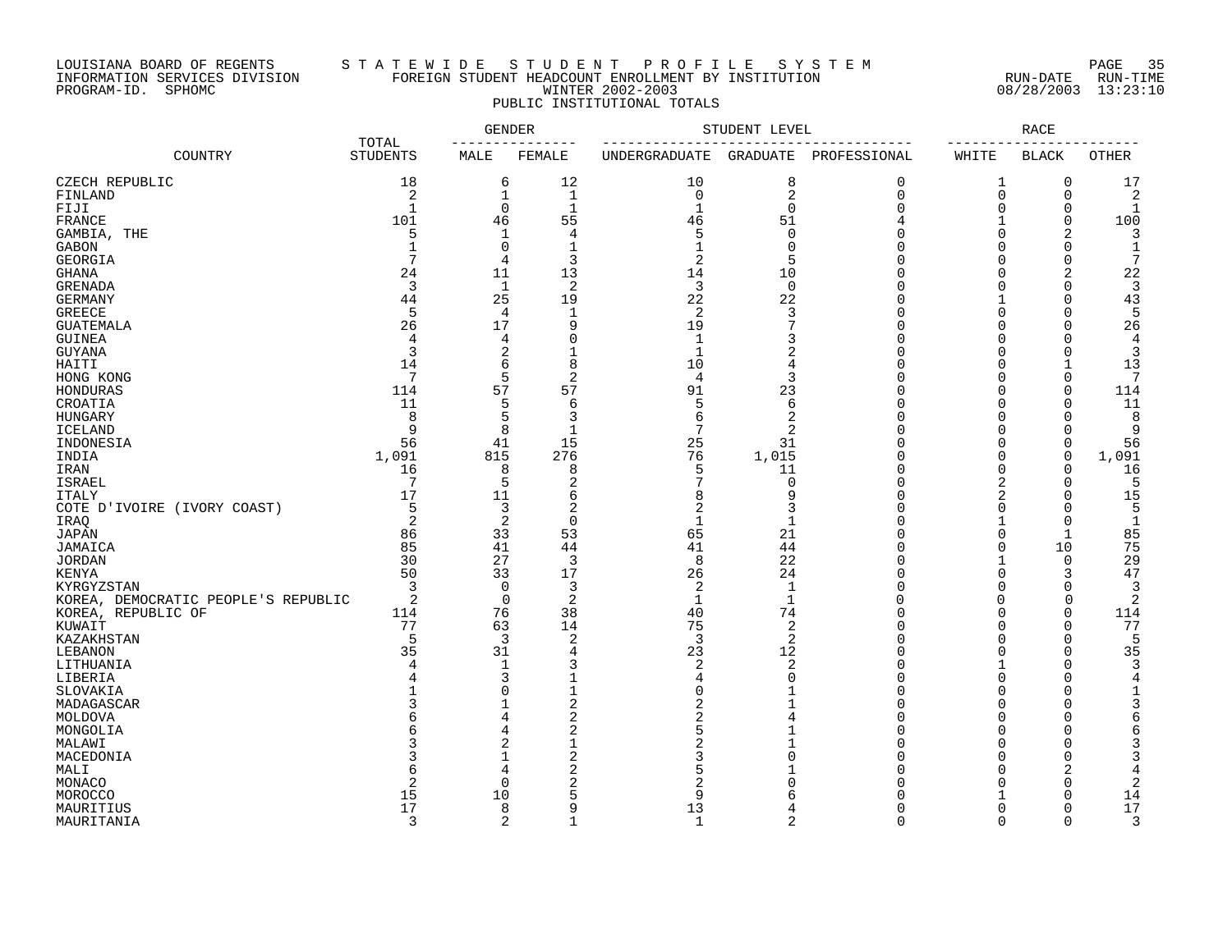## LOUISIANA BOARD OF REGENTS S T A T E W I D E S T U D E N T P R O F I L E S Y S T E M PAGE 35 INFORMATION SERVICES DIVISION FOREIGN STUDENT HEADCOUNT ENROLLMENT BY INSTITUTION RUN-DATE RUN-TIME PROGRAM-ID. SPHOMC WINTER 2002-2003 08/28/2003 13:23:10 PUBLIC INSTITUTIONAL TOTALS

|                                     |                          | <b>GENDER</b>  |                     |                | STUDENT LEVEL  |               |                      | <b>RACE</b>          |                |
|-------------------------------------|--------------------------|----------------|---------------------|----------------|----------------|---------------|----------------------|----------------------|----------------|
| COUNTRY                             | TOTAL<br><b>STUDENTS</b> | MALE           | FEMALE              | UNDERGRADUATE  | GRADUATE       | PROFESSIONAL  | $- - - - -$<br>WHITE | <b>BLACK</b>         | <b>OTHER</b>   |
| CZECH REPUBLIC                      | 18                       | 6              | 12                  | 10             | 8              | 0             | 1                    | $\mathbf 0$          | 17             |
| FINLAND                             | 2                        | 1              | $\mathbf{1}$        | $\mathbf 0$    | 2              | 0             | $\mathbf 0$          | $\mathbf 0$          | 2              |
| FIJI                                | 1                        | 0              | $\mathbf{1}$        | $\mathbf{1}$   | $\mathbf 0$    | O             | $\mathbf 0$          | $\mathbf 0$          |                |
| FRANCE                              | 101                      | 46             | 55                  | 46             | 51             | 4             | $\mathbf{1}$         | $\Omega$             | 100            |
| GAMBIA, THE                         | 5                        | $\mathbf 1$    | 4                   | 5              | $\Omega$       | O             | $\overline{0}$       | 2                    | 3              |
| GABON                               | $\mathbf{1}$             | $\mathbf 0$    | $\mathbf{1}$        | $\mathbf{1}$   | $\Omega$       | $\Omega$      | $\overline{0}$       | $\mathbf 0$          | $\mathbf{1}$   |
| <b>GEORGIA</b>                      | 7                        | 4              | 3                   | 2              | 5              | Λ             | $\Omega$             | 0                    |                |
| <b>GHANA</b>                        | 24                       | 11             | 13                  | 14             | 10             | Λ             | $\mathbf 0$          | 2                    | 22             |
| <b>GRENADA</b>                      | 3                        | $\mathbf{1}$   | 2                   | 3              | $\mathbf 0$    | O             | $\Omega$             | $\Omega$             |                |
| <b>GERMANY</b>                      | 44                       | 25             | 19                  | 22             | 22             | Ω             | $\mathbf{1}$         | $\Omega$             | 43             |
| <b>GREECE</b>                       | 5                        | 4              | $\mathbf 1$         | 2              | 3              | $\Omega$      | $\mathbf 0$          | $\Omega$             | 5              |
| <b>GUATEMALA</b>                    | 26                       | 17             | 9                   | 19             | 7              | U             | $\Omega$             | $\Omega$             | 26             |
| <b>GUINEA</b>                       | $\overline{4}$           | 4              | $\Omega$            | $\mathbf{1}$   | 3              | U             | $\mathbf 0$          | $\cup$               | $\overline{4}$ |
| <b>GUYANA</b>                       | 3                        | $\overline{2}$ | $\mathbf{1}$        | $\mathbf{1}$   | $\overline{2}$ | Ω             | $\Omega$             | $\Omega$             | 3              |
| HAITI                               | 14                       | 6              | 8                   | 10             | 4              |               | $\Omega$             | $\mathbf{1}$         | 13             |
| HONG KONG                           | 7                        | 5              | $\overline{2}$      | $\overline{4}$ | 3              | O             | $\overline{0}$       | $\mathbf 0$          |                |
| HONDURAS                            | 114                      | 57             | 57                  | 91             | 23             | U             | $\Omega$             | $\mathbf 0$          | 114            |
| CROATIA                             | 11                       | 5              | 6                   | 5              | 6              | U             | $\Omega$             | $\mathbf 0$          | 11             |
| HUNGARY                             | 8                        | 5              | 3                   | 6              | 2              | O             | $\Omega$             | $\Omega$             | 8              |
| <b>ICELAND</b>                      | 9                        | 8              | $\mathbf{1}$        | 7              | 2              |               | $\Omega$             | $\bigcap$            | 9              |
| INDONESIA                           | 56                       | 41             | 15                  | 25             | 31             | Ω             | $\overline{0}$       | $\mathbf 0$          | 56             |
| INDIA                               | 1,091                    | 815            | 276                 | 76             | 1,015          | Λ             | $\Omega$             | 0                    | 1,091          |
| IRAN                                | 16                       | 8              | 8                   | 5              | 11             | Ω             | $\Omega$             | $\Omega$             | 16             |
| <b>ISRAEL</b>                       | 7                        | 5              | 2                   |                | $\Omega$       | Λ             | 2                    | $\Omega$             |                |
| <b>ITALY</b>                        | 17                       | 11             | 6                   | 8              | 9              | Ω             | 2                    | $\bigcap$            | 15             |
| COTE D'IVOIRE (IVORY COAST)         | 5                        | 3              | $\overline{2}$      | $\overline{2}$ | 3              |               | $\Omega$             | $\bigcap$            | 5              |
|                                     | 2                        | $\overline{2}$ | $\mathbf 0$         | 1              | 1              | Ω             | -1                   | 0                    | 1              |
| IRAQ<br><b>JAPAN</b>                | 86                       | 33             | 53                  | 65             | 21             |               | $\Omega$             | $\mathbf{1}$         | 85             |
| JAMAICA                             | 85                       | 41             | 44                  | 41             | 44             | U             | $\Omega$             | 10                   | 75             |
|                                     | 30                       | 27             | $\overline{3}$      | 8              | 22             | $\cap$        |                      | $\Omega$             | 29             |
| <b>JORDAN</b><br><b>KENYA</b>       | 50                       | 33             | 17                  | 26             | 24             | O             | $\overline{0}$       | 3                    | 47             |
| KYRGYZSTAN                          | 3                        | 0              | 3                   | 2              | 1              | Ω             | $\Omega$             | $\Omega$             | 3              |
|                                     | 2                        | $\Omega$       | $\overline{2}$      | $\mathbf{1}$   | $\mathbf{1}$   | $\cap$        | $\Omega$             | $\Omega$             | 2              |
| KOREA, DEMOCRATIC PEOPLE'S REPUBLIC | 114                      | 76             | 38                  | 40             | 74             | U             | $\Omega$             | $\mathbf 0$          | 114            |
| KOREA, REPUBLIC OF                  | 77                       | 63             | 14                  | 75             | 2              | $\Omega$      | $\Omega$             | $\Omega$             | 77             |
| KUWAIT<br>KAZAKHSTAN                | 5                        | 3              | $\overline{2}$      | 3              | 2              | O             | $\Omega$             | $\mathbf 0$          | 5              |
| LEBANON                             | 35                       | 31             | 4                   | 23             | 12             | Ω             | $\Omega$             | $\mathbf 0$          | 35             |
|                                     | 4                        | 1              | 3                   | 2              | 2              | Ω             | 1                    | $\cup$               | 3              |
| LITHUANIA<br>LIBERIA                | 4                        | 3              | $\mathbf{1}$        | 4              | $\Omega$       | U             | $\Omega$             | $\bigcap$            | 4              |
| SLOVAKIA                            |                          | $\Omega$       | $\overline{1}$      | $\Omega$       |                | U             | $\Omega$             | $\cap$               |                |
|                                     |                          | $\mathbf{1}$   | 2                   | 2              |                | Ω             | $\Omega$             | $\Omega$             |                |
| MADAGASCAR                          | 6                        | 4              | 2                   | 2              |                | O             | $\Omega$             | O                    | 6              |
| MOLDOVA                             | б                        | 4              | $\overline{2}$      | 5              |                | U             | $\Omega$             | C                    | 6              |
| MONGOLIA                            |                          | $\overline{2}$ | $\mathbf{1}$        | 2              |                | Ω             | $\Omega$             | C                    | 3              |
| MALAWI                              |                          | $\mathbf{1}$   | $\overline{c}$      |                |                |               |                      |                      |                |
| MACEDONIA                           |                          |                |                     | 3              | U              | U             | $\Omega$             | $\bigcap$            | 3              |
| MALI                                | 6                        | 4              | 2                   | 5              |                |               | $\Omega$             | 2                    | 4              |
| MONACO                              | 2                        | $\mathbf 0$    | 2                   | $\overline{2}$ |                |               | $\Omega$             | $\Omega$             | 2              |
| MOROCCO                             | 15                       | 10             | 5                   | 9              |                |               |                      | $\mathbf 0$          | 14             |
| MAURITIUS                           | 17                       | 8              | 9<br>$\overline{1}$ | 13             | 4              | U<br>$\Omega$ | $\Omega$             | $\Omega$<br>$\Omega$ | 17             |
| MAURITANIA                          | 3                        | 2              |                     | $\mathbf{1}$   | $\overline{2}$ |               | $\Omega$             |                      | 3              |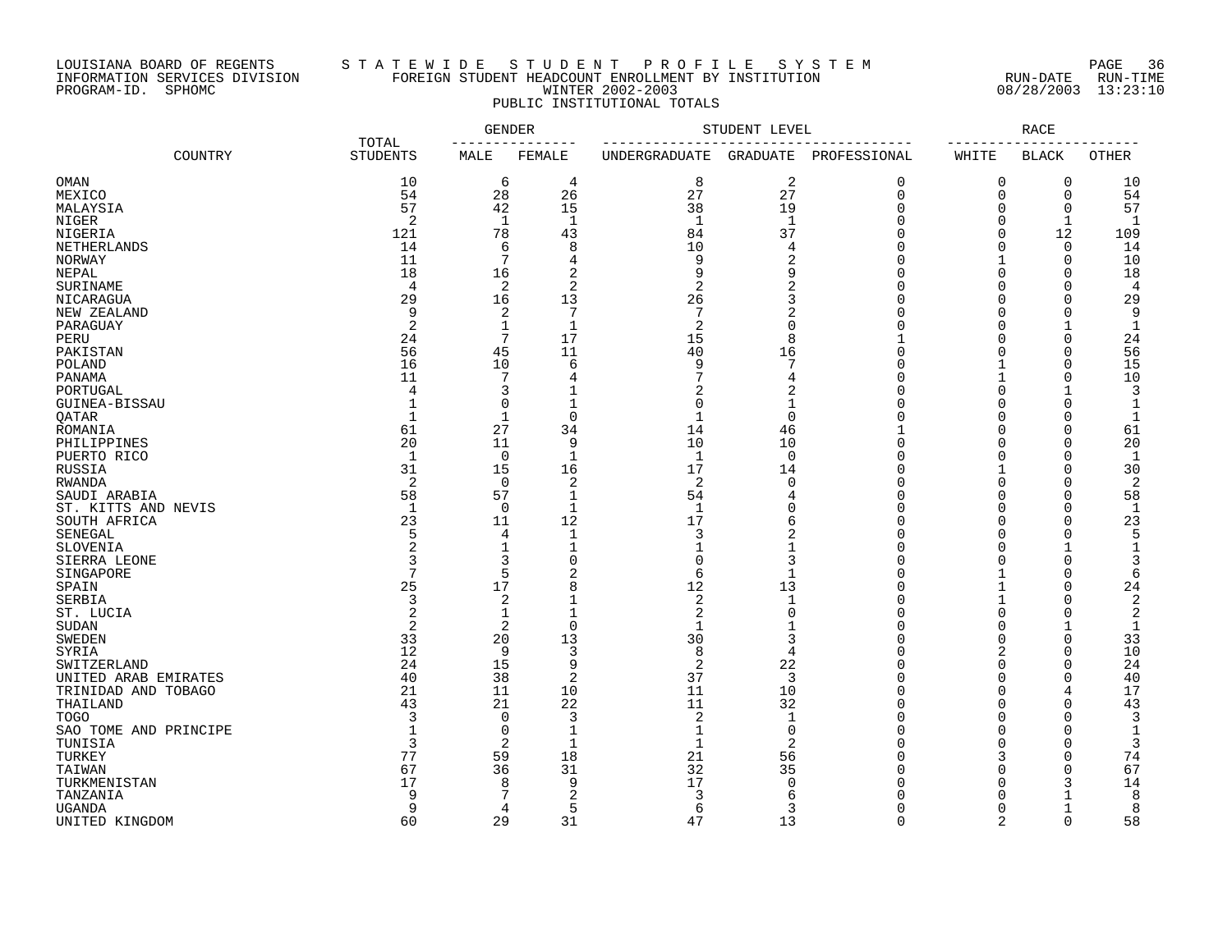## LOUISIANA BOARD OF REGENTS S T A T E W I D E S T U D E N T P R O F I L E S Y S T E M PAGE 36 INFORMATION SERVICES DIVISION FOREIGN STUDENT HEADCOUNT ENROLLMENT BY INSTITUTION RUN-DATE RUN-TIME PROGRAM-ID. SPHOMC WINTER 2002-2003 08/28/2003 13:23:10 PUBLIC INSTITUTIONAL TOTALS

|                       | TOTAL   | <b>GENDER</b>   |                | STUDENT LEVEL  |                |                 | RACE          |                     |                          |                |
|-----------------------|---------|-----------------|----------------|----------------|----------------|-----------------|---------------|---------------------|--------------------------|----------------|
|                       | COUNTRY | <b>STUDENTS</b> | MALE           | FEMALE         | UNDERGRADUATE  | <b>GRADUATE</b> | PROFESSIONAL  | WHITE               | <b>BLACK</b>             | <b>OTHER</b>   |
| <b>OMAN</b>           |         | 10              | 6              | 4              | 8              | 2               | 0             | 0                   | 0                        | 10             |
| MEXICO                |         | 54              | 28             | 26             | 27             | 27              | $\mathbf 0$   | $\Omega$            | $\mathbf 0$              | 54             |
| MALAYSIA              |         | 57              | 42             | 15             | 38             | 19              | $\Omega$      | $\Omega$            | $\Omega$                 | 57             |
| NIGER                 |         | 2               | $\mathbf 1$    | $\mathbf 1$    | $\mathbf{1}$   | $\mathbf{1}$    | $\cap$        | $\Omega$            | $\mathbf 1$              | -1             |
| NIGERIA               |         | 121             | 78             | 43             | 84             | 37              |               | $\Omega$            | 12                       | 109            |
| NETHERLANDS           |         | 14              | 6              | 8              | 10             | 4               | U             | $\Omega$            | $\Omega$                 | 14             |
| NORWAY                |         | 11              | 7              | $\overline{4}$ | 9              | 2               |               |                     | $\Omega$                 | 10             |
| NEPAL                 |         | 18              | 16             | $\overline{2}$ | 9              | 9               |               | $\Omega$            | $\Omega$                 | 18             |
| SURINAME              |         | 4               | 2              | $\overline{2}$ | $\overline{2}$ | $\overline{2}$  |               | $\Omega$            | $\Omega$                 | 4              |
| NICARAGUA             |         | 29              | 16             | 13             | 26             | 3               |               | $\Omega$            | $\Omega$                 | 29             |
| NEW ZEALAND           |         | 9               | 2              | 7              | 7              | $\overline{2}$  |               | $\Omega$            | $\cap$                   | 9              |
| PARAGUAY              |         | $\overline{c}$  | $\mathbf 1$    | $\mathbf 1$    | $\overline{2}$ | $\Omega$        |               | $\Omega$            |                          | 1              |
| PERU                  |         | 24              | $\overline{7}$ | 17             | 15             | 8               |               | $\Omega$            | $\Omega$                 | 24             |
| PAKISTAN              |         | 56              | 45             | 11             | 40             | 16              | O             | $\Omega$            | $\Omega$                 | 56             |
| POLAND                |         | 16              | 10             | 6              | 9              | 7               | O             |                     | $\Omega$                 | 15             |
| PANAMA                |         | 11              | 7              | 4              |                | 4               | $\cap$        |                     | $\Omega$                 | 10             |
| PORTUGAL              |         | 4               | 3              |                | 2              | $\overline{2}$  |               | $\Omega$            | -1                       | 3              |
| GUINEA-BISSAU         |         |                 | $\mathbf 0$    | 1              | $\Omega$       | $\mathbf 1$     |               | $\Omega$            | $\Omega$                 |                |
| QATAR                 |         | 1               | 1              | $\mathbf 0$    | $\mathbf 1$    | $\mathbf 0$     | C             | $\Omega$            | $\Omega$                 | -1             |
| ROMANIA               |         | 61              | 27             | 34             | 14             | 46              |               | $\Omega$            | $\Omega$                 | 61             |
| PHILIPPINES           |         | 20              | 11             | 9              | 10             | 10              | $\cap$        | $\Omega$            | $\cap$                   | 20             |
| PUERTO RICO           |         | $\mathbf{1}$    | 0              | $\mathbf 1$    | $\mathbf{1}$   | 0               | n             | $\Omega$            | $\Omega$                 | -1             |
| RUSSIA                |         | 31              | 15             | 16             | 17             | 14              |               | 1                   | $\Omega$                 | 30             |
| RWANDA                |         | 2               | $\mathbf 0$    | 2              | 2              | $\Omega$        |               | $\Omega$            | ∩                        | 2              |
| SAUDI ARABIA          |         | 58              | 57             | $\mathbf{1}$   | 54             |                 |               | $\Omega$            | $\Omega$                 | 58             |
| ST. KITTS AND NEVIS   |         | 1               | 0              | 1              | 1              | 0               |               | $\Omega$            | $\Omega$                 | -1             |
| SOUTH AFRICA          |         | 23              | 11             | 12             | 17             | 6               |               | $\Omega$            | $\cap$                   | 23             |
| SENEGAL               |         | 5               | 4              | $\mathbf{1}$   | 3              | 2               |               | $\Omega$            | $\cap$                   | 5              |
| SLOVENIA              |         | 2               | $\mathbf{1}$   | 1              | 1              | 1               |               | $\Omega$            |                          |                |
| SIERRA LEONE          |         |                 | 3              |                | 0              | 3               |               | O                   |                          |                |
| SINGAPORE             |         |                 | 5              | 2              | 6              | $\mathbf 1$     |               |                     | $\cap$                   | 6              |
| SPAIN                 |         | 25              | 17             | 8              | 12             | 13              |               |                     | $\cap$                   | 24             |
| SERBIA                |         | 3               | 2              |                | $\overline{2}$ | $\mathbf{1}$    |               |                     |                          | $\overline{2}$ |
| ST. LUCIA             |         | $\overline{2}$  | 1              |                | 2              | $\Omega$        |               | $\Omega$            | $\cap$                   | 2              |
| <b>SUDAN</b>          |         | $\overline{c}$  | 2              | $\Omega$       | $\mathbf{1}$   |                 |               | $\Omega$            |                          | 1              |
| <b>SWEDEN</b>         |         | 33              | 20             | 13             | 30             | 3               |               | $\Omega$            | $\Omega$                 | 33             |
| SYRIA                 |         | 12              | 9              | 3              | 8              | 4               |               | $\overline{2}$      | $\cap$                   | 10             |
| SWITZERLAND           |         | 24              | 15             | 9              | $\overline{2}$ | 22              |               | $\Omega$            | $\Omega$                 | 24             |
| UNITED ARAB EMIRATES  |         | 40              | 38             | $\overline{2}$ | 37             | 3               |               | $\Omega$            | $\Omega$                 | 40             |
| TRINIDAD AND TOBAGO   |         | 21              | 11             | 10             | 11             | 10              | n             | $\Omega$            | $\overline{4}$           | 17             |
| THAILAND              |         | 43              | 21             | 22             | 11             | 32              | $\Omega$      | $\Omega$            | $\Omega$<br>$\Omega$     | 43             |
| <b>TOGO</b>           |         | 3               | $\mathbf 0$    | 3              | 2              | $\mathbf 1$     |               | $\Omega$            |                          | 3              |
| SAO TOME AND PRINCIPE |         |                 | 0              | 1              | 1              | 0               |               | $\Omega$            | ∩                        |                |
| TUNISIA               |         | 3               | 2              | 1              | $\mathbf{1}$   | 2               |               | $\Omega$            | $\Omega$                 | 3              |
| TURKEY                |         | 77              | 59             | 18             | 21             | 56              | U             | 3<br>$\Omega$       | $\Omega$<br>$\Omega$     | 74             |
| TAIWAN                |         | 67              | 36             | 31<br>9        | 32<br>17       | 35              |               |                     |                          | 67             |
| TURKMENISTAN          |         | 17              | 8              |                |                | 0               |               | $\Omega$            | 3                        | 14             |
| TANZANIA              |         | 9               |                | 2              |                | 6               |               | $\Omega$            |                          | 8              |
| <b>UGANDA</b>         |         | 9               | 4              | 5              | 6              | 3               | O<br>$\Omega$ | 0<br>$\overline{2}$ | $\mathbf{1}$<br>$\Omega$ | 8              |
| UNITED KINGDOM        |         | 60              | 29             | 31             | 47             | 13              |               |                     |                          | 58             |